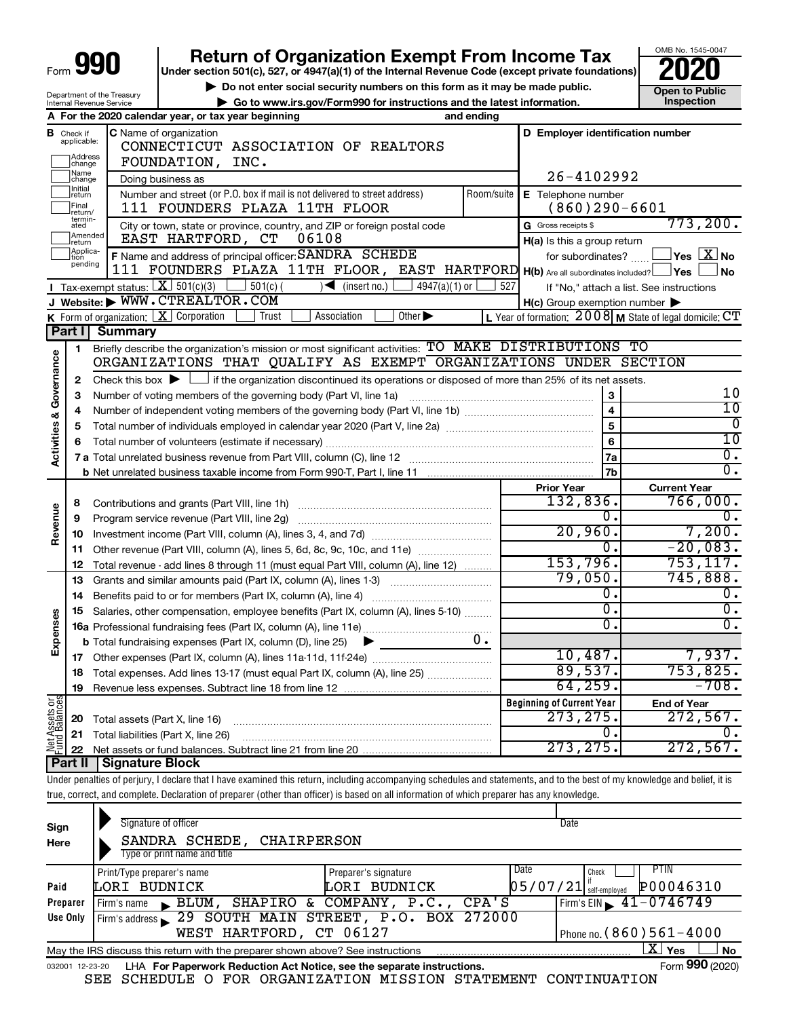| Form | ۱n | ĺ |
|------|----|---|
|      |    |   |

# **990** Return of Organization Exempt From Income Tax <br>
Under section 501(c), 527, or 4947(a)(1) of the Internal Revenue Code (except private foundations)<br> **PO20**

▶ Do not enter social security numbers on this form as it may be made public. **Dependent Open to Public Dependent Open to Public and the latest information.** Inspection **| Go to www.irs.gov/Form990 for instructions and the latest information. Inspection**

OMB No. 1545-0047

|  | Department of the Treasury<br><b>Internal Revenue Service</b> |  |  |  |
|--|---------------------------------------------------------------|--|--|--|
|  |                                                               |  |  |  |

|                         |                                  | A For the 2020 calendar year, or tax year beginning                                                                                                                        | and ending              |                                                     |                                                         |  |  |
|-------------------------|----------------------------------|----------------------------------------------------------------------------------------------------------------------------------------------------------------------------|-------------------------|-----------------------------------------------------|---------------------------------------------------------|--|--|
|                         | <b>B</b> Check if applicable:    | C Name of organization<br>CONNECTICUT ASSOCIATION OF REALTORS                                                                                                              |                         | D Employer identification number                    |                                                         |  |  |
|                         | Address<br> change               | FOUNDATION, INC.                                                                                                                                                           |                         |                                                     |                                                         |  |  |
|                         | Name<br> change                  | Doing business as                                                                                                                                                          |                         | 26-4102992                                          |                                                         |  |  |
|                         | Initia <mark>l</mark><br> return | Number and street (or P.O. box if mail is not delivered to street address)                                                                                                 | Room/suite              | E Telephone number                                  |                                                         |  |  |
|                         | Final<br>return/                 | 111 FOUNDERS PLAZA 11TH FLOOR                                                                                                                                              |                         | $(860)$ 290-6601                                    |                                                         |  |  |
|                         | termin-<br>ated                  | City or town, state or province, country, and ZIP or foreign postal code                                                                                                   |                         | G Gross receipts \$                                 | 773,200.                                                |  |  |
|                         | Amended<br>Ireturn               | EAST HARTFORD, CT<br>06108                                                                                                                                                 |                         | H(a) Is this a group return                         |                                                         |  |  |
|                         | Applica-<br>Ition                | F Name and address of principal officer: SANDRA SCHEDE                                                                                                                     |                         | for subordinates?                                   | $\overline{\ }$ Yes $\overline{\ \text{X}}$ No          |  |  |
|                         | pending                          | 111 FOUNDERS PLAZA 11TH FLOOR, EAST HARTFORD H(b) Are all subordinates included?                                                                                           |                         |                                                     | ⊥Yes<br>∣No                                             |  |  |
|                         |                                  | Tax-exempt status: $X \over 301(c)(3)$<br>$501(c)$ (<br>$\sqrt{\frac{1}{1}}$ (insert no.)<br>$4947(a)(1)$ or                                                               | 527                     |                                                     | If "No," attach a list. See instructions                |  |  |
|                         |                                  | J Website: WWW.CTREALTOR.COM                                                                                                                                               |                         | $H(c)$ Group exemption number $\blacktriangleright$ |                                                         |  |  |
|                         |                                  | Other $\blacktriangleright$<br><b>K</b> Form of organization: $X$ Corporation<br>Trust<br>Association                                                                      |                         |                                                     | L Year of formation: 2008 M State of legal domicile: CT |  |  |
|                         | Part I                           | <b>Summary</b>                                                                                                                                                             |                         |                                                     |                                                         |  |  |
|                         | 1                                | Briefly describe the organization's mission or most significant activities: TO MAKE DISTRIBUTIONS TO                                                                       |                         |                                                     |                                                         |  |  |
|                         |                                  | ORGANIZATIONS THAT QUALIFY AS EXEMPT ORGANIZATIONS UNDER SECTION                                                                                                           |                         |                                                     |                                                         |  |  |
| Governance              | 2                                | Check this box $\blacktriangleright$ $\Box$ if the organization discontinued its operations or disposed of more than 25% of its net assets.                                |                         |                                                     |                                                         |  |  |
|                         | з                                | Number of voting members of the governing body (Part VI, line 1a)                                                                                                          |                         | $\mathbf{3}$                                        | 10                                                      |  |  |
|                         | 4                                |                                                                                                                                                                            | $\overline{\mathbf{4}}$ | $\overline{10}$                                     |                                                         |  |  |
| <b>Activities &amp;</b> | 5                                |                                                                                                                                                                            | 5                       | $\overline{0}$                                      |                                                         |  |  |
|                         |                                  |                                                                                                                                                                            | 6                       | $\overline{10}$<br>$\overline{0}$ .                 |                                                         |  |  |
|                         |                                  |                                                                                                                                                                            |                         | 7a                                                  |                                                         |  |  |
|                         |                                  |                                                                                                                                                                            |                         | 7b                                                  | $\overline{0}$ .                                        |  |  |
|                         |                                  |                                                                                                                                                                            |                         | <b>Prior Year</b>                                   | <b>Current Year</b>                                     |  |  |
|                         | 8                                |                                                                                                                                                                            |                         | 132,836.                                            | 766,000.                                                |  |  |
|                         | 9                                |                                                                                                                                                                            | 0.                      |                                                     |                                                         |  |  |
| Revenue                 | 10                               |                                                                                                                                                                            |                         | 20,960.                                             | 7,200.                                                  |  |  |
|                         | 11                               | Other revenue (Part VIII, column (A), lines 5, 6d, 8c, 9c, 10c, and 11e)                                                                                                   |                         | 0.                                                  | $-20,083.$                                              |  |  |
|                         | 12                               | Total revenue - add lines 8 through 11 (must equal Part VIII, column (A), line 12)                                                                                         |                         | 153,796.                                            | 753, 117.                                               |  |  |
|                         | 13                               | Grants and similar amounts paid (Part IX, column (A), lines 1-3)                                                                                                           |                         | 79,050.                                             | 745,888.                                                |  |  |
|                         | 14                               | Benefits paid to or for members (Part IX, column (A), line 4)                                                                                                              |                         | 0.                                                  | $0$ .                                                   |  |  |
|                         | 15                               | Salaries, other compensation, employee benefits (Part IX, column (A), lines 5-10)                                                                                          |                         | 0.                                                  | 0.                                                      |  |  |
|                         |                                  |                                                                                                                                                                            |                         | 0.                                                  | $0$ .                                                   |  |  |
| Expenses                |                                  | <b>b</b> Total fundraising expenses (Part IX, column (D), line 25) $\blacktriangleright$                                                                                   | υ.                      |                                                     |                                                         |  |  |
|                         |                                  |                                                                                                                                                                            |                         | 10,487.                                             | 7,937.                                                  |  |  |
|                         |                                  | 18 Total expenses. Add lines 13-17 (must equal Part IX, column (A), line 25)                                                                                               |                         | 89,537.                                             | 753,825.                                                |  |  |
|                         |                                  | 19 Revenue less expenses. Subtract line 18 from line 12                                                                                                                    |                         | 64, 259.                                            | $-708.$                                                 |  |  |
| Net Assets or           |                                  |                                                                                                                                                                            |                         | <b>Beginning of Current Year</b>                    | <b>End of Year</b>                                      |  |  |
|                         | 20                               | Total assets (Part X, line 16)                                                                                                                                             |                         | 273,275.                                            | 272,567.                                                |  |  |
|                         | 21                               | Total liabilities (Part X, line 26)                                                                                                                                        |                         | 0                                                   |                                                         |  |  |
|                         | 22                               |                                                                                                                                                                            |                         | 273, 275.                                           | 272,567.                                                |  |  |
|                         | Part II                          | <b>Signature Block</b>                                                                                                                                                     |                         |                                                     |                                                         |  |  |
|                         |                                  | Under penalties of perjury, I declare that I have examined this return, including accompanying schedules and statements, and to the best of my knowledge and belief, it is |                         |                                                     |                                                         |  |  |
|                         |                                  | true, correct, and complete. Declaration of preparer (other than officer) is based on all information of which preparer has any knowledge.                                 |                         |                                                     |                                                         |  |  |

| Sign<br>Here       | Signature of officer<br>SANDRA SCHEDE, CHAIRPERSON<br>Type or print name and title                       | Date                              |  |  |  |  |  |  |  |  |  |
|--------------------|----------------------------------------------------------------------------------------------------------|-----------------------------------|--|--|--|--|--|--|--|--|--|
| Paid               | Date<br>Print/Type preparer's name<br>Preparer's signature<br>[05/07/21]<br>LORI BUDNICK<br>LORI BUDNICK | <b>PTIN</b><br>Check<br>P00046310 |  |  |  |  |  |  |  |  |  |
|                    |                                                                                                          | I self-employed                   |  |  |  |  |  |  |  |  |  |
| Preparer           | SHAPIRO & COMPANY, P.C., CPA'S<br>BLUM,<br>Firm's name                                                   | Firm's EIN $\sqrt{41-0746749}$    |  |  |  |  |  |  |  |  |  |
| Use Only           | Firm's address 29 SOUTH MAIN STREET, P.O. BOX 272000                                                     |                                   |  |  |  |  |  |  |  |  |  |
|                    | Phone no. $(860)561 - 4000$<br>WEST HARTFORD, CT 06127                                                   |                                   |  |  |  |  |  |  |  |  |  |
|                    | May the IRS discuss this return with the preparer shown above? See instructions                          | ΧI<br>Yes<br>l No                 |  |  |  |  |  |  |  |  |  |
| 12-23-20<br>032001 | LHA For Paperwork Reduction Act Notice, see the separate instructions.                                   | Form 990 (2020)                   |  |  |  |  |  |  |  |  |  |

SEE SCHEDULE O FOR ORGANIZATION MISSION STATEMENT CONTINUATION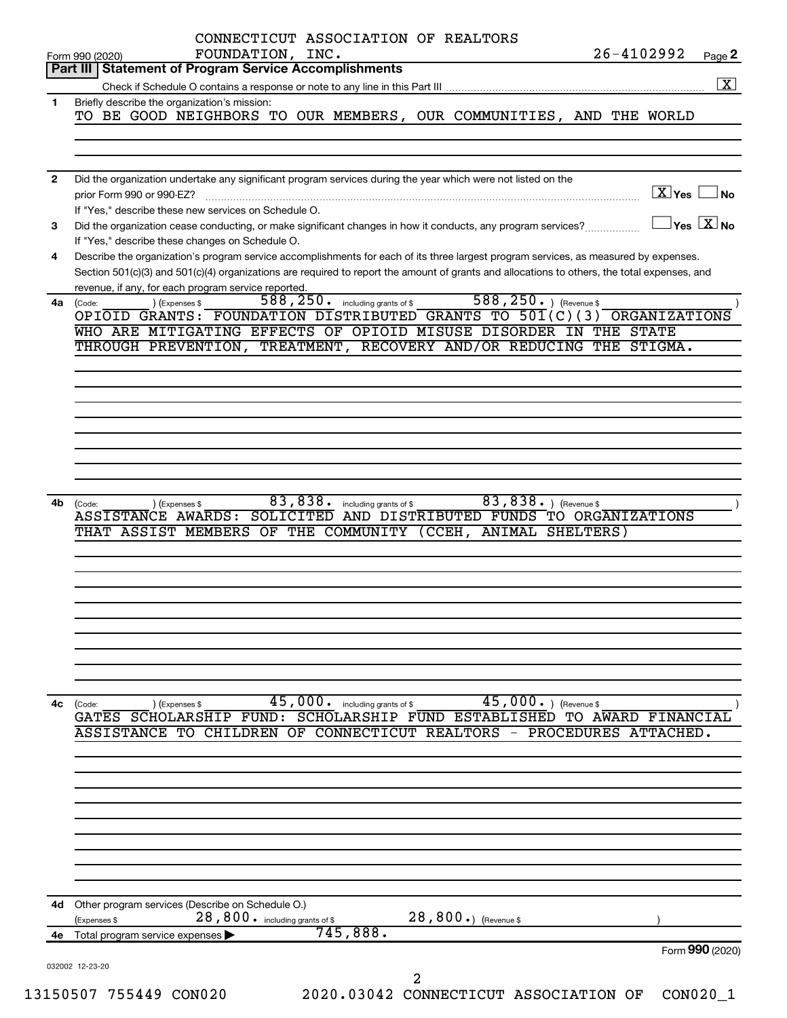|              | CONNECTICUT ASSOCIATION OF REALTORS<br>26-4102992<br>FOUNDATION, INC.<br>Page 2<br>Form 990 (2020)<br><b>Statement of Program Service Accomplishments</b><br>Part III I                                                                                                    |
|--------------|----------------------------------------------------------------------------------------------------------------------------------------------------------------------------------------------------------------------------------------------------------------------------|
|              | $\boxed{\textbf{X}}$                                                                                                                                                                                                                                                       |
| 1            | Briefly describe the organization's mission:<br>TO BE GOOD NEIGHBORS TO OUR MEMBERS, OUR COMMUNITIES, AND THE WORLD                                                                                                                                                        |
|              |                                                                                                                                                                                                                                                                            |
| $\mathbf{2}$ | Did the organization undertake any significant program services during the year which were not listed on the<br>$\boxed{\text{X}}$ Yes<br>⊥No<br>prior Form 990 or 990-EZ?                                                                                                 |
| 3            | If "Yes," describe these new services on Schedule O.<br>$\exists$ Yes $\sqrt{\mathrm{X}}$ No<br>Did the organization cease conducting, or make significant changes in how it conducts, any program services?                                                               |
| 4            | If "Yes," describe these changes on Schedule O.<br>Describe the organization's program service accomplishments for each of its three largest program services, as measured by expenses.                                                                                    |
|              | Section 501(c)(3) and 501(c)(4) organizations are required to report the amount of grants and allocations to others, the total expenses, and                                                                                                                               |
|              | revenue, if any, for each program service reported.<br>588, 250. ) (Revenue \$<br>588, 250.                                                                                                                                                                                |
| 4a           | including grants of \$<br>(Expenses \$<br>(Code:<br>OPIOID GRANTS: FOUNDATION DISTRIBUTED GRANTS TO 501(C)(3) ORGANIZATIONS<br>WHO ARE MITIGATING EFFECTS OF OPIOID MISUSE DISORDER IN THE STATE<br>THROUGH PREVENTION, TREATMENT, RECOVERY AND/OR REDUCING THE<br>STIGMA. |
|              |                                                                                                                                                                                                                                                                            |
|              |                                                                                                                                                                                                                                                                            |
|              |                                                                                                                                                                                                                                                                            |
|              |                                                                                                                                                                                                                                                                            |
|              |                                                                                                                                                                                                                                                                            |
| 4b           | 83,838.<br>$83, 838.$ ) (Revenue \$<br>including grants of \$<br>(Expenses \$<br>(Code:<br>SOLICITED AND DISTRIBUTED FUNDS<br>TO ORGANIZATIONS<br><b>ASSISTANCE AWARDS:</b><br>THAT ASSIST MEMBERS<br>OF THE COMMUNITY<br>CCEH,<br>ANIMAL<br>SHELTERS)                     |
|              |                                                                                                                                                                                                                                                                            |
|              |                                                                                                                                                                                                                                                                            |
|              |                                                                                                                                                                                                                                                                            |
|              |                                                                                                                                                                                                                                                                            |
|              |                                                                                                                                                                                                                                                                            |
|              |                                                                                                                                                                                                                                                                            |
| 4с           | $45,000.$ (Revenue \$<br>45,000. including grants of \$<br>(Code:<br>(Expenses \$                                                                                                                                                                                          |
|              | GATES SCHOLARSHIP FUND: SCHOLARSHIP FUND ESTABLISHED TO AWARD FINANCI<br><b>CONNECTICUT</b><br>REALTORS - PROCEDURES ATTACHED.<br><b>ASSISTANCE TO</b><br>CHILDREN OF                                                                                                      |
|              |                                                                                                                                                                                                                                                                            |
|              |                                                                                                                                                                                                                                                                            |
|              |                                                                                                                                                                                                                                                                            |
|              |                                                                                                                                                                                                                                                                            |
|              |                                                                                                                                                                                                                                                                            |
|              |                                                                                                                                                                                                                                                                            |
| 4d           | Other program services (Describe on Schedule O.)                                                                                                                                                                                                                           |
| 4е           | 28,800. including grants of \$<br>28,800.) (Revenue \$<br>(Expenses \$<br>745,888.<br>Total program service expenses                                                                                                                                                       |
|              | Form 990 (2020)                                                                                                                                                                                                                                                            |
|              | 032002 12-23-20<br>2<br>1 E A E A 7 E E 440 CONTADA<br>anan nanja<br>$\bigcap_{\alpha\in\mathbb{N}}\bigcap_{\alpha\in\mathbb{N}}\bigcap_{\alpha\in\mathbb{N}}$<br>$\bigcap \bigcap \mathcal{M}$                                                                            |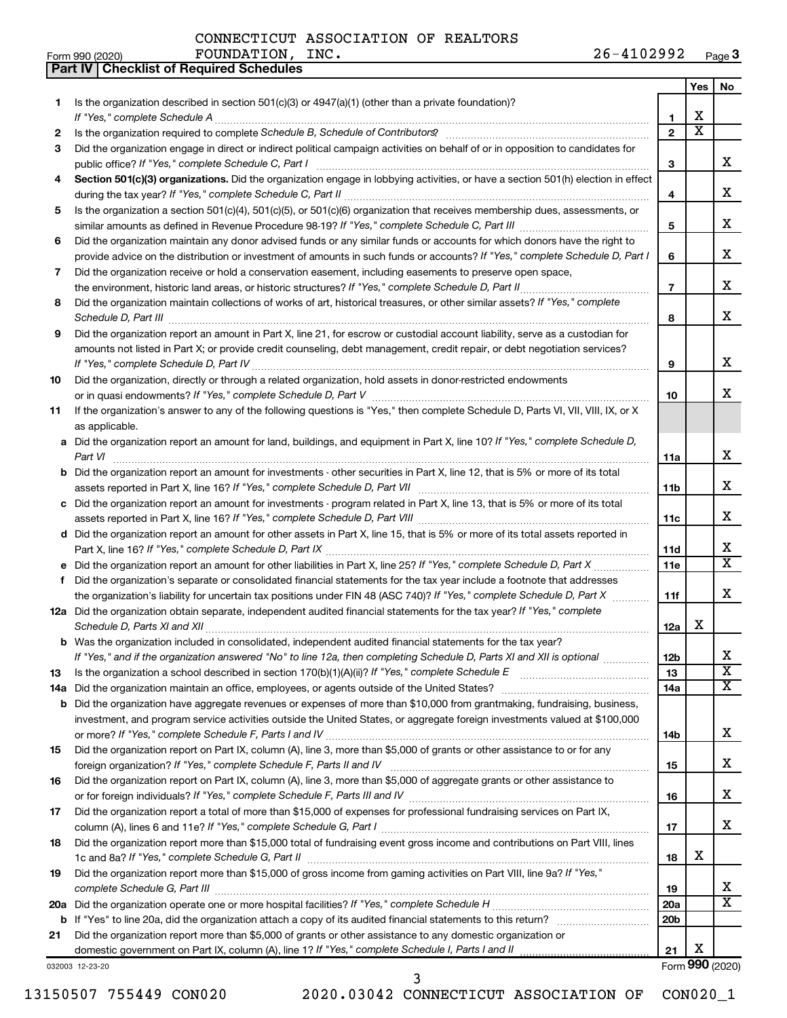**Part IV Checklist of Required Schedules**

|     |                                                                                                                                                                                                                                                                |                          | Yes                     | No                      |
|-----|----------------------------------------------------------------------------------------------------------------------------------------------------------------------------------------------------------------------------------------------------------------|--------------------------|-------------------------|-------------------------|
| 1.  | Is the organization described in section 501(c)(3) or 4947(a)(1) (other than a private foundation)?<br>If "Yes," complete Schedule A                                                                                                                           | 1                        | х                       |                         |
| 2   |                                                                                                                                                                                                                                                                | $\mathbf{2}$             | $\overline{\textbf{x}}$ |                         |
| 3   | Did the organization engage in direct or indirect political campaign activities on behalf of or in opposition to candidates for                                                                                                                                |                          |                         | x                       |
|     | Section 501(c)(3) organizations. Did the organization engage in lobbying activities, or have a section 501(h) election in effect                                                                                                                               | 3                        |                         |                         |
| 4   |                                                                                                                                                                                                                                                                | 4                        |                         | x                       |
| 5   | Is the organization a section 501(c)(4), 501(c)(5), or 501(c)(6) organization that receives membership dues, assessments, or                                                                                                                                   | 5                        |                         | x                       |
| 6   | Did the organization maintain any donor advised funds or any similar funds or accounts for which donors have the right to<br>provide advice on the distribution or investment of amounts in such funds or accounts? If "Yes," complete Schedule D, Part I      | 6                        |                         | x                       |
| 7   | Did the organization receive or hold a conservation easement, including easements to preserve open space,                                                                                                                                                      |                          |                         |                         |
|     |                                                                                                                                                                                                                                                                | $\overline{\phantom{a}}$ |                         | x                       |
| 8   | Did the organization maintain collections of works of art, historical treasures, or other similar assets? If "Yes," complete                                                                                                                                   | 8                        |                         | x                       |
| 9   | Did the organization report an amount in Part X, line 21, for escrow or custodial account liability, serve as a custodian for<br>amounts not listed in Part X; or provide credit counseling, debt management, credit repair, or debt negotiation services?     | 9                        |                         | х                       |
| 10  | Did the organization, directly or through a related organization, hold assets in donor-restricted endowments                                                                                                                                                   | 10                       |                         | x                       |
| 11  | If the organization's answer to any of the following questions is "Yes," then complete Schedule D, Parts VI, VII, VIII, IX, or X<br>as applicable.                                                                                                             |                          |                         |                         |
|     | a Did the organization report an amount for land, buildings, and equipment in Part X, line 10? If "Yes," complete Schedule D,<br>Part VI                                                                                                                       | 11a                      |                         | х                       |
|     | <b>b</b> Did the organization report an amount for investments - other securities in Part X, line 12, that is 5% or more of its total                                                                                                                          |                          |                         |                         |
|     |                                                                                                                                                                                                                                                                | 11b                      |                         | х                       |
|     | c Did the organization report an amount for investments - program related in Part X, line 13, that is 5% or more of its total                                                                                                                                  | 11c                      |                         | х                       |
|     | d Did the organization report an amount for other assets in Part X, line 15, that is 5% or more of its total assets reported in                                                                                                                                | 11d                      |                         | х                       |
|     |                                                                                                                                                                                                                                                                | 11e                      |                         | X                       |
| f   | Did the organization's separate or consolidated financial statements for the tax year include a footnote that addresses                                                                                                                                        |                          |                         |                         |
|     | the organization's liability for uncertain tax positions under FIN 48 (ASC 740)? If "Yes," complete Schedule D, Part X                                                                                                                                         | 11f                      |                         | x                       |
|     | 12a Did the organization obtain separate, independent audited financial statements for the tax year? If "Yes," complete                                                                                                                                        | 12a                      | х                       |                         |
|     | b Was the organization included in consolidated, independent audited financial statements for the tax year?                                                                                                                                                    |                          |                         |                         |
|     | If "Yes." and if the organization answered "No" to line 12a, then completing Schedule D. Parts XI and XII is optional                                                                                                                                          | 12 <sub>b</sub>          |                         | х                       |
| 13  |                                                                                                                                                                                                                                                                | 13                       |                         | $\overline{\textbf{x}}$ |
| 14a |                                                                                                                                                                                                                                                                | 14a                      |                         | х                       |
|     | <b>b</b> Did the organization have aggregate revenues or expenses of more than \$10,000 from grantmaking, fundraising, business,<br>investment, and program service activities outside the United States, or aggregate foreign investments valued at \$100,000 |                          |                         |                         |
|     |                                                                                                                                                                                                                                                                | 14b                      |                         | х                       |
| 15  | Did the organization report on Part IX, column (A), line 3, more than \$5,000 of grants or other assistance to or for any                                                                                                                                      | 15                       |                         | х                       |
| 16  | Did the organization report on Part IX, column (A), line 3, more than \$5,000 of aggregate grants or other assistance to                                                                                                                                       | 16                       |                         | х                       |
| 17  | Did the organization report a total of more than \$15,000 of expenses for professional fundraising services on Part IX,                                                                                                                                        |                          |                         | x                       |
|     | Did the organization report more than \$15,000 total of fundraising event gross income and contributions on Part VIII, lines                                                                                                                                   | 17                       |                         |                         |
| 18  |                                                                                                                                                                                                                                                                | 18                       | X                       |                         |
| 19  | Did the organization report more than \$15,000 of gross income from gaming activities on Part VIII, line 9a? If "Yes,"                                                                                                                                         | 19                       |                         | х                       |
|     |                                                                                                                                                                                                                                                                | 20a                      |                         | х                       |
|     |                                                                                                                                                                                                                                                                | 20 <sub>b</sub>          |                         |                         |
| 21  | Did the organization report more than \$5,000 of grants or other assistance to any domestic organization or                                                                                                                                                    |                          |                         |                         |
|     |                                                                                                                                                                                                                                                                | 21                       | X                       |                         |
|     | 032003 12-23-20                                                                                                                                                                                                                                                |                          |                         | Form 990 (2020)         |

13150507 755449 CON020 2020.03042 CONNECTICUT ASSOCIATION OF CON020\_1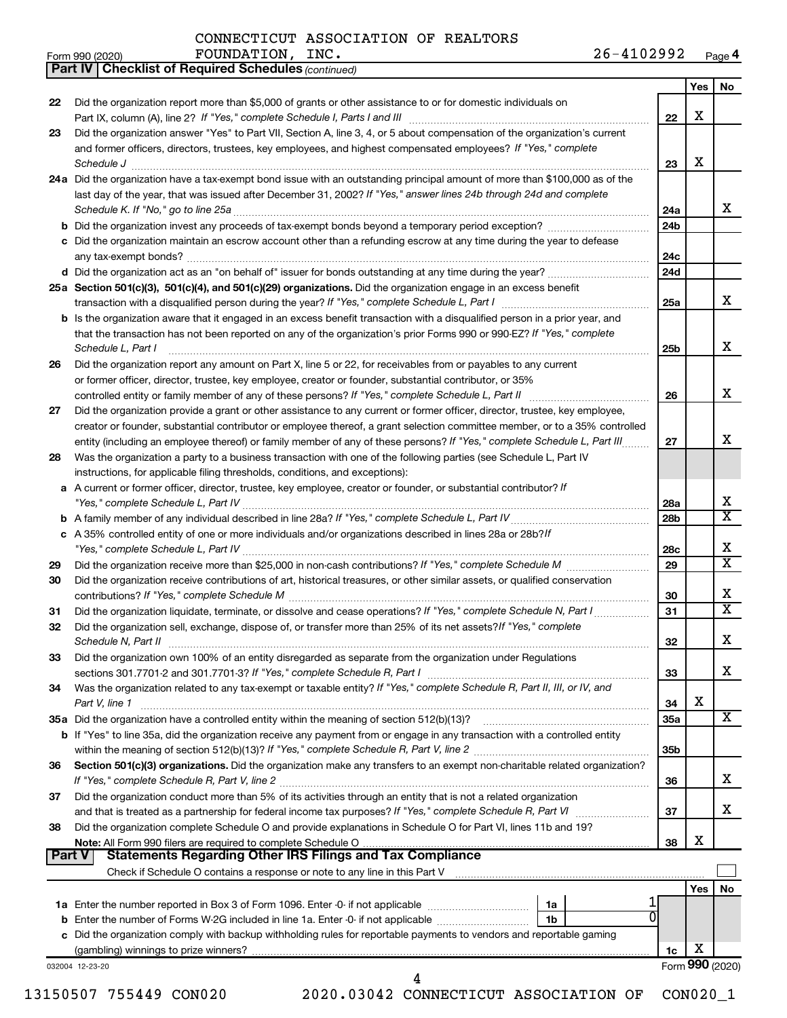*(continued)* **Part IV Checklist of Required Schedules**

|    |                                                                                                                                                                                                                 |                 | Yes | No                           |
|----|-----------------------------------------------------------------------------------------------------------------------------------------------------------------------------------------------------------------|-----------------|-----|------------------------------|
| 22 | Did the organization report more than \$5,000 of grants or other assistance to or for domestic individuals on                                                                                                   |                 |     |                              |
|    |                                                                                                                                                                                                                 | 22              | х   |                              |
| 23 | Did the organization answer "Yes" to Part VII, Section A, line 3, 4, or 5 about compensation of the organization's current                                                                                      |                 |     |                              |
|    | and former officers, directors, trustees, key employees, and highest compensated employees? If "Yes," complete                                                                                                  |                 |     |                              |
|    | Schedule J <b>www.communications.communications.communications.com</b>                                                                                                                                          | 23              | х   |                              |
|    | 24a Did the organization have a tax-exempt bond issue with an outstanding principal amount of more than \$100,000 as of the                                                                                     |                 |     |                              |
|    | last day of the year, that was issued after December 31, 2002? If "Yes," answer lines 24b through 24d and complete                                                                                              |                 |     |                              |
|    | Schedule K. If "No," go to line 25a                                                                                                                                                                             | 24a             |     | x                            |
|    |                                                                                                                                                                                                                 | 24 <sub>b</sub> |     |                              |
|    | Did the organization maintain an escrow account other than a refunding escrow at any time during the year to defease                                                                                            | 24c             |     |                              |
|    | any tax-exempt bonds?                                                                                                                                                                                           | 24d             |     |                              |
|    | 25a Section 501(c)(3), 501(c)(4), and 501(c)(29) organizations. Did the organization engage in an excess benefit                                                                                                |                 |     |                              |
|    | transaction with a disqualified person during the year? If "Yes," complete Schedule L, Part I manual content in the subsection with a disqualified person during the year? If Yes," complete Schedule L, Part I | 25a             |     | x                            |
|    | <b>b</b> Is the organization aware that it engaged in an excess benefit transaction with a disqualified person in a prior year, and                                                                             |                 |     |                              |
|    | that the transaction has not been reported on any of the organization's prior Forms 990 or 990-EZ? If "Yes," complete                                                                                           |                 |     |                              |
|    | Schedule L, Part I                                                                                                                                                                                              | 25b             |     | x                            |
| 26 | Did the organization report any amount on Part X, line 5 or 22, for receivables from or payables to any current                                                                                                 |                 |     |                              |
|    | or former officer, director, trustee, key employee, creator or founder, substantial contributor, or 35%                                                                                                         |                 |     |                              |
|    | controlled entity or family member of any of these persons? If "Yes," complete Schedule L, Part II                                                                                                              | 26              |     | x                            |
| 27 | Did the organization provide a grant or other assistance to any current or former officer, director, trustee, key employee,                                                                                     |                 |     |                              |
|    | creator or founder, substantial contributor or employee thereof, a grant selection committee member, or to a 35% controlled                                                                                     |                 |     |                              |
|    | entity (including an employee thereof) or family member of any of these persons? If "Yes," complete Schedule L, Part III                                                                                        | 27              |     | х                            |
| 28 | Was the organization a party to a business transaction with one of the following parties (see Schedule L, Part IV                                                                                               |                 |     |                              |
|    | instructions, for applicable filing thresholds, conditions, and exceptions):                                                                                                                                    |                 |     |                              |
|    | a A current or former officer, director, trustee, key employee, creator or founder, or substantial contributor? If                                                                                              |                 |     |                              |
|    | "Yes," complete Schedule L, Part IV [111] [12] www.marrows.com/marrows.com/marrows.com/marrows.com/marrows.com/                                                                                                 | 28a             |     | х<br>$\overline{\textbf{x}}$ |
|    |                                                                                                                                                                                                                 | 28b             |     |                              |
|    | c A 35% controlled entity of one or more individuals and/or organizations described in lines 28a or 28b?/f                                                                                                      | 28c             |     | х                            |
| 29 |                                                                                                                                                                                                                 | 29              |     | $\overline{\mathbf{X}}$      |
| 30 | Did the organization receive contributions of art, historical treasures, or other similar assets, or qualified conservation                                                                                     |                 |     |                              |
|    |                                                                                                                                                                                                                 | 30              |     | x                            |
| 31 | Did the organization liquidate, terminate, or dissolve and cease operations? If "Yes," complete Schedule N, Part I                                                                                              | 31              |     | $\overline{\mathbf{X}}$      |
| 32 | Did the organization sell, exchange, dispose of, or transfer more than 25% of its net assets? If "Yes," complete                                                                                                |                 |     |                              |
|    |                                                                                                                                                                                                                 | 32              |     | х                            |
| 33 | Did the organization own 100% of an entity disregarded as separate from the organization under Regulations                                                                                                      |                 |     |                              |
|    |                                                                                                                                                                                                                 | 33              |     | х                            |
| 34 | Was the organization related to any tax-exempt or taxable entity? If "Yes," complete Schedule R, Part II, III, or IV, and                                                                                       |                 |     |                              |
|    | Part V, line 1                                                                                                                                                                                                  | 34              | х   |                              |
|    | 35a Did the organization have a controlled entity within the meaning of section 512(b)(13)?                                                                                                                     | 35a             |     | x                            |
|    | b If "Yes" to line 35a, did the organization receive any payment from or engage in any transaction with a controlled entity                                                                                     |                 |     |                              |
|    |                                                                                                                                                                                                                 | 35b             |     |                              |
| 36 | Section 501(c)(3) organizations. Did the organization make any transfers to an exempt non-charitable related organization?                                                                                      |                 |     | x                            |
|    | Did the organization conduct more than 5% of its activities through an entity that is not a related organization                                                                                                | 36              |     |                              |
| 37 | and that is treated as a partnership for federal income tax purposes? If "Yes," complete Schedule R, Part VI                                                                                                    | 37              |     | х                            |
| 38 | Did the organization complete Schedule O and provide explanations in Schedule O for Part VI, lines 11b and 19?                                                                                                  |                 |     |                              |
|    |                                                                                                                                                                                                                 | 38              | x   |                              |
|    | <b>Statements Regarding Other IRS Filings and Tax Compliance</b><br><b>Part V</b>                                                                                                                               |                 |     |                              |
|    | Check if Schedule O contains a response or note to any line in this Part V [11] [12] Check if Schedule O contains a response or note to any line in this Part V                                                 |                 |     |                              |
|    |                                                                                                                                                                                                                 |                 | Yes | No                           |
|    | 1a                                                                                                                                                                                                              |                 |     |                              |
| b  | Enter the number of Forms W-2G included in line 1a. Enter -0- if not applicable<br>1b                                                                                                                           |                 |     |                              |
| c  | Did the organization comply with backup withholding rules for reportable payments to vendors and reportable gaming                                                                                              |                 |     |                              |
|    |                                                                                                                                                                                                                 | 1c              | x   |                              |
|    | 032004 12-23-20                                                                                                                                                                                                 |                 |     | Form 990 (2020)              |
|    | 4                                                                                                                                                                                                               |                 |     |                              |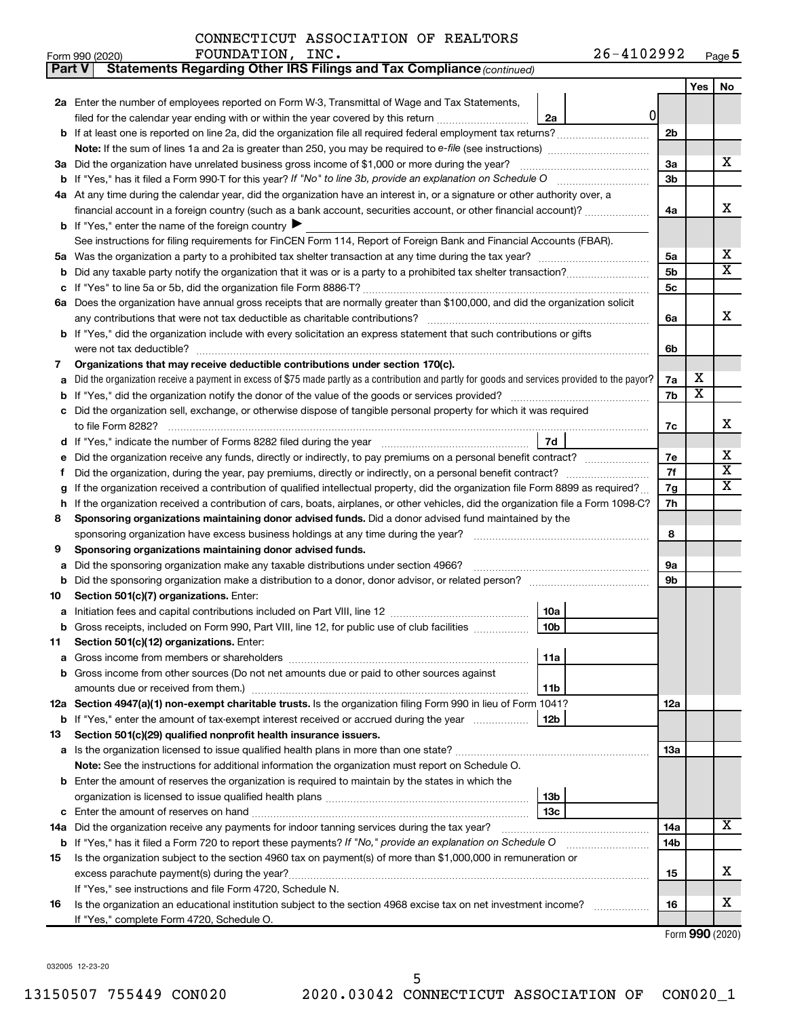|    |                                                                                                                                                                                                                                                                                                                                                                                                                                                                                                                                                                                                                                                                                                                                                                                                                                                                                                                                                                                                                                                                                                                                                                                                                                                                                                                                                                                                                                                                                                                                                                                                                                                                                                                                                                                                                                                                                                                                                                                                                                                                                                                                                                                                                                                                                                                                                                                                                                                                                                                                                                                                                                                                                                                                                                                                                                                                                                                                                |     | Yes                     | No                           |  |  |  |  |
|----|------------------------------------------------------------------------------------------------------------------------------------------------------------------------------------------------------------------------------------------------------------------------------------------------------------------------------------------------------------------------------------------------------------------------------------------------------------------------------------------------------------------------------------------------------------------------------------------------------------------------------------------------------------------------------------------------------------------------------------------------------------------------------------------------------------------------------------------------------------------------------------------------------------------------------------------------------------------------------------------------------------------------------------------------------------------------------------------------------------------------------------------------------------------------------------------------------------------------------------------------------------------------------------------------------------------------------------------------------------------------------------------------------------------------------------------------------------------------------------------------------------------------------------------------------------------------------------------------------------------------------------------------------------------------------------------------------------------------------------------------------------------------------------------------------------------------------------------------------------------------------------------------------------------------------------------------------------------------------------------------------------------------------------------------------------------------------------------------------------------------------------------------------------------------------------------------------------------------------------------------------------------------------------------------------------------------------------------------------------------------------------------------------------------------------------------------------------------------------------------------------------------------------------------------------------------------------------------------------------------------------------------------------------------------------------------------------------------------------------------------------------------------------------------------------------------------------------------------------------------------------------------------------------------------------------------------|-----|-------------------------|------------------------------|--|--|--|--|
|    |                                                                                                                                                                                                                                                                                                                                                                                                                                                                                                                                                                                                                                                                                                                                                                                                                                                                                                                                                                                                                                                                                                                                                                                                                                                                                                                                                                                                                                                                                                                                                                                                                                                                                                                                                                                                                                                                                                                                                                                                                                                                                                                                                                                                                                                                                                                                                                                                                                                                                                                                                                                                                                                                                                                                                                                                                                                                                                                                                |     |                         |                              |  |  |  |  |
|    | 2a                                                                                                                                                                                                                                                                                                                                                                                                                                                                                                                                                                                                                                                                                                                                                                                                                                                                                                                                                                                                                                                                                                                                                                                                                                                                                                                                                                                                                                                                                                                                                                                                                                                                                                                                                                                                                                                                                                                                                                                                                                                                                                                                                                                                                                                                                                                                                                                                                                                                                                                                                                                                                                                                                                                                                                                                                                                                                                                                             |     |                         |                              |  |  |  |  |
| b  |                                                                                                                                                                                                                                                                                                                                                                                                                                                                                                                                                                                                                                                                                                                                                                                                                                                                                                                                                                                                                                                                                                                                                                                                                                                                                                                                                                                                                                                                                                                                                                                                                                                                                                                                                                                                                                                                                                                                                                                                                                                                                                                                                                                                                                                                                                                                                                                                                                                                                                                                                                                                                                                                                                                                                                                                                                                                                                                                                | 2b  |                         |                              |  |  |  |  |
|    |                                                                                                                                                                                                                                                                                                                                                                                                                                                                                                                                                                                                                                                                                                                                                                                                                                                                                                                                                                                                                                                                                                                                                                                                                                                                                                                                                                                                                                                                                                                                                                                                                                                                                                                                                                                                                                                                                                                                                                                                                                                                                                                                                                                                                                                                                                                                                                                                                                                                                                                                                                                                                                                                                                                                                                                                                                                                                                                                                |     |                         |                              |  |  |  |  |
| За |                                                                                                                                                                                                                                                                                                                                                                                                                                                                                                                                                                                                                                                                                                                                                                                                                                                                                                                                                                                                                                                                                                                                                                                                                                                                                                                                                                                                                                                                                                                                                                                                                                                                                                                                                                                                                                                                                                                                                                                                                                                                                                                                                                                                                                                                                                                                                                                                                                                                                                                                                                                                                                                                                                                                                                                                                                                                                                                                                | За  |                         | х                            |  |  |  |  |
| b  |                                                                                                                                                                                                                                                                                                                                                                                                                                                                                                                                                                                                                                                                                                                                                                                                                                                                                                                                                                                                                                                                                                                                                                                                                                                                                                                                                                                                                                                                                                                                                                                                                                                                                                                                                                                                                                                                                                                                                                                                                                                                                                                                                                                                                                                                                                                                                                                                                                                                                                                                                                                                                                                                                                                                                                                                                                                                                                                                                | 3b  |                         |                              |  |  |  |  |
|    |                                                                                                                                                                                                                                                                                                                                                                                                                                                                                                                                                                                                                                                                                                                                                                                                                                                                                                                                                                                                                                                                                                                                                                                                                                                                                                                                                                                                                                                                                                                                                                                                                                                                                                                                                                                                                                                                                                                                                                                                                                                                                                                                                                                                                                                                                                                                                                                                                                                                                                                                                                                                                                                                                                                                                                                                                                                                                                                                                |     |                         |                              |  |  |  |  |
|    |                                                                                                                                                                                                                                                                                                                                                                                                                                                                                                                                                                                                                                                                                                                                                                                                                                                                                                                                                                                                                                                                                                                                                                                                                                                                                                                                                                                                                                                                                                                                                                                                                                                                                                                                                                                                                                                                                                                                                                                                                                                                                                                                                                                                                                                                                                                                                                                                                                                                                                                                                                                                                                                                                                                                                                                                                                                                                                                                                | 4a  |                         | х                            |  |  |  |  |
|    |                                                                                                                                                                                                                                                                                                                                                                                                                                                                                                                                                                                                                                                                                                                                                                                                                                                                                                                                                                                                                                                                                                                                                                                                                                                                                                                                                                                                                                                                                                                                                                                                                                                                                                                                                                                                                                                                                                                                                                                                                                                                                                                                                                                                                                                                                                                                                                                                                                                                                                                                                                                                                                                                                                                                                                                                                                                                                                                                                |     |                         |                              |  |  |  |  |
|    | Statements Regarding Other IRS Filings and Tax Compliance (continued)<br> 0 <br>filed for the calendar year ending with or within the year covered by this return<br>If at least one is reported on line 2a, did the organization file all required federal employment tax returns?<br>Note: If the sum of lines 1a and 2a is greater than 250, you may be required to e-file (see instructions) <i>marroummann</i><br>Did the organization have unrelated business gross income of \$1,000 or more during the year?<br>financial account in a foreign country (such as a bank account, securities account, or other financial account)?<br>See instructions for filing requirements for FinCEN Form 114, Report of Foreign Bank and Financial Accounts (FBAR).<br>5b<br>any contributions that were not tax deductible as charitable contributions?<br>If "Yes," did the organization include with every solicitation an express statement that such contributions or gifts<br>were not tax deductible?<br>Organizations that may receive deductible contributions under section 170(c).<br>Did the organization receive a payment in excess of \$75 made partly as a contribution and partly for goods and services provided to the payor?<br>Did the organization sell, exchange, or otherwise dispose of tangible personal property for which it was required<br>7d<br>Did the organization receive any funds, directly or indirectly, to pay premiums on a personal benefit contract?<br>7f<br>If the organization received a contribution of qualified intellectual property, did the organization file Form 8899 as required?<br>7g<br>7h<br>If the organization received a contribution of cars, boats, airplanes, or other vehicles, did the organization file a Form 1098-C?<br>Sponsoring organizations maintaining donor advised funds. Did a donor advised fund maintained by the<br>Sponsoring organizations maintaining donor advised funds.<br>Did the sponsoring organization make any taxable distributions under section 4966?<br>Section 501(c)(7) organizations. Enter:<br>10a<br>Gross receipts, included on Form 990, Part VIII, line 12, for public use of club facilities<br>10b<br>Section 501(c)(12) organizations. Enter:<br>11a<br>Gross income from other sources (Do not net amounts due or paid to other sources against<br>amounts due or received from them.)<br>11b<br>12b<br>Section 501(c)(29) qualified nonprofit health insurance issuers.<br><b>Note:</b> See the instructions for additional information the organization must report on Schedule O.<br>Enter the amount of reserves the organization is required to maintain by the states in which the<br>13b<br>13c<br>Is the organization subject to the section 4960 tax on payment(s) of more than \$1,000,000 in remuneration or<br>excess parachute payment(s) during the year?<br>If "Yes," see instructions and file Form 4720, Schedule N. |     |                         |                              |  |  |  |  |
| 5a |                                                                                                                                                                                                                                                                                                                                                                                                                                                                                                                                                                                                                                                                                                                                                                                                                                                                                                                                                                                                                                                                                                                                                                                                                                                                                                                                                                                                                                                                                                                                                                                                                                                                                                                                                                                                                                                                                                                                                                                                                                                                                                                                                                                                                                                                                                                                                                                                                                                                                                                                                                                                                                                                                                                                                                                                                                                                                                                                                | 5a  |                         | х                            |  |  |  |  |
| b  | <b>Part V</b><br>2a Enter the number of employees reported on Form W-3, Transmittal of Wage and Tax Statements,<br>4a At any time during the calendar year, did the organization have an interest in, or a signature or other authority over, a<br><b>b</b> If "Yes," enter the name of the foreign country $\blacktriangleright$<br>6a Does the organization have annual gross receipts that are normally greater than \$100,000, and did the organization solicit<br>b<br>a<br>b<br>d<br>f<br>g<br>h<br>а<br>b<br>а<br>а<br>b<br>12a Section 4947(a)(1) non-exempt charitable trusts. Is the organization filing Form 990 in lieu of Form 1041?<br>b If "Yes," enter the amount of tax-exempt interest received or accrued during the year<br>a Is the organization licensed to issue qualified health plans in more than one state?<br>b<br>с<br>14a Did the organization receive any payments for indoor tanning services during the tax year?<br><b>b</b> If "Yes," has it filed a Form 720 to report these payments? If "No," provide an explanation on Schedule O                                                                                                                                                                                                                                                                                                                                                                                                                                                                                                                                                                                                                                                                                                                                                                                                                                                                                                                                                                                                                                                                                                                                                                                                                                                                                                                                                                                                                                                                                                                                                                                                                                                                                                                                                                                                                                                                       |     |                         | $\overline{\mathbf{X}}$      |  |  |  |  |
|    |                                                                                                                                                                                                                                                                                                                                                                                                                                                                                                                                                                                                                                                                                                                                                                                                                                                                                                                                                                                                                                                                                                                                                                                                                                                                                                                                                                                                                                                                                                                                                                                                                                                                                                                                                                                                                                                                                                                                                                                                                                                                                                                                                                                                                                                                                                                                                                                                                                                                                                                                                                                                                                                                                                                                                                                                                                                                                                                                                | 5с  |                         |                              |  |  |  |  |
|    |                                                                                                                                                                                                                                                                                                                                                                                                                                                                                                                                                                                                                                                                                                                                                                                                                                                                                                                                                                                                                                                                                                                                                                                                                                                                                                                                                                                                                                                                                                                                                                                                                                                                                                                                                                                                                                                                                                                                                                                                                                                                                                                                                                                                                                                                                                                                                                                                                                                                                                                                                                                                                                                                                                                                                                                                                                                                                                                                                |     |                         |                              |  |  |  |  |
|    |                                                                                                                                                                                                                                                                                                                                                                                                                                                                                                                                                                                                                                                                                                                                                                                                                                                                                                                                                                                                                                                                                                                                                                                                                                                                                                                                                                                                                                                                                                                                                                                                                                                                                                                                                                                                                                                                                                                                                                                                                                                                                                                                                                                                                                                                                                                                                                                                                                                                                                                                                                                                                                                                                                                                                                                                                                                                                                                                                | 6a  |                         | х                            |  |  |  |  |
|    |                                                                                                                                                                                                                                                                                                                                                                                                                                                                                                                                                                                                                                                                                                                                                                                                                                                                                                                                                                                                                                                                                                                                                                                                                                                                                                                                                                                                                                                                                                                                                                                                                                                                                                                                                                                                                                                                                                                                                                                                                                                                                                                                                                                                                                                                                                                                                                                                                                                                                                                                                                                                                                                                                                                                                                                                                                                                                                                                                |     |                         |                              |  |  |  |  |
|    |                                                                                                                                                                                                                                                                                                                                                                                                                                                                                                                                                                                                                                                                                                                                                                                                                                                                                                                                                                                                                                                                                                                                                                                                                                                                                                                                                                                                                                                                                                                                                                                                                                                                                                                                                                                                                                                                                                                                                                                                                                                                                                                                                                                                                                                                                                                                                                                                                                                                                                                                                                                                                                                                                                                                                                                                                                                                                                                                                | 6b  |                         |                              |  |  |  |  |
| 7  |                                                                                                                                                                                                                                                                                                                                                                                                                                                                                                                                                                                                                                                                                                                                                                                                                                                                                                                                                                                                                                                                                                                                                                                                                                                                                                                                                                                                                                                                                                                                                                                                                                                                                                                                                                                                                                                                                                                                                                                                                                                                                                                                                                                                                                                                                                                                                                                                                                                                                                                                                                                                                                                                                                                                                                                                                                                                                                                                                |     |                         |                              |  |  |  |  |
|    |                                                                                                                                                                                                                                                                                                                                                                                                                                                                                                                                                                                                                                                                                                                                                                                                                                                                                                                                                                                                                                                                                                                                                                                                                                                                                                                                                                                                                                                                                                                                                                                                                                                                                                                                                                                                                                                                                                                                                                                                                                                                                                                                                                                                                                                                                                                                                                                                                                                                                                                                                                                                                                                                                                                                                                                                                                                                                                                                                | 7a  | х                       |                              |  |  |  |  |
|    |                                                                                                                                                                                                                                                                                                                                                                                                                                                                                                                                                                                                                                                                                                                                                                                                                                                                                                                                                                                                                                                                                                                                                                                                                                                                                                                                                                                                                                                                                                                                                                                                                                                                                                                                                                                                                                                                                                                                                                                                                                                                                                                                                                                                                                                                                                                                                                                                                                                                                                                                                                                                                                                                                                                                                                                                                                                                                                                                                | 7b  | $\overline{\textbf{x}}$ |                              |  |  |  |  |
|    |                                                                                                                                                                                                                                                                                                                                                                                                                                                                                                                                                                                                                                                                                                                                                                                                                                                                                                                                                                                                                                                                                                                                                                                                                                                                                                                                                                                                                                                                                                                                                                                                                                                                                                                                                                                                                                                                                                                                                                                                                                                                                                                                                                                                                                                                                                                                                                                                                                                                                                                                                                                                                                                                                                                                                                                                                                                                                                                                                |     |                         |                              |  |  |  |  |
|    |                                                                                                                                                                                                                                                                                                                                                                                                                                                                                                                                                                                                                                                                                                                                                                                                                                                                                                                                                                                                                                                                                                                                                                                                                                                                                                                                                                                                                                                                                                                                                                                                                                                                                                                                                                                                                                                                                                                                                                                                                                                                                                                                                                                                                                                                                                                                                                                                                                                                                                                                                                                                                                                                                                                                                                                                                                                                                                                                                | 7c  |                         | х                            |  |  |  |  |
|    |                                                                                                                                                                                                                                                                                                                                                                                                                                                                                                                                                                                                                                                                                                                                                                                                                                                                                                                                                                                                                                                                                                                                                                                                                                                                                                                                                                                                                                                                                                                                                                                                                                                                                                                                                                                                                                                                                                                                                                                                                                                                                                                                                                                                                                                                                                                                                                                                                                                                                                                                                                                                                                                                                                                                                                                                                                                                                                                                                |     |                         |                              |  |  |  |  |
|    |                                                                                                                                                                                                                                                                                                                                                                                                                                                                                                                                                                                                                                                                                                                                                                                                                                                                                                                                                                                                                                                                                                                                                                                                                                                                                                                                                                                                                                                                                                                                                                                                                                                                                                                                                                                                                                                                                                                                                                                                                                                                                                                                                                                                                                                                                                                                                                                                                                                                                                                                                                                                                                                                                                                                                                                                                                                                                                                                                | 7e  |                         | х<br>$\overline{\textbf{X}}$ |  |  |  |  |
|    |                                                                                                                                                                                                                                                                                                                                                                                                                                                                                                                                                                                                                                                                                                                                                                                                                                                                                                                                                                                                                                                                                                                                                                                                                                                                                                                                                                                                                                                                                                                                                                                                                                                                                                                                                                                                                                                                                                                                                                                                                                                                                                                                                                                                                                                                                                                                                                                                                                                                                                                                                                                                                                                                                                                                                                                                                                                                                                                                                |     |                         |                              |  |  |  |  |
|    |                                                                                                                                                                                                                                                                                                                                                                                                                                                                                                                                                                                                                                                                                                                                                                                                                                                                                                                                                                                                                                                                                                                                                                                                                                                                                                                                                                                                                                                                                                                                                                                                                                                                                                                                                                                                                                                                                                                                                                                                                                                                                                                                                                                                                                                                                                                                                                                                                                                                                                                                                                                                                                                                                                                                                                                                                                                                                                                                                |     |                         |                              |  |  |  |  |
|    |                                                                                                                                                                                                                                                                                                                                                                                                                                                                                                                                                                                                                                                                                                                                                                                                                                                                                                                                                                                                                                                                                                                                                                                                                                                                                                                                                                                                                                                                                                                                                                                                                                                                                                                                                                                                                                                                                                                                                                                                                                                                                                                                                                                                                                                                                                                                                                                                                                                                                                                                                                                                                                                                                                                                                                                                                                                                                                                                                |     |                         |                              |  |  |  |  |
| 8  |                                                                                                                                                                                                                                                                                                                                                                                                                                                                                                                                                                                                                                                                                                                                                                                                                                                                                                                                                                                                                                                                                                                                                                                                                                                                                                                                                                                                                                                                                                                                                                                                                                                                                                                                                                                                                                                                                                                                                                                                                                                                                                                                                                                                                                                                                                                                                                                                                                                                                                                                                                                                                                                                                                                                                                                                                                                                                                                                                |     |                         |                              |  |  |  |  |
|    |                                                                                                                                                                                                                                                                                                                                                                                                                                                                                                                                                                                                                                                                                                                                                                                                                                                                                                                                                                                                                                                                                                                                                                                                                                                                                                                                                                                                                                                                                                                                                                                                                                                                                                                                                                                                                                                                                                                                                                                                                                                                                                                                                                                                                                                                                                                                                                                                                                                                                                                                                                                                                                                                                                                                                                                                                                                                                                                                                | 8   |                         |                              |  |  |  |  |
| 9  |                                                                                                                                                                                                                                                                                                                                                                                                                                                                                                                                                                                                                                                                                                                                                                                                                                                                                                                                                                                                                                                                                                                                                                                                                                                                                                                                                                                                                                                                                                                                                                                                                                                                                                                                                                                                                                                                                                                                                                                                                                                                                                                                                                                                                                                                                                                                                                                                                                                                                                                                                                                                                                                                                                                                                                                                                                                                                                                                                |     |                         |                              |  |  |  |  |
|    |                                                                                                                                                                                                                                                                                                                                                                                                                                                                                                                                                                                                                                                                                                                                                                                                                                                                                                                                                                                                                                                                                                                                                                                                                                                                                                                                                                                                                                                                                                                                                                                                                                                                                                                                                                                                                                                                                                                                                                                                                                                                                                                                                                                                                                                                                                                                                                                                                                                                                                                                                                                                                                                                                                                                                                                                                                                                                                                                                | 9а  |                         |                              |  |  |  |  |
|    |                                                                                                                                                                                                                                                                                                                                                                                                                                                                                                                                                                                                                                                                                                                                                                                                                                                                                                                                                                                                                                                                                                                                                                                                                                                                                                                                                                                                                                                                                                                                                                                                                                                                                                                                                                                                                                                                                                                                                                                                                                                                                                                                                                                                                                                                                                                                                                                                                                                                                                                                                                                                                                                                                                                                                                                                                                                                                                                                                | 9b  |                         |                              |  |  |  |  |
| 10 |                                                                                                                                                                                                                                                                                                                                                                                                                                                                                                                                                                                                                                                                                                                                                                                                                                                                                                                                                                                                                                                                                                                                                                                                                                                                                                                                                                                                                                                                                                                                                                                                                                                                                                                                                                                                                                                                                                                                                                                                                                                                                                                                                                                                                                                                                                                                                                                                                                                                                                                                                                                                                                                                                                                                                                                                                                                                                                                                                |     |                         |                              |  |  |  |  |
|    |                                                                                                                                                                                                                                                                                                                                                                                                                                                                                                                                                                                                                                                                                                                                                                                                                                                                                                                                                                                                                                                                                                                                                                                                                                                                                                                                                                                                                                                                                                                                                                                                                                                                                                                                                                                                                                                                                                                                                                                                                                                                                                                                                                                                                                                                                                                                                                                                                                                                                                                                                                                                                                                                                                                                                                                                                                                                                                                                                |     |                         |                              |  |  |  |  |
|    |                                                                                                                                                                                                                                                                                                                                                                                                                                                                                                                                                                                                                                                                                                                                                                                                                                                                                                                                                                                                                                                                                                                                                                                                                                                                                                                                                                                                                                                                                                                                                                                                                                                                                                                                                                                                                                                                                                                                                                                                                                                                                                                                                                                                                                                                                                                                                                                                                                                                                                                                                                                                                                                                                                                                                                                                                                                                                                                                                |     |                         |                              |  |  |  |  |
| 11 |                                                                                                                                                                                                                                                                                                                                                                                                                                                                                                                                                                                                                                                                                                                                                                                                                                                                                                                                                                                                                                                                                                                                                                                                                                                                                                                                                                                                                                                                                                                                                                                                                                                                                                                                                                                                                                                                                                                                                                                                                                                                                                                                                                                                                                                                                                                                                                                                                                                                                                                                                                                                                                                                                                                                                                                                                                                                                                                                                |     |                         |                              |  |  |  |  |
|    |                                                                                                                                                                                                                                                                                                                                                                                                                                                                                                                                                                                                                                                                                                                                                                                                                                                                                                                                                                                                                                                                                                                                                                                                                                                                                                                                                                                                                                                                                                                                                                                                                                                                                                                                                                                                                                                                                                                                                                                                                                                                                                                                                                                                                                                                                                                                                                                                                                                                                                                                                                                                                                                                                                                                                                                                                                                                                                                                                |     |                         |                              |  |  |  |  |
|    |                                                                                                                                                                                                                                                                                                                                                                                                                                                                                                                                                                                                                                                                                                                                                                                                                                                                                                                                                                                                                                                                                                                                                                                                                                                                                                                                                                                                                                                                                                                                                                                                                                                                                                                                                                                                                                                                                                                                                                                                                                                                                                                                                                                                                                                                                                                                                                                                                                                                                                                                                                                                                                                                                                                                                                                                                                                                                                                                                |     |                         |                              |  |  |  |  |
|    |                                                                                                                                                                                                                                                                                                                                                                                                                                                                                                                                                                                                                                                                                                                                                                                                                                                                                                                                                                                                                                                                                                                                                                                                                                                                                                                                                                                                                                                                                                                                                                                                                                                                                                                                                                                                                                                                                                                                                                                                                                                                                                                                                                                                                                                                                                                                                                                                                                                                                                                                                                                                                                                                                                                                                                                                                                                                                                                                                |     |                         |                              |  |  |  |  |
|    |                                                                                                                                                                                                                                                                                                                                                                                                                                                                                                                                                                                                                                                                                                                                                                                                                                                                                                                                                                                                                                                                                                                                                                                                                                                                                                                                                                                                                                                                                                                                                                                                                                                                                                                                                                                                                                                                                                                                                                                                                                                                                                                                                                                                                                                                                                                                                                                                                                                                                                                                                                                                                                                                                                                                                                                                                                                                                                                                                | 12a |                         |                              |  |  |  |  |
|    |                                                                                                                                                                                                                                                                                                                                                                                                                                                                                                                                                                                                                                                                                                                                                                                                                                                                                                                                                                                                                                                                                                                                                                                                                                                                                                                                                                                                                                                                                                                                                                                                                                                                                                                                                                                                                                                                                                                                                                                                                                                                                                                                                                                                                                                                                                                                                                                                                                                                                                                                                                                                                                                                                                                                                                                                                                                                                                                                                |     |                         |                              |  |  |  |  |
| 13 |                                                                                                                                                                                                                                                                                                                                                                                                                                                                                                                                                                                                                                                                                                                                                                                                                                                                                                                                                                                                                                                                                                                                                                                                                                                                                                                                                                                                                                                                                                                                                                                                                                                                                                                                                                                                                                                                                                                                                                                                                                                                                                                                                                                                                                                                                                                                                                                                                                                                                                                                                                                                                                                                                                                                                                                                                                                                                                                                                |     |                         |                              |  |  |  |  |
|    |                                                                                                                                                                                                                                                                                                                                                                                                                                                                                                                                                                                                                                                                                                                                                                                                                                                                                                                                                                                                                                                                                                                                                                                                                                                                                                                                                                                                                                                                                                                                                                                                                                                                                                                                                                                                                                                                                                                                                                                                                                                                                                                                                                                                                                                                                                                                                                                                                                                                                                                                                                                                                                                                                                                                                                                                                                                                                                                                                | 13a |                         |                              |  |  |  |  |
|    |                                                                                                                                                                                                                                                                                                                                                                                                                                                                                                                                                                                                                                                                                                                                                                                                                                                                                                                                                                                                                                                                                                                                                                                                                                                                                                                                                                                                                                                                                                                                                                                                                                                                                                                                                                                                                                                                                                                                                                                                                                                                                                                                                                                                                                                                                                                                                                                                                                                                                                                                                                                                                                                                                                                                                                                                                                                                                                                                                |     |                         |                              |  |  |  |  |
|    |                                                                                                                                                                                                                                                                                                                                                                                                                                                                                                                                                                                                                                                                                                                                                                                                                                                                                                                                                                                                                                                                                                                                                                                                                                                                                                                                                                                                                                                                                                                                                                                                                                                                                                                                                                                                                                                                                                                                                                                                                                                                                                                                                                                                                                                                                                                                                                                                                                                                                                                                                                                                                                                                                                                                                                                                                                                                                                                                                |     |                         |                              |  |  |  |  |
|    |                                                                                                                                                                                                                                                                                                                                                                                                                                                                                                                                                                                                                                                                                                                                                                                                                                                                                                                                                                                                                                                                                                                                                                                                                                                                                                                                                                                                                                                                                                                                                                                                                                                                                                                                                                                                                                                                                                                                                                                                                                                                                                                                                                                                                                                                                                                                                                                                                                                                                                                                                                                                                                                                                                                                                                                                                                                                                                                                                |     |                         |                              |  |  |  |  |
|    |                                                                                                                                                                                                                                                                                                                                                                                                                                                                                                                                                                                                                                                                                                                                                                                                                                                                                                                                                                                                                                                                                                                                                                                                                                                                                                                                                                                                                                                                                                                                                                                                                                                                                                                                                                                                                                                                                                                                                                                                                                                                                                                                                                                                                                                                                                                                                                                                                                                                                                                                                                                                                                                                                                                                                                                                                                                                                                                                                | 14a |                         | Χ                            |  |  |  |  |
|    |                                                                                                                                                                                                                                                                                                                                                                                                                                                                                                                                                                                                                                                                                                                                                                                                                                                                                                                                                                                                                                                                                                                                                                                                                                                                                                                                                                                                                                                                                                                                                                                                                                                                                                                                                                                                                                                                                                                                                                                                                                                                                                                                                                                                                                                                                                                                                                                                                                                                                                                                                                                                                                                                                                                                                                                                                                                                                                                                                | 14b |                         |                              |  |  |  |  |
| 15 |                                                                                                                                                                                                                                                                                                                                                                                                                                                                                                                                                                                                                                                                                                                                                                                                                                                                                                                                                                                                                                                                                                                                                                                                                                                                                                                                                                                                                                                                                                                                                                                                                                                                                                                                                                                                                                                                                                                                                                                                                                                                                                                                                                                                                                                                                                                                                                                                                                                                                                                                                                                                                                                                                                                                                                                                                                                                                                                                                |     |                         |                              |  |  |  |  |
|    |                                                                                                                                                                                                                                                                                                                                                                                                                                                                                                                                                                                                                                                                                                                                                                                                                                                                                                                                                                                                                                                                                                                                                                                                                                                                                                                                                                                                                                                                                                                                                                                                                                                                                                                                                                                                                                                                                                                                                                                                                                                                                                                                                                                                                                                                                                                                                                                                                                                                                                                                                                                                                                                                                                                                                                                                                                                                                                                                                | 15  |                         | х                            |  |  |  |  |
|    |                                                                                                                                                                                                                                                                                                                                                                                                                                                                                                                                                                                                                                                                                                                                                                                                                                                                                                                                                                                                                                                                                                                                                                                                                                                                                                                                                                                                                                                                                                                                                                                                                                                                                                                                                                                                                                                                                                                                                                                                                                                                                                                                                                                                                                                                                                                                                                                                                                                                                                                                                                                                                                                                                                                                                                                                                                                                                                                                                |     |                         |                              |  |  |  |  |
| 16 | Is the organization an educational institution subject to the section 4968 excise tax on net investment income?                                                                                                                                                                                                                                                                                                                                                                                                                                                                                                                                                                                                                                                                                                                                                                                                                                                                                                                                                                                                                                                                                                                                                                                                                                                                                                                                                                                                                                                                                                                                                                                                                                                                                                                                                                                                                                                                                                                                                                                                                                                                                                                                                                                                                                                                                                                                                                                                                                                                                                                                                                                                                                                                                                                                                                                                                                | 16  |                         | x                            |  |  |  |  |
|    | If "Yes," complete Form 4720, Schedule O.                                                                                                                                                                                                                                                                                                                                                                                                                                                                                                                                                                                                                                                                                                                                                                                                                                                                                                                                                                                                                                                                                                                                                                                                                                                                                                                                                                                                                                                                                                                                                                                                                                                                                                                                                                                                                                                                                                                                                                                                                                                                                                                                                                                                                                                                                                                                                                                                                                                                                                                                                                                                                                                                                                                                                                                                                                                                                                      |     |                         |                              |  |  |  |  |
|    |                                                                                                                                                                                                                                                                                                                                                                                                                                                                                                                                                                                                                                                                                                                                                                                                                                                                                                                                                                                                                                                                                                                                                                                                                                                                                                                                                                                                                                                                                                                                                                                                                                                                                                                                                                                                                                                                                                                                                                                                                                                                                                                                                                                                                                                                                                                                                                                                                                                                                                                                                                                                                                                                                                                                                                                                                                                                                                                                                |     |                         |                              |  |  |  |  |

Form (2020) **990**

032005 12-23-20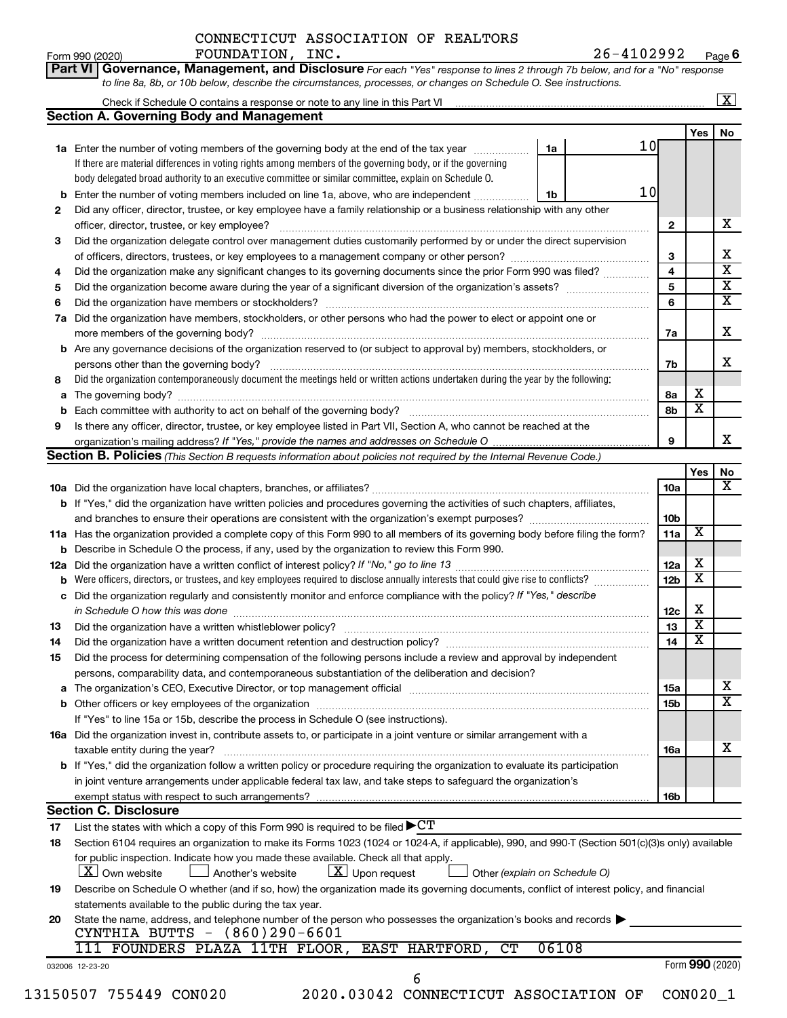**Part VI** Governance, Management, and Disclosure For each "Yes" response to lines 2 through 7b below, and for a "No" response

Form 990 (2020)  $\qquad \qquad \text{FOUNDATION}$ ,  $\text{INC.} \qquad \qquad \qquad \text{26--4102992} \qquad \text{Page}$ 26-4102992 Page 6

|     | Check if Schedule O contains a response or note to any line in this Part VI [11] [12] [12] Check if Schedule O contains a response or note to any line in this Part VI<br><b>Section A. Governing Body and Management</b> |    |       |                 |                 |                         | $\boxed{\text{X}}$      |
|-----|---------------------------------------------------------------------------------------------------------------------------------------------------------------------------------------------------------------------------|----|-------|-----------------|-----------------|-------------------------|-------------------------|
|     |                                                                                                                                                                                                                           |    |       |                 |                 | Yes                     | No                      |
|     | 1a Enter the number of voting members of the governing body at the end of the tax year                                                                                                                                    | 1a |       | 10 <sub>l</sub> |                 |                         |                         |
|     | If there are material differences in voting rights among members of the governing body, or if the governing                                                                                                               |    |       |                 |                 |                         |                         |
|     | body delegated broad authority to an executive committee or similar committee, explain on Schedule O.                                                                                                                     |    |       |                 |                 |                         |                         |
|     | Enter the number of voting members included on line 1a, above, who are independent                                                                                                                                        | 1b |       | 10              |                 |                         |                         |
| 2   | Did any officer, director, trustee, or key employee have a family relationship or a business relationship with any other                                                                                                  |    |       |                 |                 |                         |                         |
|     |                                                                                                                                                                                                                           |    |       |                 | $\mathbf{2}$    |                         | х                       |
| З   | Did the organization delegate control over management duties customarily performed by or under the direct supervision                                                                                                     |    |       |                 |                 |                         |                         |
|     |                                                                                                                                                                                                                           |    |       |                 | 3               |                         | X                       |
| 4   | Did the organization make any significant changes to its governing documents since the prior Form 990 was filed?                                                                                                          |    |       |                 | 4               |                         | $\overline{\textbf{X}}$ |
| 5   |                                                                                                                                                                                                                           |    |       |                 | 5               |                         | X                       |
| 6   |                                                                                                                                                                                                                           |    |       |                 | 6               |                         | х                       |
| 7a  | Did the organization have members, stockholders, or other persons who had the power to elect or appoint one or                                                                                                            |    |       |                 |                 |                         |                         |
|     |                                                                                                                                                                                                                           |    |       |                 | 7a              |                         | X                       |
|     | <b>b</b> Are any governance decisions of the organization reserved to (or subject to approval by) members, stockholders, or                                                                                               |    |       |                 |                 |                         |                         |
|     | persons other than the governing body?                                                                                                                                                                                    |    |       |                 | 7b              |                         | х                       |
| 8   | Did the organization contemporaneously document the meetings held or written actions undertaken during the year by the following:                                                                                         |    |       |                 |                 |                         |                         |
| a   |                                                                                                                                                                                                                           |    |       |                 | 8a              | х                       |                         |
|     |                                                                                                                                                                                                                           |    |       |                 | 8b              | $\overline{\textbf{x}}$ |                         |
| 9   | Is there any officer, director, trustee, or key employee listed in Part VII, Section A, who cannot be reached at the                                                                                                      |    |       |                 |                 |                         |                         |
|     |                                                                                                                                                                                                                           |    |       |                 | 9               |                         | X                       |
|     | <b>Section B. Policies</b> (This Section B requests information about policies not required by the Internal Revenue Code.)                                                                                                |    |       |                 |                 |                         |                         |
|     |                                                                                                                                                                                                                           |    |       |                 |                 | Yes                     | No                      |
|     |                                                                                                                                                                                                                           |    |       |                 | 10a             |                         | х                       |
|     | <b>b</b> If "Yes," did the organization have written policies and procedures governing the activities of such chapters, affiliates,                                                                                       |    |       |                 |                 |                         |                         |
|     |                                                                                                                                                                                                                           |    |       |                 | 10 <sub>b</sub> |                         |                         |
|     | 11a Has the organization provided a complete copy of this Form 990 to all members of its governing body before filing the form?                                                                                           |    |       |                 | 11a             | X                       |                         |
|     | <b>b</b> Describe in Schedule O the process, if any, used by the organization to review this Form 990.                                                                                                                    |    |       |                 |                 |                         |                         |
| 12a |                                                                                                                                                                                                                           |    |       |                 | 12a             | Х                       |                         |
|     | Were officers, directors, or trustees, and key employees required to disclose annually interests that could give rise to conflicts?                                                                                       |    |       |                 | 12 <sub>b</sub> | $\overline{\textbf{x}}$ |                         |
|     | c Did the organization regularly and consistently monitor and enforce compliance with the policy? If "Yes," describe                                                                                                      |    |       |                 |                 |                         |                         |
|     | in Schedule O how this was done <b>construction and construction</b> construction of the schedule O how this was done                                                                                                     |    |       |                 | 12c             | Х                       |                         |
| 13  |                                                                                                                                                                                                                           |    |       |                 | 13              | $\overline{\mathbf{X}}$ |                         |
| 14  | Did the organization have a written document retention and destruction policy? [11] manufaction manufaction in                                                                                                            |    |       |                 | 14              | $\overline{\mathbf{X}}$ |                         |
| 15  | Did the process for determining compensation of the following persons include a review and approval by independent                                                                                                        |    |       |                 |                 |                         |                         |
|     | persons, comparability data, and contemporaneous substantiation of the deliberation and decision?                                                                                                                         |    |       |                 |                 |                         |                         |
|     |                                                                                                                                                                                                                           |    |       |                 | 15a             |                         | х                       |
| a   |                                                                                                                                                                                                                           |    |       |                 | 15 <sub>b</sub> |                         | $\overline{\textbf{x}}$ |
|     | If "Yes" to line 15a or 15b, describe the process in Schedule O (see instructions).                                                                                                                                       |    |       |                 |                 |                         |                         |
|     |                                                                                                                                                                                                                           |    |       |                 |                 |                         |                         |
|     | 16a Did the organization invest in, contribute assets to, or participate in a joint venture or similar arrangement with a                                                                                                 |    |       |                 |                 |                         | х                       |
|     | taxable entity during the year?                                                                                                                                                                                           |    |       |                 | 16a             |                         |                         |
|     | b If "Yes," did the organization follow a written policy or procedure requiring the organization to evaluate its participation                                                                                            |    |       |                 |                 |                         |                         |
|     | in joint venture arrangements under applicable federal tax law, and take steps to safeguard the organization's                                                                                                            |    |       |                 |                 |                         |                         |
|     | exempt status with respect to such arrangements?                                                                                                                                                                          |    |       |                 | 16b             |                         |                         |
|     | <b>Section C. Disclosure</b>                                                                                                                                                                                              |    |       |                 |                 |                         |                         |
| 17  | List the states with which a copy of this Form 990 is required to be filed $\blacktriangleright C T$                                                                                                                      |    |       |                 |                 |                         |                         |
| 18  | Section 6104 requires an organization to make its Forms 1023 (1024 or 1024-A, if applicable), 990, and 990-T (Section 501(c)(3)s only) available                                                                          |    |       |                 |                 |                         |                         |
|     | for public inspection. Indicate how you made these available. Check all that apply.                                                                                                                                       |    |       |                 |                 |                         |                         |
|     | $\lfloor x \rfloor$ Upon request<br><b>X</b> Own website<br>Another's website<br>Other (explain on Schedule O)                                                                                                            |    |       |                 |                 |                         |                         |
| 19  | Describe on Schedule O whether (and if so, how) the organization made its governing documents, conflict of interest policy, and financial                                                                                 |    |       |                 |                 |                         |                         |
|     | statements available to the public during the tax year.                                                                                                                                                                   |    |       |                 |                 |                         |                         |
| 20  | State the name, address, and telephone number of the person who possesses the organization's books and records $\blacktriangleright$                                                                                      |    |       |                 |                 |                         |                         |
|     | CYNTHIA BUTTS - (860)290-6601                                                                                                                                                                                             |    |       |                 |                 |                         |                         |
|     | 111 FOUNDERS PLAZA 11TH FLOOR, EAST HARTFORD,<br>CT                                                                                                                                                                       |    | 06108 |                 |                 |                         |                         |
|     | 032006 12-23-20                                                                                                                                                                                                           |    |       |                 |                 | Form 990 (2020)         |                         |
|     | 6<br>2020.03042 CONNECTICUT ASSOCIATION OF<br>13150507 755449 CON020                                                                                                                                                      |    |       |                 |                 |                         |                         |
|     |                                                                                                                                                                                                                           |    |       |                 |                 | CON020_1                |                         |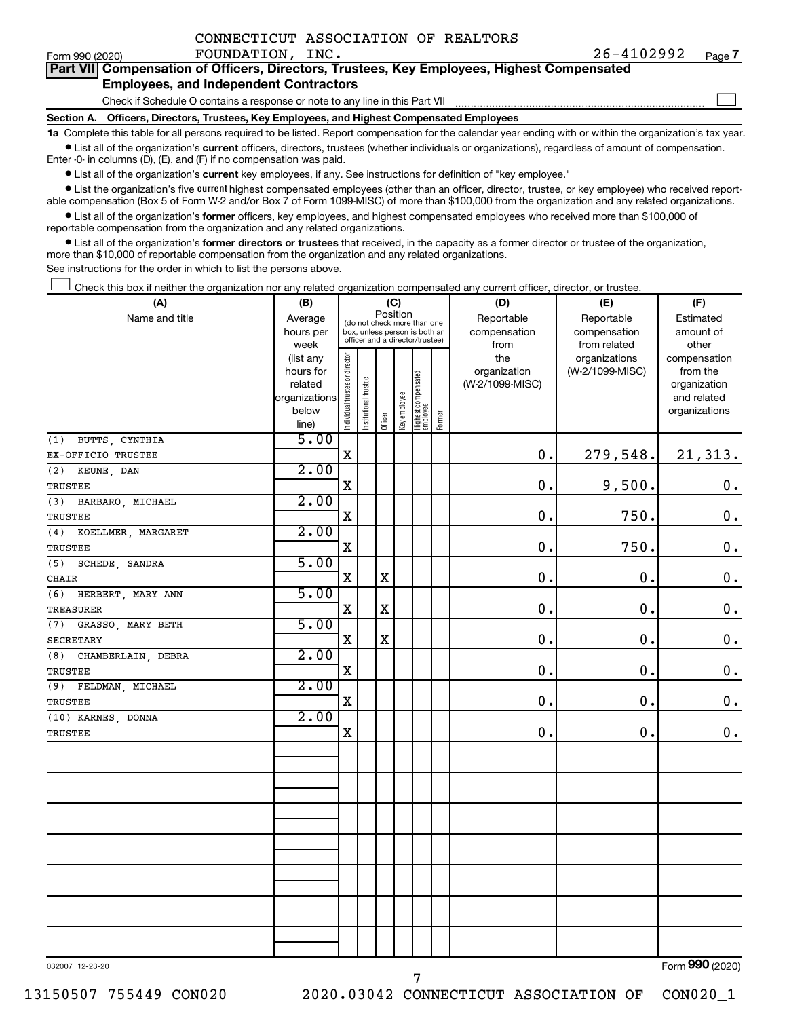$\Box$ 

| --------------- |                                                                                            |  |  |
|-----------------|--------------------------------------------------------------------------------------------|--|--|
|                 | Part VII Compensation of Officers, Directors, Trustees, Key Employees, Highest Compensated |  |  |
|                 | <b>Employees, and Independent Contractors</b>                                              |  |  |

Check if Schedule O contains a response or note to any line in this Part VII

**Section A. Officers, Directors, Trustees, Key Employees, and Highest Compensated Employees**

**1a**  Complete this table for all persons required to be listed. Report compensation for the calendar year ending with or within the organization's tax year.  $\bullet$  List all of the organization's current officers, directors, trustees (whether individuals or organizations), regardless of amount of compensation.

Enter -0- in columns (D), (E), and (F) if no compensation was paid.

**•** List all of the organization's current key employees, if any. See instructions for definition of "key employee."

• List the organization's five *current* highest compensated employees (other than an officer, director, trustee, or key employee) who received reportable compensation (Box 5 of Form W-2 and/or Box 7 of Form 1099-MISC) of more than \$100,000 from the organization and any related organizations.

 $\bullet$  List all of the organization's former officers, key employees, and highest compensated employees who received more than \$100,000 of reportable compensation from the organization and any related organizations.

**•** List all of the organization's former directors or trustees that received, in the capacity as a former director or trustee of the organization, more than \$10,000 of reportable compensation from the organization and any related organizations.

See instructions for the order in which to list the persons above.

Check this box if neither the organization nor any related organization compensated any current officer, director, or trustee.  $\Box$ 

| (A)                       | (B)                    | (C)                            |                                                                  |             |              |                                 |        | (D)                 | (E)                              | (F)                      |  |  |
|---------------------------|------------------------|--------------------------------|------------------------------------------------------------------|-------------|--------------|---------------------------------|--------|---------------------|----------------------------------|--------------------------|--|--|
| Name and title            | Average                |                                | (do not check more than one                                      | Position    |              |                                 |        | Reportable          | Reportable                       | Estimated                |  |  |
|                           | hours per              |                                | box, unless person is both an<br>officer and a director/trustee) |             |              |                                 |        | compensation        | compensation                     | amount of                |  |  |
|                           | week                   |                                |                                                                  |             |              |                                 |        | from                | from related                     | other                    |  |  |
|                           | (list any<br>hours for |                                |                                                                  |             |              |                                 |        | the<br>organization | organizations<br>(W-2/1099-MISC) | compensation<br>from the |  |  |
|                           | related                |                                |                                                                  |             |              |                                 |        | (W-2/1099-MISC)     |                                  | organization             |  |  |
|                           | organizations          |                                |                                                                  |             |              |                                 |        |                     |                                  | and related              |  |  |
|                           | below                  | Individual trustee or director | Institutional trustee                                            |             | Key employee | Highest compensated<br>employee |        |                     |                                  | organizations            |  |  |
|                           | line)                  |                                |                                                                  | Officer     |              |                                 | Former |                     |                                  |                          |  |  |
| (1) BUTTS, CYNTHIA        | 5.00                   |                                |                                                                  |             |              |                                 |        |                     |                                  |                          |  |  |
| EX-OFFICIO TRUSTEE        |                        | $\mathbf X$                    |                                                                  |             |              |                                 |        | 0.                  | 279,548.                         | 21,313.                  |  |  |
| (2)<br>KEUNE, DAN         | 2.00                   |                                |                                                                  |             |              |                                 |        |                     |                                  |                          |  |  |
| TRUSTEE                   |                        | $\mathbf X$                    |                                                                  |             |              |                                 |        | $\mathbf 0$ .       | 9,500.                           | $\mathbf 0$ .            |  |  |
| (3) BARBARO, MICHAEL      | 2.00                   |                                |                                                                  |             |              |                                 |        |                     |                                  |                          |  |  |
| TRUSTEE                   |                        | X                              |                                                                  |             |              |                                 |        | 0.                  | 750.                             | $\boldsymbol{0}$ .       |  |  |
| KOELLMER, MARGARET<br>(4) | 2.00                   |                                |                                                                  |             |              |                                 |        |                     |                                  |                          |  |  |
| TRUSTEE                   |                        | $\mathbf X$                    |                                                                  |             |              |                                 |        | 0.                  | 750.                             | $\mathbf 0$ .            |  |  |
| SCHEDE, SANDRA<br>(5)     | 5.00                   |                                |                                                                  |             |              |                                 |        |                     |                                  |                          |  |  |
| <b>CHAIR</b>              |                        | $\mathbf X$                    |                                                                  | $\mathbf X$ |              |                                 |        | $\mathbf 0$ .       | 0.                               | $\boldsymbol{0}$ .       |  |  |
| (6)<br>HERBERT, MARY ANN  | 5.00                   |                                |                                                                  |             |              |                                 |        |                     |                                  |                          |  |  |
| TREASURER                 |                        | $\mathbf X$                    |                                                                  | $\mathbf X$ |              |                                 |        | $\mathbf 0$         | 0.                               | $\mathbf 0$ .            |  |  |
| (7) GRASSO, MARY BETH     | 5.00                   |                                |                                                                  |             |              |                                 |        |                     |                                  |                          |  |  |
| <b>SECRETARY</b>          |                        | X                              |                                                                  | $\mathbf X$ |              |                                 |        | $\mathbf 0$         | $\mathbf 0$ .                    | $\mathbf 0$ .            |  |  |
| CHAMBERLAIN, DEBRA<br>(8) | 2.00                   |                                |                                                                  |             |              |                                 |        |                     |                                  |                          |  |  |
| TRUSTEE                   |                        | $\mathbf X$                    |                                                                  |             |              |                                 |        | 0.                  | $\mathbf 0$ .                    | $\mathbf 0$ .            |  |  |
| (9) FELDMAN, MICHAEL      | 2.00                   |                                |                                                                  |             |              |                                 |        |                     |                                  |                          |  |  |
| TRUSTEE                   |                        | $\mathbf X$                    |                                                                  |             |              |                                 |        | $\mathbf 0$         | 0.                               | $\mathbf 0$ .            |  |  |
| (10) KARNES, DONNA        | 2.00                   |                                |                                                                  |             |              |                                 |        |                     |                                  |                          |  |  |
| <b>TRUSTEE</b>            |                        | $\mathbf X$                    |                                                                  |             |              |                                 |        | 0.                  | 0.                               | $0$ .                    |  |  |
|                           |                        |                                |                                                                  |             |              |                                 |        |                     |                                  |                          |  |  |
|                           |                        |                                |                                                                  |             |              |                                 |        |                     |                                  |                          |  |  |
|                           |                        |                                |                                                                  |             |              |                                 |        |                     |                                  |                          |  |  |
|                           |                        |                                |                                                                  |             |              |                                 |        |                     |                                  |                          |  |  |
|                           |                        |                                |                                                                  |             |              |                                 |        |                     |                                  |                          |  |  |
|                           |                        |                                |                                                                  |             |              |                                 |        |                     |                                  |                          |  |  |
|                           |                        |                                |                                                                  |             |              |                                 |        |                     |                                  |                          |  |  |
|                           |                        |                                |                                                                  |             |              |                                 |        |                     |                                  |                          |  |  |
|                           |                        |                                |                                                                  |             |              |                                 |        |                     |                                  |                          |  |  |
|                           |                        |                                |                                                                  |             |              |                                 |        |                     |                                  |                          |  |  |
|                           |                        |                                |                                                                  |             |              |                                 |        |                     |                                  |                          |  |  |
|                           |                        |                                |                                                                  |             |              |                                 |        |                     |                                  |                          |  |  |
|                           |                        |                                |                                                                  |             |              |                                 |        |                     |                                  |                          |  |  |
|                           |                        |                                |                                                                  |             |              |                                 |        |                     |                                  |                          |  |  |

032007 12-23-20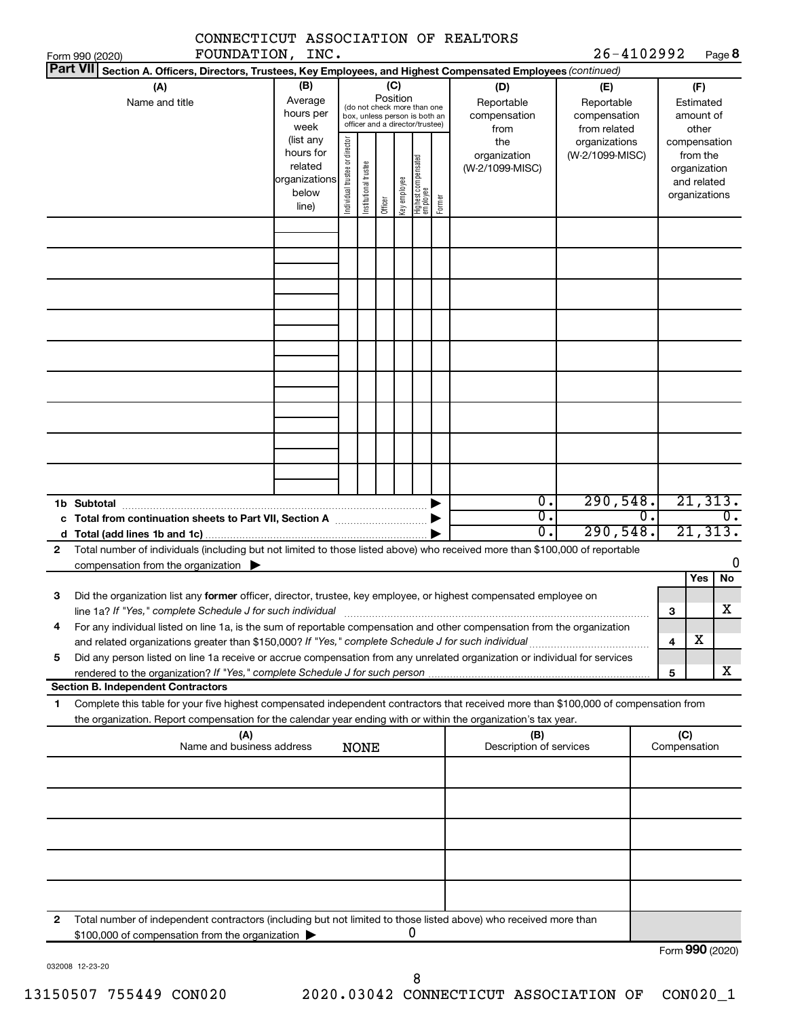|              | CONNECTICUT ASSOCIATION OF REALTORS                                                                                                                                             |                                                                      |                                |                       |         |                 |                                                                                                 |        |                                           |                                                   |                  |                                        |                                                                          |
|--------------|---------------------------------------------------------------------------------------------------------------------------------------------------------------------------------|----------------------------------------------------------------------|--------------------------------|-----------------------|---------|-----------------|-------------------------------------------------------------------------------------------------|--------|-------------------------------------------|---------------------------------------------------|------------------|----------------------------------------|--------------------------------------------------------------------------|
|              | FOUNDATION, INC.<br>Form 990 (2020)                                                                                                                                             |                                                                      |                                |                       |         |                 |                                                                                                 |        |                                           | 26-4102992                                        |                  |                                        | Page 8                                                                   |
|              | Part VII Section A. Officers, Directors, Trustees, Key Employees, and Highest Compensated Employees (continued)                                                                 |                                                                      |                                |                       |         |                 |                                                                                                 |        |                                           |                                                   |                  |                                        |                                                                          |
|              | (A)<br>Name and title                                                                                                                                                           | (B)<br>Average<br>hours per<br>week                                  |                                |                       |         | (C)<br>Position | (do not check more than one<br>box, unless person is both an<br>officer and a director/trustee) |        | (D)<br>Reportable<br>compensation<br>from | (E)<br>Reportable<br>compensation<br>from related |                  | (F)<br>Estimated<br>amount of<br>other |                                                                          |
|              |                                                                                                                                                                                 | (list any<br>hours for<br>related<br>organizations<br>below<br>line) | Individual trustee or director | Institutional trustee | Officer | Key employee    | Highest compensated<br>employee                                                                 | Former | the<br>organization<br>(W-2/1099-MISC)    | organizations<br>(W-2/1099-MISC)                  |                  |                                        | compensation<br>from the<br>organization<br>and related<br>organizations |
|              |                                                                                                                                                                                 |                                                                      |                                |                       |         |                 |                                                                                                 |        |                                           |                                                   |                  |                                        |                                                                          |
|              |                                                                                                                                                                                 |                                                                      |                                |                       |         |                 |                                                                                                 |        |                                           |                                                   |                  |                                        |                                                                          |
|              |                                                                                                                                                                                 |                                                                      |                                |                       |         |                 |                                                                                                 |        |                                           |                                                   |                  |                                        |                                                                          |
|              |                                                                                                                                                                                 |                                                                      |                                |                       |         |                 |                                                                                                 |        |                                           |                                                   |                  |                                        |                                                                          |
|              |                                                                                                                                                                                 |                                                                      |                                |                       |         |                 |                                                                                                 |        |                                           |                                                   |                  |                                        |                                                                          |
|              | 1b Subtotal                                                                                                                                                                     |                                                                      |                                |                       |         |                 |                                                                                                 |        | σ.<br>$\overline{0}$ .<br>σ.              | 290,548.<br>290,548.                              | $\overline{0}$ . |                                        | 21,313.<br>$0$ .<br>21,313.                                              |
| $\mathbf{2}$ | Total number of individuals (including but not limited to those listed above) who received more than \$100,000 of reportable                                                    |                                                                      |                                |                       |         |                 |                                                                                                 |        |                                           |                                                   |                  |                                        |                                                                          |
|              | compensation from the organization $\blacktriangleright$                                                                                                                        |                                                                      |                                |                       |         |                 |                                                                                                 |        |                                           |                                                   |                  |                                        | 0<br>Yes<br>No                                                           |
| з            | Did the organization list any former officer, director, trustee, key employee, or highest compensated employee on<br>line 1a? If "Yes," complete Schedule J for such individual |                                                                      |                                |                       |         |                 |                                                                                                 |        |                                           |                                                   |                  | З                                      | $\overline{\text{X}}$                                                    |
| 4            | For any individual listed on line 1a, is the sum of reportable compensation and other compensation from the organization                                                        |                                                                      |                                |                       |         |                 |                                                                                                 |        |                                           |                                                   |                  | 4                                      | х                                                                        |
| 5            | Did any person listed on line 1a receive or accrue compensation from any unrelated organization or individual for services                                                      |                                                                      |                                |                       |         |                 |                                                                                                 |        |                                           |                                                   |                  |                                        |                                                                          |
|              | <b>Section B. Independent Contractors</b>                                                                                                                                       |                                                                      |                                |                       |         |                 |                                                                                                 |        |                                           |                                                   |                  | 5                                      | x                                                                        |
| 1            | Complete this table for your five highest compensated independent contractors that received more than \$100,000 of compensation from                                            |                                                                      |                                |                       |         |                 |                                                                                                 |        |                                           |                                                   |                  |                                        |                                                                          |
|              | the organization. Report compensation for the calendar year ending with or within the organization's tax year.<br>(A)                                                           |                                                                      |                                |                       |         |                 |                                                                                                 |        |                                           |                                                   |                  | (C)                                    |                                                                          |
|              | Name and business address                                                                                                                                                       |                                                                      |                                | <b>NONE</b>           |         |                 |                                                                                                 |        | (B)<br>Description of services            |                                                   |                  | Compensation                           |                                                                          |
|              |                                                                                                                                                                                 |                                                                      |                                |                       |         |                 |                                                                                                 |        |                                           |                                                   |                  |                                        |                                                                          |
|              |                                                                                                                                                                                 |                                                                      |                                |                       |         |                 |                                                                                                 |        |                                           |                                                   |                  |                                        |                                                                          |
|              |                                                                                                                                                                                 |                                                                      |                                |                       |         |                 |                                                                                                 |        |                                           |                                                   |                  |                                        |                                                                          |
|              |                                                                                                                                                                                 |                                                                      |                                |                       |         |                 |                                                                                                 |        |                                           |                                                   |                  |                                        |                                                                          |
|              |                                                                                                                                                                                 |                                                                      |                                |                       |         |                 |                                                                                                 |        |                                           |                                                   |                  |                                        |                                                                          |
|              |                                                                                                                                                                                 |                                                                      |                                |                       |         |                 |                                                                                                 |        |                                           |                                                   |                  |                                        |                                                                          |
| 2            | Total number of independent contractors (including but not limited to those listed above) who received more than<br>\$100,000 of compensation from the organization             |                                                                      |                                |                       |         | U               |                                                                                                 |        |                                           |                                                   |                  |                                        | $F_{\text{c}}$ 000 (2020)                                                |

032008 12-23-20

Form (2020) **990**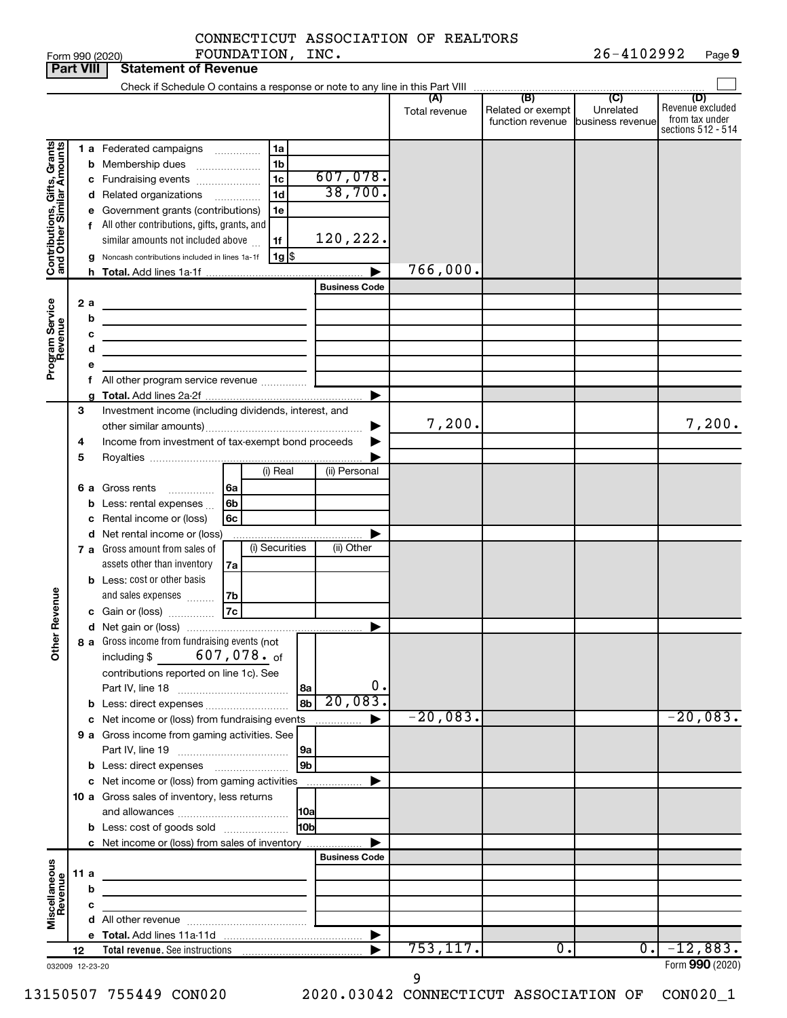Form 990 (2020)  $\qquad \qquad$   $\qquad \qquad$   $\qquad \qquad$   $\qquad \qquad$   $\qquad \qquad$   $\qquad \qquad$   $\qquad \qquad$   $\qquad \qquad$   $\qquad \qquad$   $\qquad \qquad$   $\qquad \qquad$   $\qquad \qquad$   $\qquad \qquad$   $\qquad \qquad$   $\qquad \qquad$   $\qquad \qquad$   $\qquad \qquad$   $\qquad \qquad$   $\qquad \qquad$   $\qquad \qquad$   $\qquad \qquad$   $\qquad \qquad$   $\qquad \qquad$ 26-4102992 Page 9

| <b>Part VIII</b>                                          |      |    | Statement of Revenue                                                                                                 |                            |               |                                   |                  |                                      |
|-----------------------------------------------------------|------|----|----------------------------------------------------------------------------------------------------------------------|----------------------------|---------------|-----------------------------------|------------------|--------------------------------------|
|                                                           |      |    |                                                                                                                      |                            | (A)           | (B)                               | $\overline{C}$   | (D)                                  |
|                                                           |      |    |                                                                                                                      |                            | Total revenue | Related or exempt                 | Unrelated        | Revenue excluded                     |
|                                                           |      |    |                                                                                                                      |                            |               | function revenue business revenue |                  | from tax under<br>sections 512 - 514 |
|                                                           |      |    |                                                                                                                      |                            |               |                                   |                  |                                      |
|                                                           |      |    | 1a<br>1 a Federated campaigns                                                                                        |                            |               |                                   |                  |                                      |
| Contributions, Gifts, Grants<br>and Other Similar Amounts |      |    | 1 <sub>b</sub><br><b>b</b> Membership dues                                                                           |                            |               |                                   |                  |                                      |
|                                                           |      |    | 1 <sub>c</sub><br>c Fundraising events                                                                               | 607,078.<br>38,700.        |               |                                   |                  |                                      |
|                                                           |      |    | 1 <sub>d</sub><br>d Related organizations                                                                            |                            |               |                                   |                  |                                      |
|                                                           |      |    | e Government grants (contributions)<br>1e                                                                            |                            |               |                                   |                  |                                      |
|                                                           |      |    | f All other contributions, gifts, grants, and                                                                        |                            |               |                                   |                  |                                      |
|                                                           |      |    | similar amounts not included above<br>1f                                                                             | 120,222.                   |               |                                   |                  |                                      |
|                                                           |      | g  | $1g$ $\frac{1}{3}$<br>Noncash contributions included in lines 1a-1f                                                  |                            |               |                                   |                  |                                      |
|                                                           |      |    |                                                                                                                      | $\blacktriangleright$      | 766,000.      |                                   |                  |                                      |
|                                                           |      |    |                                                                                                                      | <b>Business Code</b>       |               |                                   |                  |                                      |
|                                                           |      | 2a | the control of the control of the control of the control of the control of                                           |                            |               |                                   |                  |                                      |
|                                                           |      | b  | <u> 1980 - Johann John Stein, markin fan de Frysk kampen oantal fan de Fryske kampen oantal fan de Fryske kampen</u> |                            |               |                                   |                  |                                      |
|                                                           |      | C  | <u> 1980 - Johann John Stein, markin fan de Frysk kampen oantal fan de Fryske kampen oantal fan de Fryske kampen</u> |                            |               |                                   |                  |                                      |
|                                                           |      | d  | the control of the control of the control of the control of the control of the control of                            |                            |               |                                   |                  |                                      |
| Program Service<br>Revenue                                |      |    |                                                                                                                      |                            |               |                                   |                  |                                      |
|                                                           |      |    | All other program service revenue                                                                                    |                            |               |                                   |                  |                                      |
|                                                           |      |    |                                                                                                                      | ▶                          |               |                                   |                  |                                      |
|                                                           | 3    |    | Investment income (including dividends, interest, and                                                                |                            | 7,200.        |                                   |                  |                                      |
|                                                           |      |    |                                                                                                                      | ▶                          |               |                                   |                  | 7,200.                               |
|                                                           | 4    |    | Income from investment of tax-exempt bond proceeds                                                                   | ▶                          |               |                                   |                  |                                      |
|                                                           | 5    |    |                                                                                                                      |                            |               |                                   |                  |                                      |
|                                                           |      |    | (i) Real                                                                                                             | (ii) Personal              |               |                                   |                  |                                      |
|                                                           |      |    | 6 a Gross rents<br>l 6a<br>.                                                                                         |                            |               |                                   |                  |                                      |
|                                                           |      | b  | 6b<br>Less: rental expenses                                                                                          |                            |               |                                   |                  |                                      |
|                                                           |      | c  | 6c<br>Rental income or (loss)                                                                                        |                            |               |                                   |                  |                                      |
|                                                           |      |    | <b>d</b> Net rental income or (loss)                                                                                 | ▶                          |               |                                   |                  |                                      |
|                                                           |      |    | (i) Securities<br>7 a Gross amount from sales of                                                                     | (ii) Other                 |               |                                   |                  |                                      |
|                                                           |      |    | assets other than inventory<br>7a                                                                                    |                            |               |                                   |                  |                                      |
|                                                           |      |    | <b>b</b> Less: cost or other basis                                                                                   |                            |               |                                   |                  |                                      |
| Revenue                                                   |      |    | and sales expenses<br>7b                                                                                             |                            |               |                                   |                  |                                      |
|                                                           |      |    | c Gain or (loss) $\overline{7c}$                                                                                     |                            |               |                                   |                  |                                      |
|                                                           |      |    |                                                                                                                      | ▶                          |               |                                   |                  |                                      |
| á                                                         |      |    | <b>8 a</b> Gross income from fundraising events (not                                                                 |                            |               |                                   |                  |                                      |
|                                                           |      |    | including \$ $607,078.$ of                                                                                           |                            |               |                                   |                  |                                      |
|                                                           |      |    | contributions reported on line 1c). See                                                                              | 0.                         |               |                                   |                  |                                      |
|                                                           |      |    | 8a<br>8b                                                                                                             | 20,083.                    |               |                                   |                  |                                      |
|                                                           |      |    | b Less: direct expenses                                                                                              |                            | $-20,083.$    |                                   |                  | $-20,083.$                           |
|                                                           |      |    | c Net income or (loss) from fundraising events                                                                       | $\blacktriangleright$<br>. |               |                                   |                  |                                      |
|                                                           |      |    | 9 a Gross income from gaming activities. See                                                                         |                            |               |                                   |                  |                                      |
|                                                           |      |    | 9a<br>9 <sub>b</sub>                                                                                                 |                            |               |                                   |                  |                                      |
|                                                           |      |    |                                                                                                                      |                            |               |                                   |                  |                                      |
|                                                           |      |    | c Net income or (loss) from gaming activities                                                                        | ▶<br>.                     |               |                                   |                  |                                      |
|                                                           |      |    | 10 a Gross sales of inventory, less returns                                                                          |                            |               |                                   |                  |                                      |
|                                                           |      |    | [10a<br>10bl                                                                                                         |                            |               |                                   |                  |                                      |
|                                                           |      |    | <b>b</b> Less: cost of goods sold                                                                                    |                            |               |                                   |                  |                                      |
|                                                           |      |    | c Net income or (loss) from sales of inventory                                                                       | <b>Business Code</b>       |               |                                   |                  |                                      |
|                                                           |      |    |                                                                                                                      |                            |               |                                   |                  |                                      |
|                                                           | 11 a |    |                                                                                                                      |                            |               |                                   |                  |                                      |
|                                                           |      | b  |                                                                                                                      |                            |               |                                   |                  |                                      |
| Miscellaneous<br>Revenue                                  |      | с  |                                                                                                                      |                            |               |                                   |                  |                                      |
|                                                           |      |    |                                                                                                                      |                            |               |                                   |                  |                                      |
|                                                           | 12   |    | Total revenue. See instructions [101] [101] Total revenue. See instructions                                          |                            | 753, 117.     | 0.                                | $\overline{0}$ . | $-12,883.$                           |
| 032009 12-23-20                                           |      |    |                                                                                                                      |                            |               |                                   |                  | Form 990 (2020)                      |
|                                                           |      |    |                                                                                                                      |                            |               |                                   |                  |                                      |

**Part 1990 (2020)**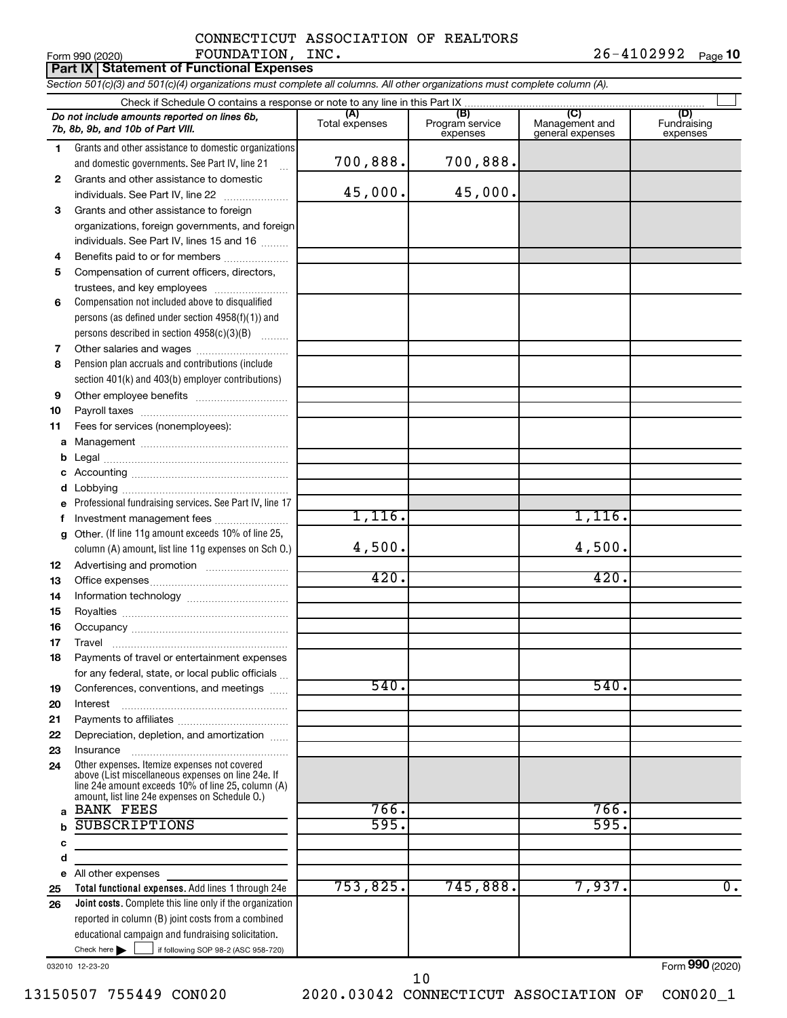### Form 990 (2020) Page FOUNDATION, INC. 26-4102992 CONNECTICUT ASSOCIATION OF REALTORS

26-4102992 Page 10

**Part IX Statement of Functional Expenses**

*Section 501(c)(3) and 501(c)(4) organizations must complete all columns. All other organizations must complete column (A).*

|          | Do not include amounts reported on lines 6b,<br>7b, 8b, 9b, and 10b of Part VIII.                  | (A)<br>Total expenses | (B)<br>Program service<br>expenses | (C)<br>Management and<br>general expenses | (D)<br>Fundraising<br>expenses |  |  |
|----------|----------------------------------------------------------------------------------------------------|-----------------------|------------------------------------|-------------------------------------------|--------------------------------|--|--|
| 1.       | Grants and other assistance to domestic organizations                                              |                       |                                    |                                           |                                |  |  |
|          | and domestic governments. See Part IV, line 21                                                     | 700,888.              | 700,888.                           |                                           |                                |  |  |
| 2        | Grants and other assistance to domestic                                                            |                       |                                    |                                           |                                |  |  |
|          | individuals. See Part IV, line 22                                                                  | 45,000.               | 45,000.                            |                                           |                                |  |  |
| 3        | Grants and other assistance to foreign                                                             |                       |                                    |                                           |                                |  |  |
|          | organizations, foreign governments, and foreign                                                    |                       |                                    |                                           |                                |  |  |
|          | individuals. See Part IV, lines 15 and 16                                                          |                       |                                    |                                           |                                |  |  |
| 4        | Benefits paid to or for members                                                                    |                       |                                    |                                           |                                |  |  |
| 5        | Compensation of current officers, directors,                                                       |                       |                                    |                                           |                                |  |  |
|          | trustees, and key employees                                                                        |                       |                                    |                                           |                                |  |  |
| 6        | Compensation not included above to disqualified                                                    |                       |                                    |                                           |                                |  |  |
|          | persons (as defined under section 4958(f)(1)) and                                                  |                       |                                    |                                           |                                |  |  |
|          | persons described in section 4958(c)(3)(B)                                                         |                       |                                    |                                           |                                |  |  |
| 7<br>8   | Pension plan accruals and contributions (include                                                   |                       |                                    |                                           |                                |  |  |
|          | section 401(k) and 403(b) employer contributions)                                                  |                       |                                    |                                           |                                |  |  |
| 9        |                                                                                                    |                       |                                    |                                           |                                |  |  |
| 10       |                                                                                                    |                       |                                    |                                           |                                |  |  |
| 11       | Fees for services (nonemployees):                                                                  |                       |                                    |                                           |                                |  |  |
| а        |                                                                                                    |                       |                                    |                                           |                                |  |  |
| b        |                                                                                                    |                       |                                    |                                           |                                |  |  |
| c        |                                                                                                    |                       |                                    |                                           |                                |  |  |
| d        |                                                                                                    |                       |                                    |                                           |                                |  |  |
| е        | Professional fundraising services. See Part IV, line 17                                            |                       |                                    |                                           |                                |  |  |
| f        | Investment management fees                                                                         | 1,116.                |                                    | 1,116.                                    |                                |  |  |
| g        | Other. (If line 11g amount exceeds 10% of line 25,                                                 |                       |                                    |                                           |                                |  |  |
|          | column (A) amount, list line 11g expenses on Sch O.)                                               | 4,500.                |                                    | 4,500.                                    |                                |  |  |
| 12       |                                                                                                    | 420.                  |                                    | 420.                                      |                                |  |  |
| 13       |                                                                                                    |                       |                                    |                                           |                                |  |  |
| 14       |                                                                                                    |                       |                                    |                                           |                                |  |  |
| 15<br>16 |                                                                                                    |                       |                                    |                                           |                                |  |  |
| 17       | Travel                                                                                             |                       |                                    |                                           |                                |  |  |
| 18       | Payments of travel or entertainment expenses                                                       |                       |                                    |                                           |                                |  |  |
|          | for any federal, state, or local public officials                                                  |                       |                                    |                                           |                                |  |  |
| 19       | Conferences, conventions, and meetings                                                             | 540.                  |                                    | 540.                                      |                                |  |  |
| 20       | Interest                                                                                           |                       |                                    |                                           |                                |  |  |
| 21       |                                                                                                    |                       |                                    |                                           |                                |  |  |
| 22       | Depreciation, depletion, and amortization                                                          |                       |                                    |                                           |                                |  |  |
| 23       | Insurance                                                                                          |                       |                                    |                                           |                                |  |  |
| 24       | Other expenses. Itemize expenses not covered<br>above (List miscellaneous expenses on line 24e. If |                       |                                    |                                           |                                |  |  |
|          | line 24e amount exceeds 10% of line 25, column (A)                                                 |                       |                                    |                                           |                                |  |  |
| a        | amount, list line 24e expenses on Schedule O.)<br><b>BANK FEES</b>                                 | 766.                  |                                    | 766.                                      |                                |  |  |
|          | <b>SUBSCRIPTIONS</b>                                                                               | 595.                  |                                    | 595.                                      |                                |  |  |
| с        |                                                                                                    |                       |                                    |                                           |                                |  |  |
| d        |                                                                                                    |                       |                                    |                                           |                                |  |  |
| е        | All other expenses                                                                                 |                       |                                    |                                           |                                |  |  |
| 25       | Total functional expenses. Add lines 1 through 24e                                                 | 753,825.              | 745,888.                           | 7,937.                                    | $\overline{0}$ .               |  |  |
| 26       | Joint costs. Complete this line only if the organization                                           |                       |                                    |                                           |                                |  |  |
|          | reported in column (B) joint costs from a combined                                                 |                       |                                    |                                           |                                |  |  |
|          | educational campaign and fundraising solicitation.                                                 |                       |                                    |                                           |                                |  |  |
|          | Check here $\blacktriangleright$<br>if following SOP 98-2 (ASC 958-720)                            |                       |                                    |                                           |                                |  |  |

032010 12-23-20

Form (2020) **990**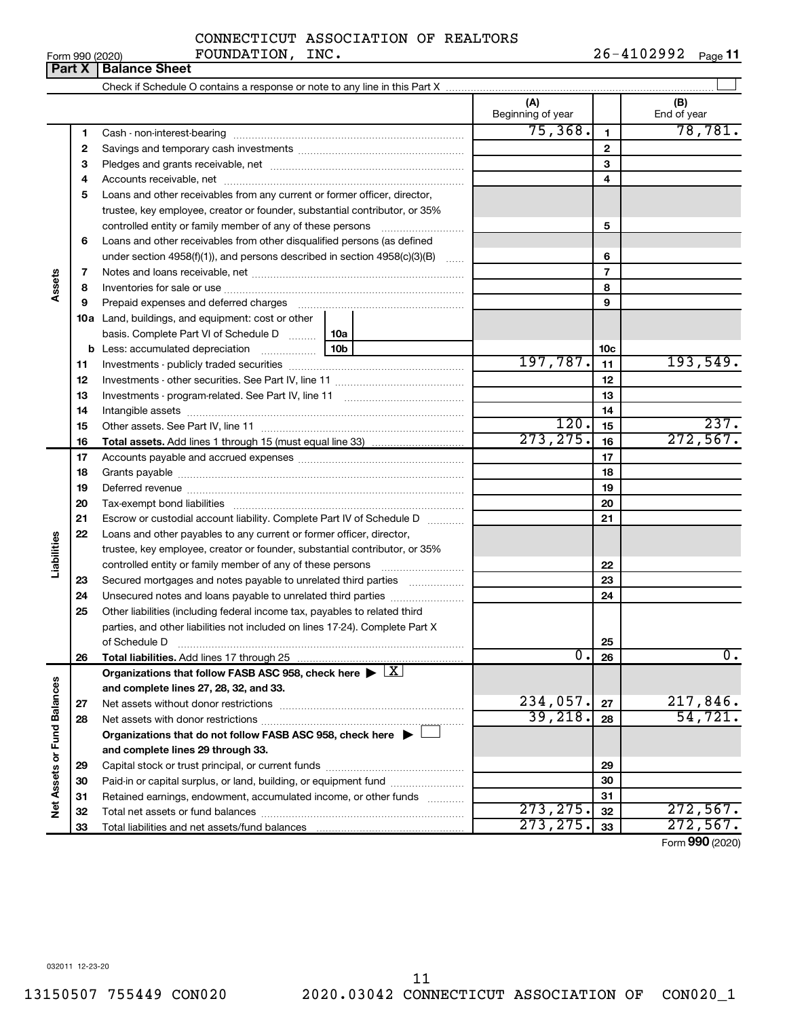| Form 990 (2020) |  |
|-----------------|--|
|-----------------|--|

Form 990 (2020) Page FOUNDATION, INC. 26-4102992 26-4102992 Page 11

|                             | Part X | <b>Balance Sheet</b>                                                                                                                                                                                                           |         |                          |                          |                    |
|-----------------------------|--------|--------------------------------------------------------------------------------------------------------------------------------------------------------------------------------------------------------------------------------|---------|--------------------------|--------------------------|--------------------|
|                             |        |                                                                                                                                                                                                                                |         |                          |                          |                    |
|                             |        |                                                                                                                                                                                                                                |         | (A)<br>Beginning of year |                          | (B)<br>End of year |
|                             | 1      |                                                                                                                                                                                                                                | 75,368. | 1                        | 78,781.                  |                    |
|                             | 2      |                                                                                                                                                                                                                                |         |                          | $\mathbf{2}$             |                    |
|                             | 3      |                                                                                                                                                                                                                                |         | 3                        |                          |                    |
|                             | 4      |                                                                                                                                                                                                                                |         |                          | 4                        |                    |
|                             | 5      | Loans and other receivables from any current or former officer, director,                                                                                                                                                      |         |                          |                          |                    |
|                             |        | trustee, key employee, creator or founder, substantial contributor, or 35%                                                                                                                                                     |         |                          |                          |                    |
|                             |        | controlled entity or family member of any of these persons                                                                                                                                                                     |         |                          | 5                        |                    |
|                             | 6      | Loans and other receivables from other disqualified persons (as defined                                                                                                                                                        |         |                          |                          |                    |
|                             |        | under section 4958(f)(1)), and persons described in section 4958(c)(3)(B)                                                                                                                                                      |         |                          | 6                        |                    |
|                             | 7      |                                                                                                                                                                                                                                |         |                          | $\overline{\phantom{a}}$ |                    |
| Assets                      | 8      |                                                                                                                                                                                                                                |         |                          | 8                        |                    |
|                             | 9      | Prepaid expenses and deferred charges [11] matter continuum matter and referred charges [11] matter continuum matter continuum matter and continuum matter continuum matter continuum matter continuum matter continuum matter |         |                          | 9                        |                    |
|                             |        | <b>10a</b> Land, buildings, and equipment: cost or other                                                                                                                                                                       |         |                          |                          |                    |
|                             |        | basis. Complete Part VI of Schedule D                                                                                                                                                                                          | 10a     |                          |                          |                    |
|                             |        |                                                                                                                                                                                                                                |         |                          | 10c                      |                    |
|                             | 11     |                                                                                                                                                                                                                                |         | 197,787.                 | 11                       | 193,549.           |
|                             | 12     |                                                                                                                                                                                                                                |         |                          | 12                       |                    |
|                             | 13     |                                                                                                                                                                                                                                |         |                          | 13                       |                    |
|                             | 14     |                                                                                                                                                                                                                                |         | 14                       |                          |                    |
|                             | 15     |                                                                                                                                                                                                                                | 120.    | 15                       | 237.                     |                    |
|                             | 16     |                                                                                                                                                                                                                                |         | 273, 275.                | 16                       | 272,567.           |
|                             | 17     |                                                                                                                                                                                                                                |         |                          | 17                       |                    |
|                             | 18     |                                                                                                                                                                                                                                |         | 18                       |                          |                    |
|                             | 19     |                                                                                                                                                                                                                                |         | 19                       |                          |                    |
|                             | 20     |                                                                                                                                                                                                                                |         |                          | 20                       |                    |
|                             | 21     | Escrow or custodial account liability. Complete Part IV of Schedule D                                                                                                                                                          |         |                          | 21                       |                    |
|                             | 22     | Loans and other payables to any current or former officer, director,                                                                                                                                                           |         |                          |                          |                    |
| Liabilities                 |        | trustee, key employee, creator or founder, substantial contributor, or 35%                                                                                                                                                     |         |                          |                          |                    |
|                             |        | controlled entity or family member of any of these persons <i>manufolder in the controlled</i>                                                                                                                                 |         |                          | 22                       |                    |
|                             | 23     | Secured mortgages and notes payable to unrelated third parties                                                                                                                                                                 |         |                          | 23                       |                    |
|                             | 24     |                                                                                                                                                                                                                                |         |                          | 24                       |                    |
|                             | 25     | Other liabilities (including federal income tax, payables to related third                                                                                                                                                     |         |                          |                          |                    |
|                             |        | parties, and other liabilities not included on lines 17-24). Complete Part X                                                                                                                                                   |         |                          |                          |                    |
|                             |        | of Schedule D                                                                                                                                                                                                                  |         |                          | 25                       |                    |
|                             | 26     | Total liabilities. Add lines 17 through 25                                                                                                                                                                                     |         | 0.                       | 26                       | $\overline{0}$ .   |
|                             |        | Organizations that follow FASB ASC 958, check here $\blacktriangleright \lfloor \underline{X} \rfloor$                                                                                                                         |         |                          |                          |                    |
|                             |        | and complete lines 27, 28, 32, and 33.                                                                                                                                                                                         |         |                          |                          |                    |
|                             | 27     |                                                                                                                                                                                                                                |         | 234,057.                 | 27                       | 217,846.           |
|                             | 28     |                                                                                                                                                                                                                                |         | 39,218.                  | 28                       | 54, 721.           |
|                             |        | Organizations that do not follow FASB ASC 958, check here $\blacktriangleright$                                                                                                                                                |         |                          |                          |                    |
| Net Assets or Fund Balances |        | and complete lines 29 through 33.                                                                                                                                                                                              |         |                          |                          |                    |
|                             | 29     |                                                                                                                                                                                                                                |         |                          | 29                       |                    |
|                             | 30     | Paid-in or capital surplus, or land, building, or equipment fund                                                                                                                                                               |         |                          | 30                       |                    |
|                             | 31     | Retained earnings, endowment, accumulated income, or other funds                                                                                                                                                               |         |                          | 31                       |                    |
|                             | 32     |                                                                                                                                                                                                                                |         | 273, 275.                | 32                       | 272,567.           |
|                             | 33     |                                                                                                                                                                                                                                |         | 273, 275.                | 33                       | 272,567.           |
|                             |        |                                                                                                                                                                                                                                |         |                          |                          | Form 990 (2020)    |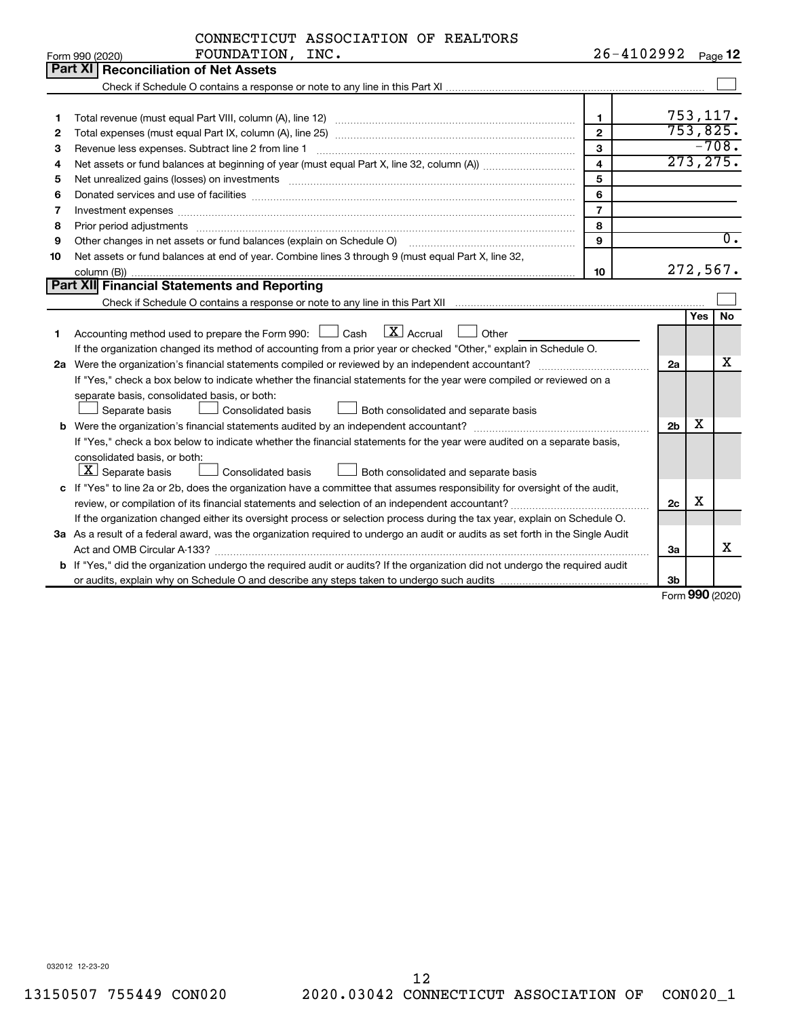| CONNECTICUT ASSOCIATION OF REALTORS |  |  |
|-------------------------------------|--|--|
|-------------------------------------|--|--|

|    | FOUNDATION, INC.<br>Form 990 (2020)                                                                                                                                                                                            | 26-4102992              |                |            | Page 12          |  |
|----|--------------------------------------------------------------------------------------------------------------------------------------------------------------------------------------------------------------------------------|-------------------------|----------------|------------|------------------|--|
|    | Part XI   Reconciliation of Net Assets                                                                                                                                                                                         |                         |                |            |                  |  |
|    |                                                                                                                                                                                                                                |                         |                |            |                  |  |
|    |                                                                                                                                                                                                                                |                         |                |            |                  |  |
| 1  |                                                                                                                                                                                                                                | $\mathbf{1}$            |                |            | 753,117.         |  |
| 2  |                                                                                                                                                                                                                                | $\overline{2}$          |                |            | 753,825.         |  |
| З  |                                                                                                                                                                                                                                | 3                       |                |            | $-708.$          |  |
| 4  |                                                                                                                                                                                                                                | $\overline{\mathbf{4}}$ |                |            | 273, 275.        |  |
| 5  |                                                                                                                                                                                                                                | 5                       |                |            |                  |  |
| 6  | Donated services and use of facilities [[111] matter contracts and use of facilities [[11] matter contracts and use of facilities [[11] matter contracts and use of facilities [[11] matter contracts and a service contract o | 6                       |                |            |                  |  |
| 7  |                                                                                                                                                                                                                                | $\overline{7}$          |                |            |                  |  |
| 8  |                                                                                                                                                                                                                                | 8                       |                |            |                  |  |
| 9  | Other changes in net assets or fund balances (explain on Schedule O)                                                                                                                                                           | 9                       |                |            | $\overline{0}$ . |  |
| 10 | Net assets or fund balances at end of year. Combine lines 3 through 9 (must equal Part X, line 32,                                                                                                                             |                         |                |            | 272,567.         |  |
|    | 10                                                                                                                                                                                                                             |                         |                |            |                  |  |
|    | <b>Part XII</b> Financial Statements and Reporting                                                                                                                                                                             |                         |                |            |                  |  |
|    |                                                                                                                                                                                                                                |                         |                |            |                  |  |
|    |                                                                                                                                                                                                                                |                         |                | <b>Yes</b> | No               |  |
| 1  | $\boxed{\text{X}}$ Accrual<br>Accounting method used to prepare the Form 990: [130] Cash<br>Other                                                                                                                              |                         |                |            |                  |  |
|    | If the organization changed its method of accounting from a prior year or checked "Other," explain in Schedule O.                                                                                                              |                         |                |            |                  |  |
|    |                                                                                                                                                                                                                                |                         | 2a             |            | х                |  |
|    | If "Yes," check a box below to indicate whether the financial statements for the year were compiled or reviewed on a                                                                                                           |                         |                |            |                  |  |
|    | separate basis, consolidated basis, or both:                                                                                                                                                                                   |                         |                |            |                  |  |
|    | Separate basis<br>Consolidated basis<br>Both consolidated and separate basis                                                                                                                                                   |                         |                |            |                  |  |
|    |                                                                                                                                                                                                                                |                         | 2 <sub>b</sub> | х          |                  |  |
|    | If "Yes," check a box below to indicate whether the financial statements for the year were audited on a separate basis,                                                                                                        |                         |                |            |                  |  |
|    | consolidated basis, or both:                                                                                                                                                                                                   |                         |                |            |                  |  |
|    | $ \mathbf{X} $ Separate basis<br>Consolidated basis<br>Both consolidated and separate basis                                                                                                                                    |                         |                |            |                  |  |
|    | c If "Yes" to line 2a or 2b, does the organization have a committee that assumes responsibility for oversight of the audit,                                                                                                    |                         |                |            |                  |  |
|    |                                                                                                                                                                                                                                |                         | 2c             | х          |                  |  |
|    | If the organization changed either its oversight process or selection process during the tax year, explain on Schedule O.                                                                                                      |                         |                |            |                  |  |
|    | 3a As a result of a federal award, was the organization required to undergo an audit or audits as set forth in the Single Audit                                                                                                |                         |                |            |                  |  |
|    |                                                                                                                                                                                                                                |                         | За             |            | x                |  |
|    | b If "Yes," did the organization undergo the required audit or audits? If the organization did not undergo the required audit                                                                                                  |                         |                |            |                  |  |
|    |                                                                                                                                                                                                                                |                         | 3b             |            |                  |  |

Form (2020) **990**

032012 12-23-20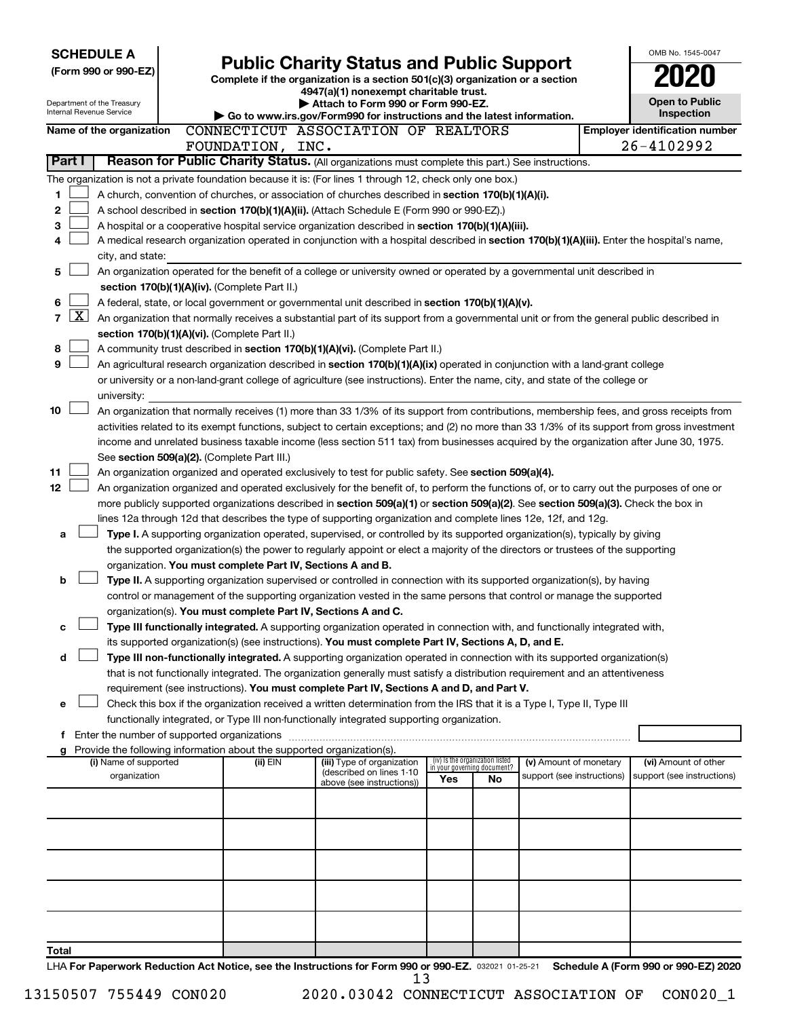| <b>SCHEDULE A</b>               |                                                                                                                      |                                                                                                                                  |                                                                          |  |                                                                                                                                    |     |                                 |                                                      |  | OMB No. 1545-0047                                                                                                                            |
|---------------------------------|----------------------------------------------------------------------------------------------------------------------|----------------------------------------------------------------------------------------------------------------------------------|--------------------------------------------------------------------------|--|------------------------------------------------------------------------------------------------------------------------------------|-----|---------------------------------|------------------------------------------------------|--|----------------------------------------------------------------------------------------------------------------------------------------------|
| (Form 990 or 990-EZ)            |                                                                                                                      | <b>Public Charity Status and Public Support</b><br>Complete if the organization is a section 501(c)(3) organization or a section |                                                                          |  |                                                                                                                                    |     |                                 |                                                      |  |                                                                                                                                              |
|                                 |                                                                                                                      | 4947(a)(1) nonexempt charitable trust.                                                                                           |                                                                          |  |                                                                                                                                    |     |                                 |                                                      |  |                                                                                                                                              |
| Department of the Treasury      |                                                                                                                      |                                                                                                                                  |                                                                          |  | Attach to Form 990 or Form 990-EZ.                                                                                                 |     |                                 |                                                      |  | <b>Open to Public</b>                                                                                                                        |
| <b>Internal Revenue Service</b> |                                                                                                                      |                                                                                                                                  |                                                                          |  | ► Go to www.irs.gov/Form990 for instructions and the latest information.                                                           |     |                                 |                                                      |  | Inspection                                                                                                                                   |
| Name of the organization        |                                                                                                                      |                                                                                                                                  |                                                                          |  | CONNECTICUT ASSOCIATION OF REALTORS                                                                                                |     |                                 |                                                      |  | <b>Employer identification number</b>                                                                                                        |
|                                 | FOUNDATION, INC.<br>Reason for Public Charity Status. (All organizations must complete this part.) See instructions. |                                                                                                                                  |                                                                          |  |                                                                                                                                    |     |                                 | 26-4102992                                           |  |                                                                                                                                              |
| Part I                          |                                                                                                                      |                                                                                                                                  |                                                                          |  |                                                                                                                                    |     |                                 |                                                      |  |                                                                                                                                              |
|                                 |                                                                                                                      |                                                                                                                                  |                                                                          |  | The organization is not a private foundation because it is: (For lines 1 through 12, check only one box.)                          |     |                                 |                                                      |  |                                                                                                                                              |
| 1                               |                                                                                                                      |                                                                                                                                  |                                                                          |  | A church, convention of churches, or association of churches described in section 170(b)(1)(A)(i).                                 |     |                                 |                                                      |  |                                                                                                                                              |
| 2                               |                                                                                                                      |                                                                                                                                  |                                                                          |  | A school described in section 170(b)(1)(A)(ii). (Attach Schedule E (Form 990 or 990-EZ).)                                          |     |                                 |                                                      |  |                                                                                                                                              |
| з                               |                                                                                                                      |                                                                                                                                  |                                                                          |  | A hospital or a cooperative hospital service organization described in section 170(b)(1)(A)(iii).                                  |     |                                 |                                                      |  |                                                                                                                                              |
| 4                               |                                                                                                                      |                                                                                                                                  |                                                                          |  |                                                                                                                                    |     |                                 |                                                      |  | A medical research organization operated in conjunction with a hospital described in section 170(b)(1)(A)(iii). Enter the hospital's name,   |
|                                 | city, and state:                                                                                                     |                                                                                                                                  |                                                                          |  |                                                                                                                                    |     |                                 |                                                      |  |                                                                                                                                              |
| 5                               |                                                                                                                      |                                                                                                                                  |                                                                          |  | An organization operated for the benefit of a college or university owned or operated by a governmental unit described in          |     |                                 |                                                      |  |                                                                                                                                              |
|                                 |                                                                                                                      |                                                                                                                                  | section 170(b)(1)(A)(iv). (Complete Part II.)                            |  |                                                                                                                                    |     |                                 |                                                      |  |                                                                                                                                              |
| 6                               |                                                                                                                      |                                                                                                                                  |                                                                          |  | A federal, state, or local government or governmental unit described in section 170(b)(1)(A)(v).                                   |     |                                 |                                                      |  |                                                                                                                                              |
| X  <br>7                        |                                                                                                                      |                                                                                                                                  |                                                                          |  |                                                                                                                                    |     |                                 |                                                      |  | An organization that normally receives a substantial part of its support from a governmental unit or from the general public described in    |
|                                 |                                                                                                                      |                                                                                                                                  | section 170(b)(1)(A)(vi). (Complete Part II.)                            |  |                                                                                                                                    |     |                                 |                                                      |  |                                                                                                                                              |
| 8                               |                                                                                                                      |                                                                                                                                  |                                                                          |  | A community trust described in section 170(b)(1)(A)(vi). (Complete Part II.)                                                       |     |                                 |                                                      |  |                                                                                                                                              |
| 9                               |                                                                                                                      |                                                                                                                                  |                                                                          |  | An agricultural research organization described in section 170(b)(1)(A)(ix) operated in conjunction with a land-grant college      |     |                                 |                                                      |  |                                                                                                                                              |
|                                 |                                                                                                                      |                                                                                                                                  |                                                                          |  | or university or a non-land-grant college of agriculture (see instructions). Enter the name, city, and state of the college or     |     |                                 |                                                      |  |                                                                                                                                              |
|                                 | university:                                                                                                          |                                                                                                                                  |                                                                          |  |                                                                                                                                    |     |                                 |                                                      |  |                                                                                                                                              |
| 10                              |                                                                                                                      |                                                                                                                                  |                                                                          |  |                                                                                                                                    |     |                                 |                                                      |  | An organization that normally receives (1) more than 33 1/3% of its support from contributions, membership fees, and gross receipts from     |
|                                 |                                                                                                                      |                                                                                                                                  |                                                                          |  |                                                                                                                                    |     |                                 |                                                      |  | activities related to its exempt functions, subject to certain exceptions; and (2) no more than 33 1/3% of its support from gross investment |
|                                 |                                                                                                                      |                                                                                                                                  |                                                                          |  |                                                                                                                                    |     |                                 |                                                      |  | income and unrelated business taxable income (less section 511 tax) from businesses acquired by the organization after June 30, 1975.        |
| 11                              |                                                                                                                      |                                                                                                                                  | See section 509(a)(2). (Complete Part III.)                              |  | An organization organized and operated exclusively to test for public safety. See section 509(a)(4).                               |     |                                 |                                                      |  |                                                                                                                                              |
| 12                              |                                                                                                                      |                                                                                                                                  |                                                                          |  |                                                                                                                                    |     |                                 |                                                      |  | An organization organized and operated exclusively for the benefit of, to perform the functions of, or to carry out the purposes of one or   |
|                                 |                                                                                                                      |                                                                                                                                  |                                                                          |  | more publicly supported organizations described in section 509(a)(1) or section 509(a)(2). See section 509(a)(3). Check the box in |     |                                 |                                                      |  |                                                                                                                                              |
|                                 |                                                                                                                      |                                                                                                                                  |                                                                          |  | lines 12a through 12d that describes the type of supporting organization and complete lines 12e, 12f, and 12g.                     |     |                                 |                                                      |  |                                                                                                                                              |
| a                               |                                                                                                                      |                                                                                                                                  |                                                                          |  | Type I. A supporting organization operated, supervised, or controlled by its supported organization(s), typically by giving        |     |                                 |                                                      |  |                                                                                                                                              |
|                                 |                                                                                                                      |                                                                                                                                  |                                                                          |  | the supported organization(s) the power to regularly appoint or elect a majority of the directors or trustees of the supporting    |     |                                 |                                                      |  |                                                                                                                                              |
|                                 |                                                                                                                      |                                                                                                                                  | organization. You must complete Part IV, Sections A and B.               |  |                                                                                                                                    |     |                                 |                                                      |  |                                                                                                                                              |
| b                               |                                                                                                                      |                                                                                                                                  |                                                                          |  | Type II. A supporting organization supervised or controlled in connection with its supported organization(s), by having            |     |                                 |                                                      |  |                                                                                                                                              |
|                                 |                                                                                                                      |                                                                                                                                  |                                                                          |  | control or management of the supporting organization vested in the same persons that control or manage the supported               |     |                                 |                                                      |  |                                                                                                                                              |
|                                 |                                                                                                                      |                                                                                                                                  | organization(s). You must complete Part IV, Sections A and C.            |  |                                                                                                                                    |     |                                 |                                                      |  |                                                                                                                                              |
| с                               |                                                                                                                      |                                                                                                                                  |                                                                          |  | Type III functionally integrated. A supporting organization operated in connection with, and functionally integrated with,         |     |                                 |                                                      |  |                                                                                                                                              |
|                                 |                                                                                                                      |                                                                                                                                  |                                                                          |  | its supported organization(s) (see instructions). You must complete Part IV, Sections A, D, and E.                                 |     |                                 |                                                      |  |                                                                                                                                              |
| d                               |                                                                                                                      |                                                                                                                                  |                                                                          |  | Type III non-functionally integrated. A supporting organization operated in connection with its supported organization(s)          |     |                                 |                                                      |  |                                                                                                                                              |
|                                 |                                                                                                                      |                                                                                                                                  |                                                                          |  | that is not functionally integrated. The organization generally must satisfy a distribution requirement and an attentiveness       |     |                                 |                                                      |  |                                                                                                                                              |
|                                 |                                                                                                                      |                                                                                                                                  |                                                                          |  | requirement (see instructions). You must complete Part IV, Sections A and D, and Part V.                                           |     |                                 |                                                      |  |                                                                                                                                              |
| е                               |                                                                                                                      |                                                                                                                                  |                                                                          |  | Check this box if the organization received a written determination from the IRS that it is a Type I, Type II, Type III            |     |                                 |                                                      |  |                                                                                                                                              |
|                                 |                                                                                                                      |                                                                                                                                  |                                                                          |  | functionally integrated, or Type III non-functionally integrated supporting organization.                                          |     |                                 |                                                      |  |                                                                                                                                              |
|                                 |                                                                                                                      |                                                                                                                                  | f Enter the number of supported organizations                            |  |                                                                                                                                    |     |                                 |                                                      |  |                                                                                                                                              |
|                                 | (i) Name of supported                                                                                                |                                                                                                                                  | g Provide the following information about the supported organization(s). |  | (iii) Type of organization                                                                                                         |     | (iv) Is the organization listed |                                                      |  |                                                                                                                                              |
|                                 | organization                                                                                                         |                                                                                                                                  | (ii) EIN                                                                 |  | (described on lines 1-10                                                                                                           |     | in your governing document?     | (v) Amount of monetary<br>support (see instructions) |  | (vi) Amount of other<br>support (see instructions)                                                                                           |
|                                 |                                                                                                                      |                                                                                                                                  |                                                                          |  | above (see instructions))                                                                                                          | Yes | No                              |                                                      |  |                                                                                                                                              |
|                                 |                                                                                                                      |                                                                                                                                  |                                                                          |  |                                                                                                                                    |     |                                 |                                                      |  |                                                                                                                                              |
|                                 |                                                                                                                      |                                                                                                                                  |                                                                          |  |                                                                                                                                    |     |                                 |                                                      |  |                                                                                                                                              |
|                                 |                                                                                                                      |                                                                                                                                  |                                                                          |  |                                                                                                                                    |     |                                 |                                                      |  |                                                                                                                                              |
|                                 |                                                                                                                      |                                                                                                                                  |                                                                          |  |                                                                                                                                    |     |                                 |                                                      |  |                                                                                                                                              |
|                                 |                                                                                                                      |                                                                                                                                  |                                                                          |  |                                                                                                                                    |     |                                 |                                                      |  |                                                                                                                                              |
|                                 |                                                                                                                      |                                                                                                                                  |                                                                          |  |                                                                                                                                    |     |                                 |                                                      |  |                                                                                                                                              |
|                                 |                                                                                                                      |                                                                                                                                  |                                                                          |  |                                                                                                                                    |     |                                 |                                                      |  |                                                                                                                                              |
|                                 |                                                                                                                      |                                                                                                                                  |                                                                          |  |                                                                                                                                    |     |                                 |                                                      |  |                                                                                                                                              |
|                                 |                                                                                                                      |                                                                                                                                  |                                                                          |  |                                                                                                                                    |     |                                 |                                                      |  |                                                                                                                                              |
| Total                           |                                                                                                                      |                                                                                                                                  |                                                                          |  |                                                                                                                                    |     |                                 |                                                      |  |                                                                                                                                              |
|                                 |                                                                                                                      |                                                                                                                                  |                                                                          |  |                                                                                                                                    |     |                                 |                                                      |  | LHA For Panerwork Reduction Act Notice, see the Instructions for Form 990 or 990-F7, 222021 01.25.21 Schedule A (Form 990 or 990-F7) 2020    |

032021 01-25-21 **For Beduction Act Notice, see the Instructions for Form 990 or 990-EZ.** 032021 01-25-21 Schedule A (Form 990 or 9 LHA  $13$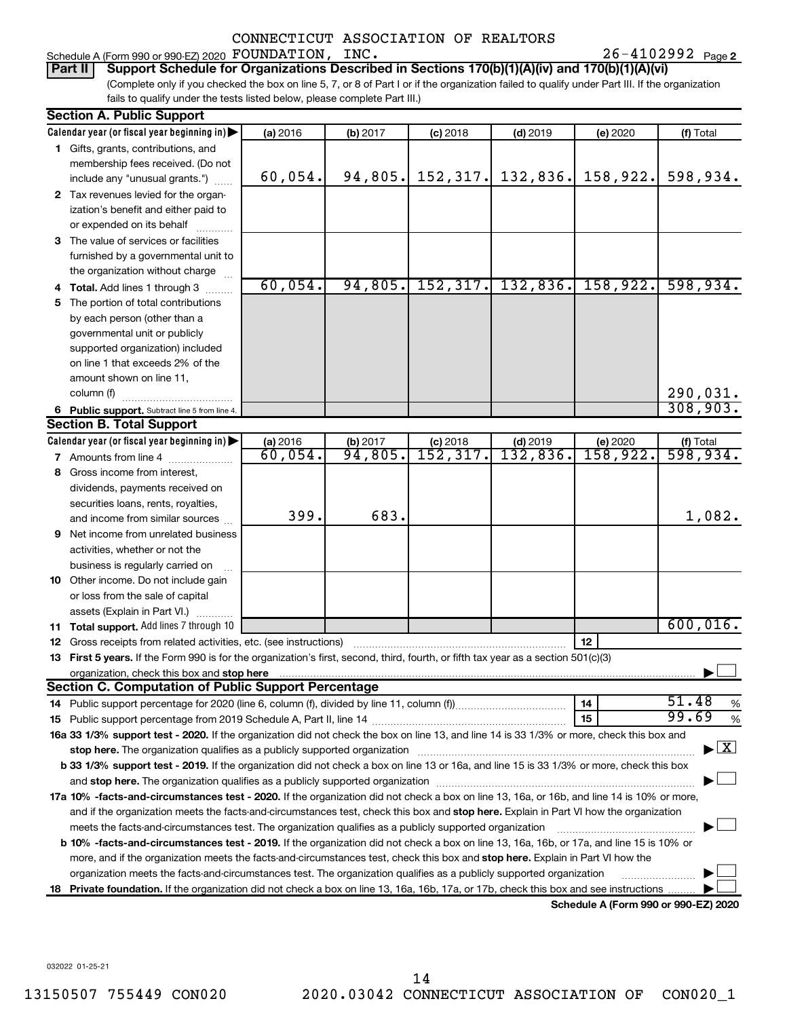26-4102992 Page 2 Schedule A (Form 990 or 990-EZ) 2020  ${\hbox{FOUNDATION}}$  ,  ${\hbox{INC}}$  .  $26-4102992$   ${\hbox{Page}}$ 

(Complete only if you checked the box on line 5, 7, or 8 of Part I or if the organization failed to qualify under Part III. If the organization **Part II Support Schedule for Organizations Described in Sections 170(b)(1)(A)(iv) and 170(b)(1)(A)(vi)**

fails to qualify under the tests listed below, please complete Part III.)

|    | <b>Section A. Public Support</b>                                                                                                                                                                                               |          |          |                     |            |                                      |                                    |
|----|--------------------------------------------------------------------------------------------------------------------------------------------------------------------------------------------------------------------------------|----------|----------|---------------------|------------|--------------------------------------|------------------------------------|
|    | Calendar year (or fiscal year beginning in)                                                                                                                                                                                    | (a) 2016 | (b) 2017 | $(c)$ 2018          | $(d)$ 2019 | (e) 2020                             | (f) Total                          |
|    | 1 Gifts, grants, contributions, and                                                                                                                                                                                            |          |          |                     |            |                                      |                                    |
|    | membership fees received. (Do not                                                                                                                                                                                              |          |          |                     |            |                                      |                                    |
|    | include any "unusual grants.")                                                                                                                                                                                                 | 60,054.  | 94,805.  | 152, 317.           | 132,836.   | 158,922.                             | 598,934.                           |
|    | 2 Tax revenues levied for the organ-                                                                                                                                                                                           |          |          |                     |            |                                      |                                    |
|    | ization's benefit and either paid to                                                                                                                                                                                           |          |          |                     |            |                                      |                                    |
|    | or expended on its behalf                                                                                                                                                                                                      |          |          |                     |            |                                      |                                    |
|    | 3 The value of services or facilities                                                                                                                                                                                          |          |          |                     |            |                                      |                                    |
|    | furnished by a governmental unit to                                                                                                                                                                                            |          |          |                     |            |                                      |                                    |
|    | the organization without charge                                                                                                                                                                                                |          |          |                     |            |                                      |                                    |
|    | Total. Add lines 1 through 3                                                                                                                                                                                                   | 60,054.  | 94,805.  | 152, 317.           | 132,836.   | 158,922.                             | 598,934.                           |
| 5. | The portion of total contributions                                                                                                                                                                                             |          |          |                     |            |                                      |                                    |
|    | by each person (other than a                                                                                                                                                                                                   |          |          |                     |            |                                      |                                    |
|    | governmental unit or publicly                                                                                                                                                                                                  |          |          |                     |            |                                      |                                    |
|    | supported organization) included                                                                                                                                                                                               |          |          |                     |            |                                      |                                    |
|    | on line 1 that exceeds 2% of the                                                                                                                                                                                               |          |          |                     |            |                                      |                                    |
|    | amount shown on line 11,                                                                                                                                                                                                       |          |          |                     |            |                                      |                                    |
|    | column (f)                                                                                                                                                                                                                     |          |          |                     |            |                                      | 290,031.                           |
|    | 6 Public support. Subtract line 5 from line 4.                                                                                                                                                                                 |          |          |                     |            |                                      | 308,903.                           |
|    | <b>Section B. Total Support</b>                                                                                                                                                                                                |          |          |                     |            |                                      |                                    |
|    | Calendar year (or fiscal year beginning in)                                                                                                                                                                                    | (a) 2016 | (b) 2017 | $\frac{c}{152,317}$ | $(d)$ 2019 | (e) 2020                             | (f) Total                          |
|    | 7 Amounts from line 4                                                                                                                                                                                                          | 60,054.  | 94,805.  |                     | 132,836.   | 158,922.                             | $\frac{1}{598}$ , 934.             |
| 8  | Gross income from interest,                                                                                                                                                                                                    |          |          |                     |            |                                      |                                    |
|    | dividends, payments received on                                                                                                                                                                                                |          |          |                     |            |                                      |                                    |
|    | securities loans, rents, royalties,                                                                                                                                                                                            |          |          |                     |            |                                      |                                    |
|    | and income from similar sources                                                                                                                                                                                                | 399.     | 683.     |                     |            |                                      | 1,082.                             |
| 9  | Net income from unrelated business                                                                                                                                                                                             |          |          |                     |            |                                      |                                    |
|    | activities, whether or not the                                                                                                                                                                                                 |          |          |                     |            |                                      |                                    |
|    | business is regularly carried on                                                                                                                                                                                               |          |          |                     |            |                                      |                                    |
|    | 10 Other income. Do not include gain                                                                                                                                                                                           |          |          |                     |            |                                      |                                    |
|    | or loss from the sale of capital                                                                                                                                                                                               |          |          |                     |            |                                      |                                    |
|    | assets (Explain in Part VI.)                                                                                                                                                                                                   |          |          |                     |            |                                      |                                    |
|    | <b>11 Total support.</b> Add lines 7 through 10                                                                                                                                                                                |          |          |                     |            |                                      | 600,016.                           |
|    | 12 Gross receipts from related activities, etc. (see instructions)                                                                                                                                                             |          |          |                     |            | 12                                   |                                    |
|    | 13 First 5 years. If the Form 990 is for the organization's first, second, third, fourth, or fifth tax year as a section 501(c)(3)                                                                                             |          |          |                     |            |                                      |                                    |
|    | organization, check this box and stop here<br><b>Section C. Computation of Public Support Percentage</b>                                                                                                                       |          |          |                     |            |                                      |                                    |
|    |                                                                                                                                                                                                                                |          |          |                     |            | 14                                   | 51.48                              |
|    |                                                                                                                                                                                                                                |          |          |                     |            | 15                                   | %<br>99.69<br>$\%$                 |
|    | 16a 33 1/3% support test - 2020. If the organization did not check the box on line 13, and line 14 is 33 1/3% or more, check this box and                                                                                      |          |          |                     |            |                                      |                                    |
|    | stop here. The organization qualifies as a publicly supported organization manufactured content and the content of the state of the state of the state of the state of the state of the state of the state of the state of the |          |          |                     |            |                                      | $\blacktriangleright$ $\mathbf{X}$ |
|    | b 33 1/3% support test - 2019. If the organization did not check a box on line 13 or 16a, and line 15 is 33 1/3% or more, check this box                                                                                       |          |          |                     |            |                                      |                                    |
|    |                                                                                                                                                                                                                                |          |          |                     |            |                                      |                                    |
|    | 17a 10% -facts-and-circumstances test - 2020. If the organization did not check a box on line 13, 16a, or 16b, and line 14 is 10% or more,                                                                                     |          |          |                     |            |                                      |                                    |
|    | and if the organization meets the facts-and-circumstances test, check this box and stop here. Explain in Part VI how the organization                                                                                          |          |          |                     |            |                                      |                                    |
|    | meets the facts-and-circumstances test. The organization qualifies as a publicly supported organization                                                                                                                        |          |          |                     |            |                                      |                                    |
|    | b 10% -facts-and-circumstances test - 2019. If the organization did not check a box on line 13, 16a, 16b, or 17a, and line 15 is 10% or                                                                                        |          |          |                     |            |                                      |                                    |
|    | more, and if the organization meets the facts-and-circumstances test, check this box and stop here. Explain in Part VI how the                                                                                                 |          |          |                     |            |                                      |                                    |
|    | organization meets the facts-and-circumstances test. The organization qualifies as a publicly supported organization                                                                                                           |          |          |                     |            |                                      |                                    |
| 18 | Private foundation. If the organization did not check a box on line 13, 16a, 16b, 17a, or 17b, check this box and see instructions                                                                                             |          |          |                     |            |                                      |                                    |
|    |                                                                                                                                                                                                                                |          |          |                     |            | Schedule A (Form 990 or 990-EZ) 2020 |                                    |

**Schedule A (Form 990 or 990-EZ) 2020**

032022 01-25-21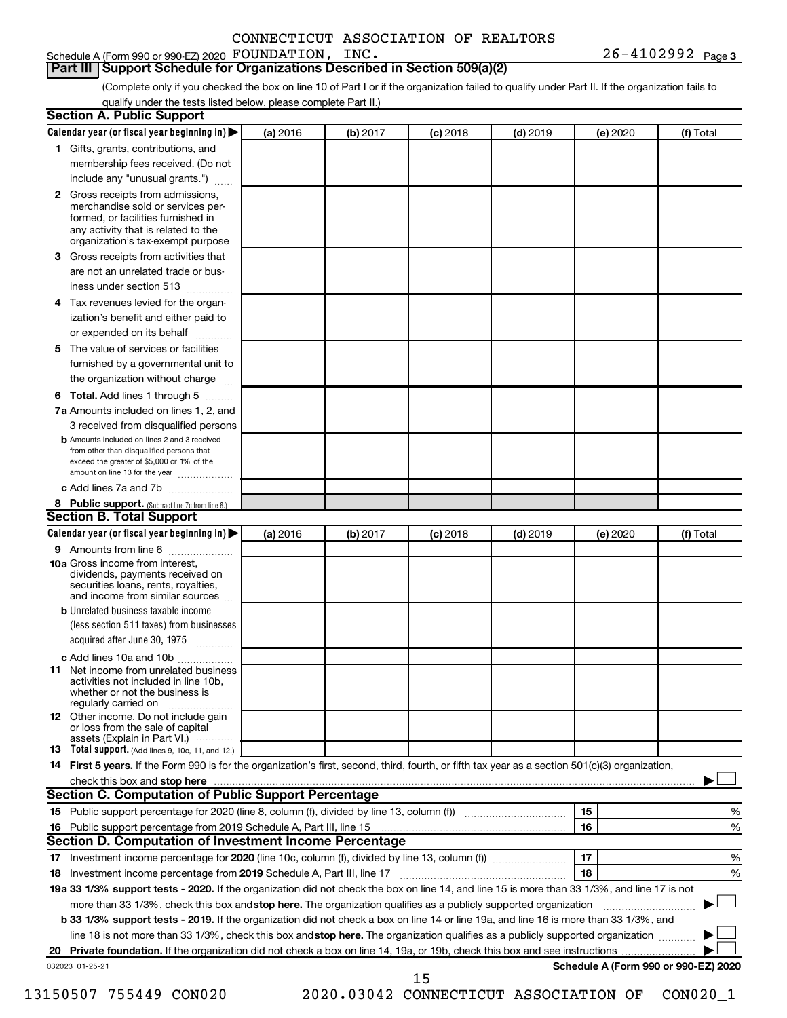### **Part III Support Schedule for Organizations Described in Section 509(a)(2)**

(Complete only if you checked the box on line 10 of Part I or if the organization failed to qualify under Part II. If the organization fails to qualify under the tests listed below, please complete Part II.)

| <b>Section A. Public Support</b>                                                                                                                                                                                               |          |          |            |            |          |                                      |
|--------------------------------------------------------------------------------------------------------------------------------------------------------------------------------------------------------------------------------|----------|----------|------------|------------|----------|--------------------------------------|
| Calendar year (or fiscal year beginning in)                                                                                                                                                                                    | (a) 2016 | (b) 2017 | $(c)$ 2018 | $(d)$ 2019 | (e) 2020 | (f) Total                            |
| 1 Gifts, grants, contributions, and                                                                                                                                                                                            |          |          |            |            |          |                                      |
| membership fees received. (Do not                                                                                                                                                                                              |          |          |            |            |          |                                      |
| include any "unusual grants.")                                                                                                                                                                                                 |          |          |            |            |          |                                      |
| 2 Gross receipts from admissions,<br>merchandise sold or services per-<br>formed, or facilities furnished in<br>any activity that is related to the<br>organization's tax-exempt purpose                                       |          |          |            |            |          |                                      |
| 3 Gross receipts from activities that                                                                                                                                                                                          |          |          |            |            |          |                                      |
| are not an unrelated trade or bus-                                                                                                                                                                                             |          |          |            |            |          |                                      |
| iness under section 513                                                                                                                                                                                                        |          |          |            |            |          |                                      |
| 4 Tax revenues levied for the organ-                                                                                                                                                                                           |          |          |            |            |          |                                      |
| ization's benefit and either paid to                                                                                                                                                                                           |          |          |            |            |          |                                      |
| or expended on its behalf                                                                                                                                                                                                      |          |          |            |            |          |                                      |
| 5 The value of services or facilities                                                                                                                                                                                          |          |          |            |            |          |                                      |
| furnished by a governmental unit to                                                                                                                                                                                            |          |          |            |            |          |                                      |
| the organization without charge                                                                                                                                                                                                |          |          |            |            |          |                                      |
| 6 Total. Add lines 1 through 5                                                                                                                                                                                                 |          |          |            |            |          |                                      |
| 7a Amounts included on lines 1, 2, and                                                                                                                                                                                         |          |          |            |            |          |                                      |
| 3 received from disqualified persons                                                                                                                                                                                           |          |          |            |            |          |                                      |
| <b>b</b> Amounts included on lines 2 and 3 received<br>from other than disqualified persons that<br>exceed the greater of \$5,000 or 1% of the<br>amount on line 13 for the year                                               |          |          |            |            |          |                                      |
| c Add lines 7a and 7b                                                                                                                                                                                                          |          |          |            |            |          |                                      |
| 8 Public support. (Subtract line 7c from line 6.)                                                                                                                                                                              |          |          |            |            |          |                                      |
| <b>Section B. Total Support</b>                                                                                                                                                                                                |          |          |            |            |          |                                      |
| Calendar year (or fiscal year beginning in)                                                                                                                                                                                    | (a) 2016 | (b) 2017 | $(c)$ 2018 | $(d)$ 2019 | (e) 2020 | (f) Total                            |
| <b>9</b> Amounts from line 6                                                                                                                                                                                                   |          |          |            |            |          |                                      |
| <b>10a</b> Gross income from interest,<br>dividends, payments received on<br>securities loans, rents, royalties,<br>and income from similar sources                                                                            |          |          |            |            |          |                                      |
| <b>b</b> Unrelated business taxable income                                                                                                                                                                                     |          |          |            |            |          |                                      |
| (less section 511 taxes) from businesses<br>acquired after June 30, 1975<br>$\overline{\phantom{a}}$                                                                                                                           |          |          |            |            |          |                                      |
| c Add lines 10a and 10b                                                                                                                                                                                                        |          |          |            |            |          |                                      |
| 11 Net income from unrelated business<br>activities not included in line 10b.<br>whether or not the business is<br>regularly carried on                                                                                        |          |          |            |            |          |                                      |
| <b>12</b> Other income. Do not include gain<br>or loss from the sale of capital<br>assets (Explain in Part VI.)                                                                                                                |          |          |            |            |          |                                      |
| <b>13</b> Total support. (Add lines 9, 10c, 11, and 12.)                                                                                                                                                                       |          |          |            |            |          |                                      |
| 14 First 5 years. If the Form 990 is for the organization's first, second, third, fourth, or fifth tax year as a section 501(c)(3) organization,                                                                               |          |          |            |            |          |                                      |
| check this box and stop here manufactured and stop here and stop here are constructed and stop here and stop here and stop here and stop here and stop here and stop here and stop here are all the stop of the stop of the st |          |          |            |            |          |                                      |
| Section C. Computation of Public Support Percentage                                                                                                                                                                            |          |          |            |            |          |                                      |
|                                                                                                                                                                                                                                |          |          |            |            | 15       | ℅                                    |
| 16 Public support percentage from 2019 Schedule A, Part III, line 15                                                                                                                                                           |          |          |            |            | 16       | %                                    |
| Section D. Computation of Investment Income Percentage                                                                                                                                                                         |          |          |            |            |          |                                      |
|                                                                                                                                                                                                                                |          |          |            |            | 17       | %                                    |
| 18 Investment income percentage from 2019 Schedule A, Part III, line 17                                                                                                                                                        |          |          |            |            | 18       | %                                    |
| 19a 33 1/3% support tests - 2020. If the organization did not check the box on line 14, and line 15 is more than 33 1/3%, and line 17 is not                                                                                   |          |          |            |            |          |                                      |
| more than 33 1/3%, check this box and stop here. The organization qualifies as a publicly supported organization                                                                                                               |          |          |            |            |          |                                      |
| b 33 1/3% support tests - 2019. If the organization did not check a box on line 14 or line 19a, and line 16 is more than 33 1/3%, and                                                                                          |          |          |            |            |          |                                      |
| line 18 is not more than 33 1/3%, check this box and stop here. The organization qualifies as a publicly supported organization                                                                                                |          |          |            |            |          |                                      |
|                                                                                                                                                                                                                                |          |          |            |            |          |                                      |
| 032023 01-25-21                                                                                                                                                                                                                |          |          |            |            |          | Schedule A (Form 990 or 990-EZ) 2020 |
|                                                                                                                                                                                                                                |          |          | 15         |            |          |                                      |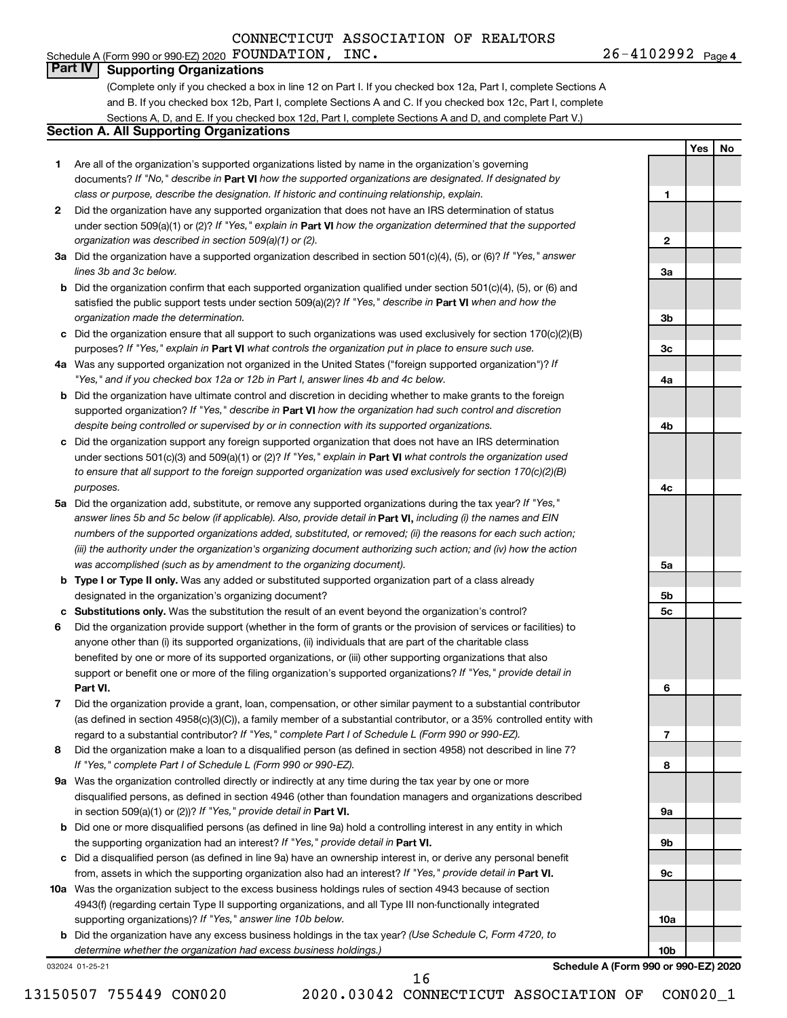### Schedule A (Form 990 or 990-EZ) 2020  ${\hbox{FOUNDATION}}$  ,  ${\hbox{INC}}$  .  $26-4102992$   ${\hbox{Page}}$ **Part IV Supporting Organizations**

(Complete only if you checked a box in line 12 on Part I. If you checked box 12a, Part I, complete Sections A and B. If you checked box 12b, Part I, complete Sections A and C. If you checked box 12c, Part I, complete Sections A, D, and E. If you checked box 12d, Part I, complete Sections A and D, and complete Part V.)

### **Section A. All Supporting Organizations**

- **1** Are all of the organization's supported organizations listed by name in the organization's governing documents? If "No," describe in Part VI how the supported organizations are designated. If designated by *class or purpose, describe the designation. If historic and continuing relationship, explain.*
- **2** Did the organization have any supported organization that does not have an IRS determination of status under section 509(a)(1) or (2)? If "Yes," explain in Part **VI** how the organization determined that the supported *organization was described in section 509(a)(1) or (2).*
- **3a** Did the organization have a supported organization described in section 501(c)(4), (5), or (6)? If "Yes," answer *lines 3b and 3c below.*
- **b** Did the organization confirm that each supported organization qualified under section 501(c)(4), (5), or (6) and satisfied the public support tests under section 509(a)(2)? If "Yes," describe in Part VI when and how the *organization made the determination.*
- **c** Did the organization ensure that all support to such organizations was used exclusively for section 170(c)(2)(B) purposes? If "Yes," explain in Part VI what controls the organization put in place to ensure such use.
- **4 a** *If* Was any supported organization not organized in the United States ("foreign supported organization")? *"Yes," and if you checked box 12a or 12b in Part I, answer lines 4b and 4c below.*
- **b** Did the organization have ultimate control and discretion in deciding whether to make grants to the foreign supported organization? If "Yes," describe in Part VI how the organization had such control and discretion *despite being controlled or supervised by or in connection with its supported organizations.*
- **c** Did the organization support any foreign supported organization that does not have an IRS determination under sections 501(c)(3) and 509(a)(1) or (2)? If "Yes," explain in Part VI what controls the organization used *to ensure that all support to the foreign supported organization was used exclusively for section 170(c)(2)(B) purposes.*
- **5a** Did the organization add, substitute, or remove any supported organizations during the tax year? If "Yes," answer lines 5b and 5c below (if applicable). Also, provide detail in **Part VI,** including (i) the names and EIN *numbers of the supported organizations added, substituted, or removed; (ii) the reasons for each such action; (iii) the authority under the organization's organizing document authorizing such action; and (iv) how the action was accomplished (such as by amendment to the organizing document).*
- **b** Type I or Type II only. Was any added or substituted supported organization part of a class already designated in the organization's organizing document?
- **c Substitutions only.**  Was the substitution the result of an event beyond the organization's control?
- **6** Did the organization provide support (whether in the form of grants or the provision of services or facilities) to **Part VI.** support or benefit one or more of the filing organization's supported organizations? If "Yes," provide detail in anyone other than (i) its supported organizations, (ii) individuals that are part of the charitable class benefited by one or more of its supported organizations, or (iii) other supporting organizations that also
- **7** Did the organization provide a grant, loan, compensation, or other similar payment to a substantial contributor regard to a substantial contributor? If "Yes," complete Part I of Schedule L (Form 990 or 990-EZ). (as defined in section 4958(c)(3)(C)), a family member of a substantial contributor, or a 35% controlled entity with
- **8** Did the organization make a loan to a disqualified person (as defined in section 4958) not described in line 7? *If "Yes," complete Part I of Schedule L (Form 990 or 990-EZ).*
- **9 a** Was the organization controlled directly or indirectly at any time during the tax year by one or more in section 509(a)(1) or (2))? If "Yes," provide detail in **Part VI.** disqualified persons, as defined in section 4946 (other than foundation managers and organizations described
- **b** Did one or more disqualified persons (as defined in line 9a) hold a controlling interest in any entity in which the supporting organization had an interest? If "Yes," provide detail in Part VI.
- **c** Did a disqualified person (as defined in line 9a) have an ownership interest in, or derive any personal benefit from, assets in which the supporting organization also had an interest? If "Yes," provide detail in Part VI.
- **10 a** Was the organization subject to the excess business holdings rules of section 4943 because of section supporting organizations)? If "Yes," answer line 10b below. 4943(f) (regarding certain Type II supporting organizations, and all Type III non-functionally integrated
	- **b** Did the organization have any excess business holdings in the tax year? (Use Schedule C, Form 4720, to *determine whether the organization had excess business holdings.)*

032024 01-25-21

**10b Schedule A (Form 990 or 990-EZ) 2020**

26-4102992 Page 4

**1**

**2**

**3a**

**3b**

**3c**

**4a**

**4b**

**4c**

**5a**

**5b 5c**

**6**

**7**

**8**

**9a**

**9b**

**9c**

**10a**

**Yes No**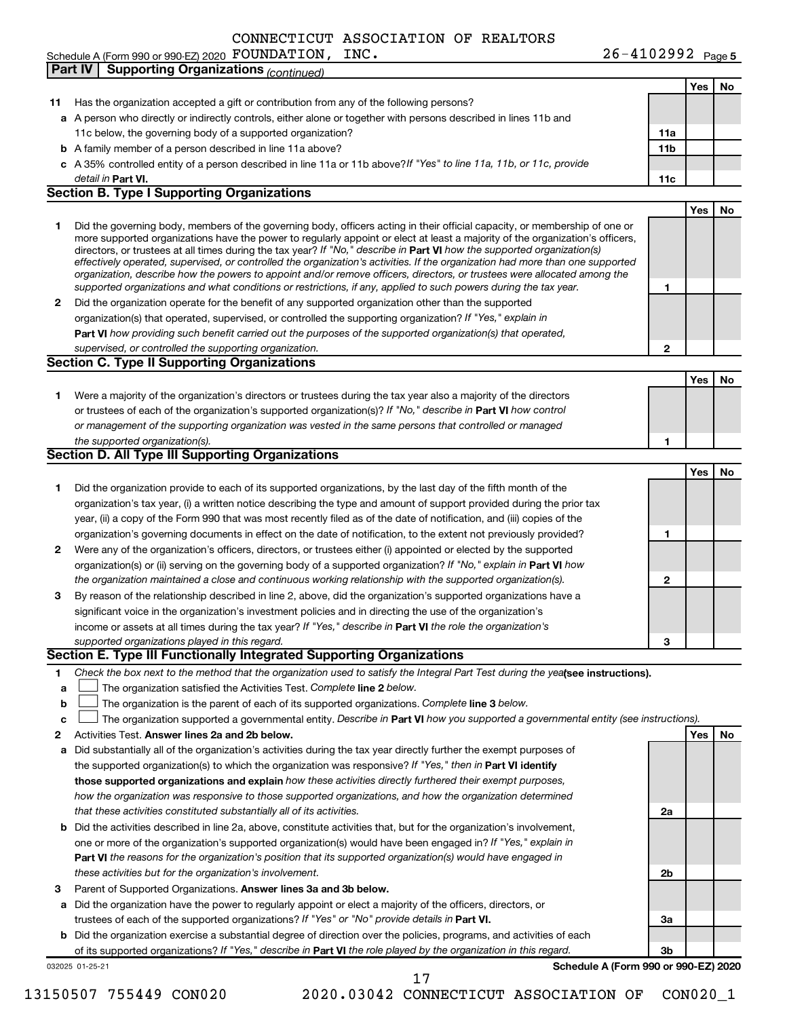Schedule A (Form 990 or 990-EZ) 2020  ${\hbox{FOUNDATION}}$  ,  ${\hbox{INC}}$  .  $26-4102992$   ${\hbox{Page}}$ 

**Yes No 11** Has the organization accepted a gift or contribution from any of the following persons? **a** A person who directly or indirectly controls, either alone or together with persons described in lines 11b and **b** A family member of a person described in line 11a above? **c** *If "Yes" to line 11a, 11b, or 11c, provide* A 35% controlled entity of a person described in line 11a or 11b above? **11a 11b Part VI. 11c Yes No 1** Did the governing body, members of the governing body, officers acting in their official capacity, or membership of one or **2** Did the organization operate for the benefit of any supported organization other than the supported directors, or trustees at all times during the tax year? If "No," describe in Part VI how the supported organization(s) **1 2 Part VI**  *how providing such benefit carried out the purposes of the supported organization(s) that operated,* **Yes No 1** Were a majority of the organization's directors or trustees during the tax year also a majority of the directors or trustees of each of the organization's supported organization(s)? If "No," describe in Part VI how control **1 Yes No 1** Did the organization provide to each of its supported organizations, by the last day of the fifth month of the **2** Were any of the organization's officers, directors, or trustees either (i) appointed or elected by the supported **3** By reason of the relationship described in line 2, above, did the organization's supported organizations have a **1 2 3** organization(s) or (ii) serving on the governing body of a supported organization? If "No," explain in Part VI how income or assets at all times during the tax year? If "Yes," describe in Part VI the role the organization's **1 2 Answer lines 2a and 2b below. Yes No** Activities Test. 3 Parent of Supported Organizations. Answer lines 3a and 3b below. Check the box next to the method that the organization used to satisfy the Integral Part Test during the yealsee instructions). **a b c** The organization satisfied the Activities Test. Complete line 2 below. The organization is the parent of each of its supported organizations. Complete line 3 below. The organization supported a governmental entity. Describe in Part VI how you supported a governmental entity (see instructions). **a** Did substantially all of the organization's activities during the tax year directly further the exempt purposes of **b** Did the activities described in line 2a, above, constitute activities that, but for the organization's involvement, **a** Did the organization have the power to regularly appoint or elect a majority of the officers, directors, or **b** Did the organization exercise a substantial degree of direction over the policies, programs, and activities of each the supported organization(s) to which the organization was responsive? If "Yes," then in Part VI identify **those supported organizations and explain**  *how these activities directly furthered their exempt purposes,* **2a 2b 3a 3b Part VI**  *the reasons for the organization's position that its supported organization(s) would have engaged in* trustees of each of the supported organizations? If "Yes" or "No" provide details in Part VI. of its supported organizations? If "Yes," describe in Part VI the role played by the organization in this regard. detail in Part VI. *effectively operated, supervised, or controlled the organization's activities. If the organization had more than one supported organization, describe how the powers to appoint and/or remove officers, directors, or trustees were allocated among the supported organizations and what conditions or restrictions, if any, applied to such powers during the tax year.* organization(s) that operated, supervised, or controlled the supporting organization? If "Yes," explain in *supervised, or controlled the supporting organization. or management of the supporting organization was vested in the same persons that controlled or managed the supported organization(s). the organization maintained a close and continuous working relationship with the supported organization(s). supported organizations played in this regard. how the organization was responsive to those supported organizations, and how the organization determined that these activities constituted substantially all of its activities.* one or more of the organization's supported organization(s) would have been engaged in? If "Yes," explain in *these activities but for the organization's involvement.* 11c below, the governing body of a supported organization? more supported organizations have the power to regularly appoint or elect at least a majority of the organization's officers, organization's tax year, (i) a written notice describing the type and amount of support provided during the prior tax year, (ii) a copy of the Form 990 that was most recently filed as of the date of notification, and (iii) copies of the organization's governing documents in effect on the date of notification, to the extent not previously provided? significant voice in the organization's investment policies and in directing the use of the organization's **Part IV Supporting Organizations** *(continued)* **Section B. Type I Supporting Organizations Section C. Type II Supporting Organizations Section D. All Type III Supporting Organizations Section E. Type III Functionally Integrated Supporting Organizations**  $\Box$  $\Box$  $\Box$ 

032025 01-25-21

**Schedule A (Form 990 or 990-EZ) 2020**

26-4102992 Page 5

17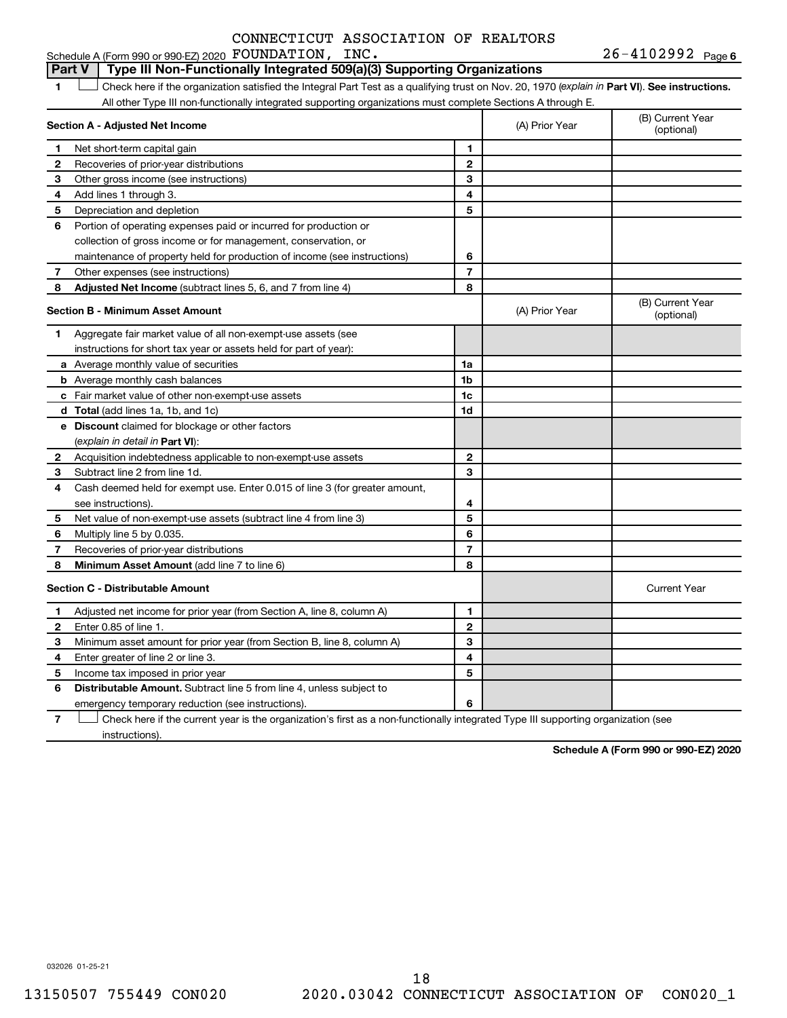26-4102992 Page 6 Schedule A (Form 990 or 990-EZ) 2020  ${\hbox{FOUNDATION}}$  ,  ${\hbox{INC}}$  .  $26-4102992$   ${\hbox{Page}}$ 

#### **1 Part VI** Check here if the organization satisfied the Integral Part Test as a qualifying trust on Nov. 20, 1970 (*explain in* Part **VI**). See instructions. **Section A - Adjusted Net Income 1 2 3 4 5 6 7 8 1 2 3 4 5 6 7 Adjusted Net Income** (subtract lines 5, 6, and 7 from line 4) **8 8 Section B - Minimum Asset Amount 1 2 3 4 5 6 7 8 a** Average monthly value of securities **b** Average monthly cash balances **c** Fair market value of other non-exempt-use assets **d Total**  (add lines 1a, 1b, and 1c) **e Discount** claimed for blockage or other factors **1a 1b 1c 1d 2 3 4 5 6 7 8** (explain in detail in Part VI): **Minimum Asset Amount**  (add line 7 to line 6) **Section C - Distributable Amount 1 2 3 4 5 6 1 2 3 4 5 6** Distributable Amount. Subtract line 5 from line 4, unless subject to All other Type III non-functionally integrated supporting organizations must complete Sections A through E. (B) Current Year (A) Prior Year Net short-term capital gain Recoveries of prior-year distributions Other gross income (see instructions) Add lines 1 through 3. Depreciation and depletion Portion of operating expenses paid or incurred for production or collection of gross income or for management, conservation, or maintenance of property held for production of income (see instructions) Other expenses (see instructions) (B) Current Year  $(A)$  Prior Year  $\left\{\n\begin{array}{ccc}\n\end{array}\n\right\}$  (optional) Aggregate fair market value of all non-exempt-use assets (see instructions for short tax year or assets held for part of year): Acquisition indebtedness applicable to non-exempt-use assets Subtract line 2 from line 1d. Cash deemed held for exempt use. Enter 0.015 of line 3 (for greater amount, see instructions). Net value of non-exempt-use assets (subtract line 4 from line 3) Multiply line 5 by 0.035. Recoveries of prior-year distributions Current Year Adjusted net income for prior year (from Section A, line 8, column A) Enter 0.85 of line 1. Minimum asset amount for prior year (from Section B, line 8, column A) Enter greater of line 2 or line 3. Income tax imposed in prior year emergency temporary reduction (see instructions). **Part V Type III Non-Functionally Integrated 509(a)(3) Supporting Organizations**   $\Box$

**7** Check here if the current year is the organization's first as a non-functionally integrated Type III supporting organization (see † instructions).

**Schedule A (Form 990 or 990-EZ) 2020**

032026 01-25-21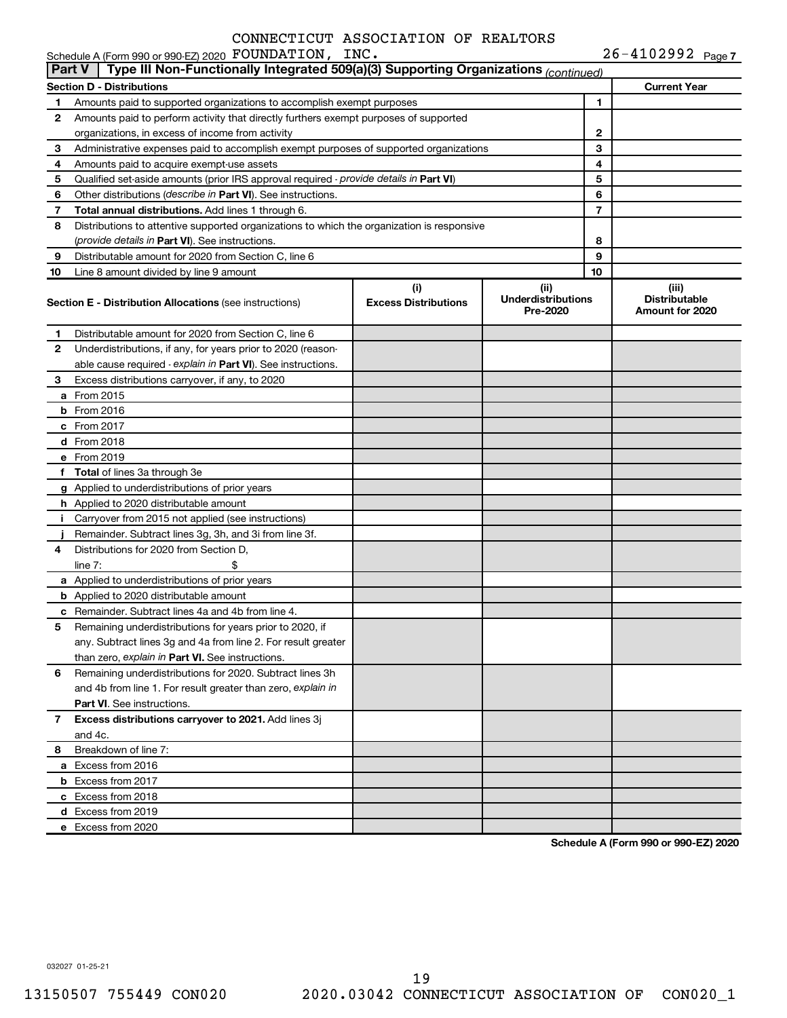| Part V | Type III Non-Functionally Integrated 509(a)(3) Supporting Organizations (continued)                                                                    |  |  |    |                                                  |
|--------|--------------------------------------------------------------------------------------------------------------------------------------------------------|--|--|----|--------------------------------------------------|
|        | <b>Section D - Distributions</b>                                                                                                                       |  |  |    | <b>Current Year</b>                              |
| 1      | Amounts paid to supported organizations to accomplish exempt purposes                                                                                  |  |  | 1  |                                                  |
| 2      | Amounts paid to perform activity that directly furthers exempt purposes of supported                                                                   |  |  |    |                                                  |
|        | organizations, in excess of income from activity                                                                                                       |  |  | 2  |                                                  |
| 3      | Administrative expenses paid to accomplish exempt purposes of supported organizations                                                                  |  |  | 3  |                                                  |
| 4      | Amounts paid to acquire exempt-use assets                                                                                                              |  |  | 4  |                                                  |
| 5      | Qualified set-aside amounts (prior IRS approval required - provide details in Part VI)                                                                 |  |  | 5  |                                                  |
| 6      | Other distributions (describe in Part VI). See instructions.                                                                                           |  |  | 6  |                                                  |
| 7      | Total annual distributions. Add lines 1 through 6.                                                                                                     |  |  | 7  |                                                  |
| 8      | Distributions to attentive supported organizations to which the organization is responsive                                                             |  |  |    |                                                  |
|        | ( <i>provide details in Part VI</i> ). See instructions.                                                                                               |  |  | 8  |                                                  |
| 9      | Distributable amount for 2020 from Section C, line 6                                                                                                   |  |  | 9  |                                                  |
| 10     | Line 8 amount divided by line 9 amount                                                                                                                 |  |  | 10 |                                                  |
|        | (i)<br>(iii)<br><b>Underdistributions</b><br><b>Excess Distributions</b><br><b>Section E - Distribution Allocations (see instructions)</b><br>Pre-2020 |  |  |    | (iii)<br><b>Distributable</b><br>Amount for 2020 |
| 1      | Distributable amount for 2020 from Section C, line 6                                                                                                   |  |  |    |                                                  |
| 2      | Underdistributions, if any, for years prior to 2020 (reason-                                                                                           |  |  |    |                                                  |
|        | able cause required - explain in Part VI). See instructions.                                                                                           |  |  |    |                                                  |
| 3      | Excess distributions carryover, if any, to 2020                                                                                                        |  |  |    |                                                  |
|        | <b>a</b> From 2015                                                                                                                                     |  |  |    |                                                  |
|        | <b>b</b> From 2016                                                                                                                                     |  |  |    |                                                  |
|        | c From 2017                                                                                                                                            |  |  |    |                                                  |
|        | d From 2018                                                                                                                                            |  |  |    |                                                  |
|        | e From 2019                                                                                                                                            |  |  |    |                                                  |
|        | f Total of lines 3a through 3e                                                                                                                         |  |  |    |                                                  |
|        | g Applied to underdistributions of prior years                                                                                                         |  |  |    |                                                  |
|        | <b>h</b> Applied to 2020 distributable amount                                                                                                          |  |  |    |                                                  |
|        | i Carryover from 2015 not applied (see instructions)                                                                                                   |  |  |    |                                                  |
|        | Remainder. Subtract lines 3g, 3h, and 3i from line 3f.                                                                                                 |  |  |    |                                                  |
| 4      | Distributions for 2020 from Section D,                                                                                                                 |  |  |    |                                                  |
|        | line $7:$<br>\$                                                                                                                                        |  |  |    |                                                  |
|        | a Applied to underdistributions of prior years                                                                                                         |  |  |    |                                                  |
|        | <b>b</b> Applied to 2020 distributable amount                                                                                                          |  |  |    |                                                  |
|        | c Remainder. Subtract lines 4a and 4b from line 4.                                                                                                     |  |  |    |                                                  |
| 5      | Remaining underdistributions for years prior to 2020, if                                                                                               |  |  |    |                                                  |
|        | any. Subtract lines 3g and 4a from line 2. For result greater                                                                                          |  |  |    |                                                  |
|        | than zero, explain in Part VI. See instructions.                                                                                                       |  |  |    |                                                  |
| 6      | Remaining underdistributions for 2020. Subtract lines 3h                                                                                               |  |  |    |                                                  |
|        | and 4b from line 1. For result greater than zero, explain in<br><b>Part VI.</b> See instructions.                                                      |  |  |    |                                                  |
| 7      | Excess distributions carryover to 2021. Add lines 3j                                                                                                   |  |  |    |                                                  |
|        | and 4c.                                                                                                                                                |  |  |    |                                                  |
| 8      | Breakdown of line 7:                                                                                                                                   |  |  |    |                                                  |
|        | a Excess from 2016                                                                                                                                     |  |  |    |                                                  |
|        | <b>b</b> Excess from 2017                                                                                                                              |  |  |    |                                                  |
|        | c Excess from 2018                                                                                                                                     |  |  |    |                                                  |
|        | d Excess from 2019                                                                                                                                     |  |  |    |                                                  |
|        | e Excess from 2020                                                                                                                                     |  |  |    |                                                  |
|        |                                                                                                                                                        |  |  |    |                                                  |

**Schedule A (Form 990 or 990-EZ) 2020**

032027 01-25-21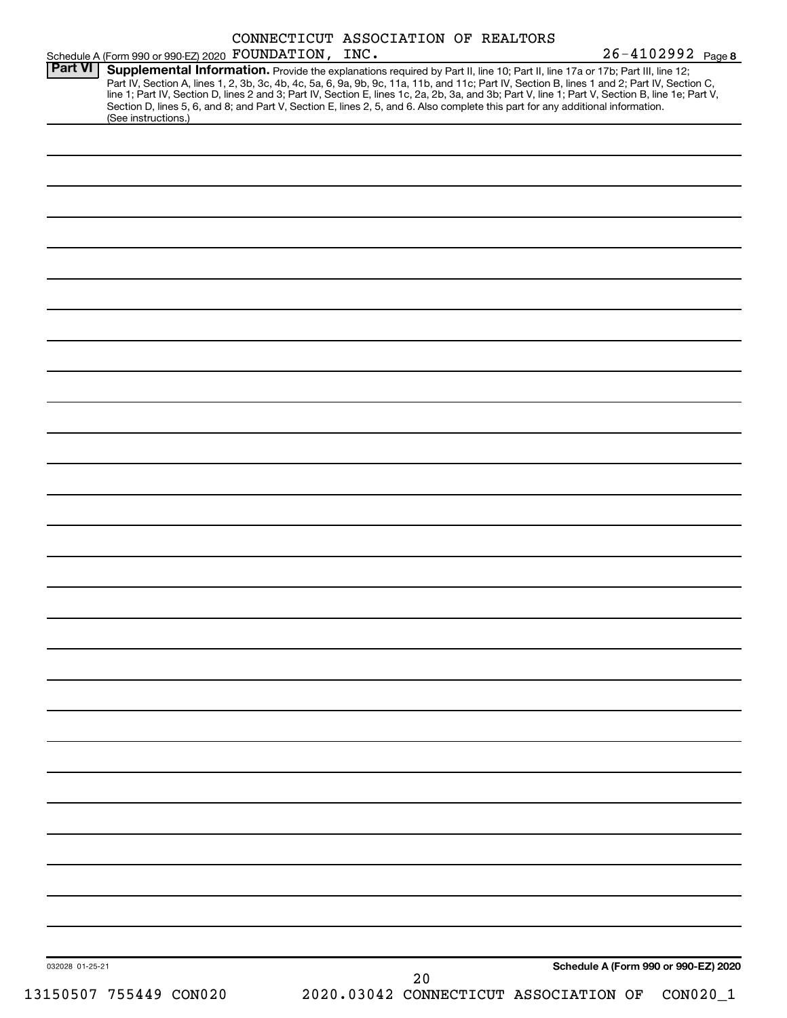|                 |                        | CONNECTICUT ASSOCIATION OF REALTORS<br>Schedule A (Form 990 or 990-EZ) 2020 FOUNDATION, INC.                                                                                                                                                                                                                                                                                                                                                                                                                                                                         |    |                                       | 26-4102992 Page 8    |
|-----------------|------------------------|----------------------------------------------------------------------------------------------------------------------------------------------------------------------------------------------------------------------------------------------------------------------------------------------------------------------------------------------------------------------------------------------------------------------------------------------------------------------------------------------------------------------------------------------------------------------|----|---------------------------------------|----------------------|
| <b>Part VI</b>  | (See instructions.)    | Supplemental Information. Provide the explanations required by Part II, line 10; Part II, line 17a or 17b; Part III, line 12;<br>Part IV, Section A, lines 1, 2, 3b, 3c, 4b, 4c, 5a, 6, 9a, 9b, 9c, 11a, 11b, and 11c; Part IV, Section B, lines 1 and 2; Part IV, Section C,<br>line 1; Part IV, Section D, lines 2 and 3; Part IV, Section E, lines 1c, 2a, 2b, 3a, and 3b; Part V, line 1; Part V, Section B, line 1e; Part V,<br>Section D, lines 5, 6, and 8; and Part V, Section E, lines 2, 5, and 6. Also complete this part for any additional information. |    |                                       |                      |
|                 |                        |                                                                                                                                                                                                                                                                                                                                                                                                                                                                                                                                                                      |    |                                       |                      |
|                 |                        |                                                                                                                                                                                                                                                                                                                                                                                                                                                                                                                                                                      |    |                                       |                      |
|                 |                        |                                                                                                                                                                                                                                                                                                                                                                                                                                                                                                                                                                      |    |                                       |                      |
|                 |                        |                                                                                                                                                                                                                                                                                                                                                                                                                                                                                                                                                                      |    |                                       |                      |
|                 |                        |                                                                                                                                                                                                                                                                                                                                                                                                                                                                                                                                                                      |    |                                       |                      |
|                 |                        |                                                                                                                                                                                                                                                                                                                                                                                                                                                                                                                                                                      |    |                                       |                      |
|                 |                        |                                                                                                                                                                                                                                                                                                                                                                                                                                                                                                                                                                      |    |                                       |                      |
|                 |                        |                                                                                                                                                                                                                                                                                                                                                                                                                                                                                                                                                                      |    |                                       |                      |
|                 |                        |                                                                                                                                                                                                                                                                                                                                                                                                                                                                                                                                                                      |    |                                       |                      |
|                 |                        |                                                                                                                                                                                                                                                                                                                                                                                                                                                                                                                                                                      |    |                                       |                      |
|                 |                        |                                                                                                                                                                                                                                                                                                                                                                                                                                                                                                                                                                      |    |                                       |                      |
|                 |                        |                                                                                                                                                                                                                                                                                                                                                                                                                                                                                                                                                                      |    |                                       |                      |
|                 |                        |                                                                                                                                                                                                                                                                                                                                                                                                                                                                                                                                                                      |    |                                       |                      |
|                 |                        |                                                                                                                                                                                                                                                                                                                                                                                                                                                                                                                                                                      |    |                                       |                      |
|                 |                        |                                                                                                                                                                                                                                                                                                                                                                                                                                                                                                                                                                      |    |                                       |                      |
|                 |                        |                                                                                                                                                                                                                                                                                                                                                                                                                                                                                                                                                                      |    |                                       |                      |
|                 |                        |                                                                                                                                                                                                                                                                                                                                                                                                                                                                                                                                                                      |    |                                       |                      |
|                 |                        |                                                                                                                                                                                                                                                                                                                                                                                                                                                                                                                                                                      |    |                                       |                      |
|                 |                        |                                                                                                                                                                                                                                                                                                                                                                                                                                                                                                                                                                      |    |                                       |                      |
|                 |                        |                                                                                                                                                                                                                                                                                                                                                                                                                                                                                                                                                                      |    |                                       |                      |
|                 |                        |                                                                                                                                                                                                                                                                                                                                                                                                                                                                                                                                                                      |    |                                       |                      |
|                 |                        |                                                                                                                                                                                                                                                                                                                                                                                                                                                                                                                                                                      |    |                                       |                      |
|                 |                        |                                                                                                                                                                                                                                                                                                                                                                                                                                                                                                                                                                      |    |                                       |                      |
|                 |                        |                                                                                                                                                                                                                                                                                                                                                                                                                                                                                                                                                                      |    |                                       |                      |
|                 |                        |                                                                                                                                                                                                                                                                                                                                                                                                                                                                                                                                                                      |    |                                       |                      |
|                 |                        |                                                                                                                                                                                                                                                                                                                                                                                                                                                                                                                                                                      |    |                                       |                      |
|                 |                        |                                                                                                                                                                                                                                                                                                                                                                                                                                                                                                                                                                      |    |                                       |                      |
|                 |                        |                                                                                                                                                                                                                                                                                                                                                                                                                                                                                                                                                                      |    |                                       |                      |
|                 |                        |                                                                                                                                                                                                                                                                                                                                                                                                                                                                                                                                                                      |    |                                       |                      |
|                 |                        |                                                                                                                                                                                                                                                                                                                                                                                                                                                                                                                                                                      |    |                                       |                      |
|                 |                        |                                                                                                                                                                                                                                                                                                                                                                                                                                                                                                                                                                      |    |                                       |                      |
| 032028 01-25-21 |                        |                                                                                                                                                                                                                                                                                                                                                                                                                                                                                                                                                                      |    | Schedule A (Form 990 or 990-EZ) 2020  |                      |
|                 | 13150507 755449 CON020 |                                                                                                                                                                                                                                                                                                                                                                                                                                                                                                                                                                      | 20 | 2020.03042 CONNECTICUT ASSOCIATION OF | $\mathtt{CON020\_1}$ |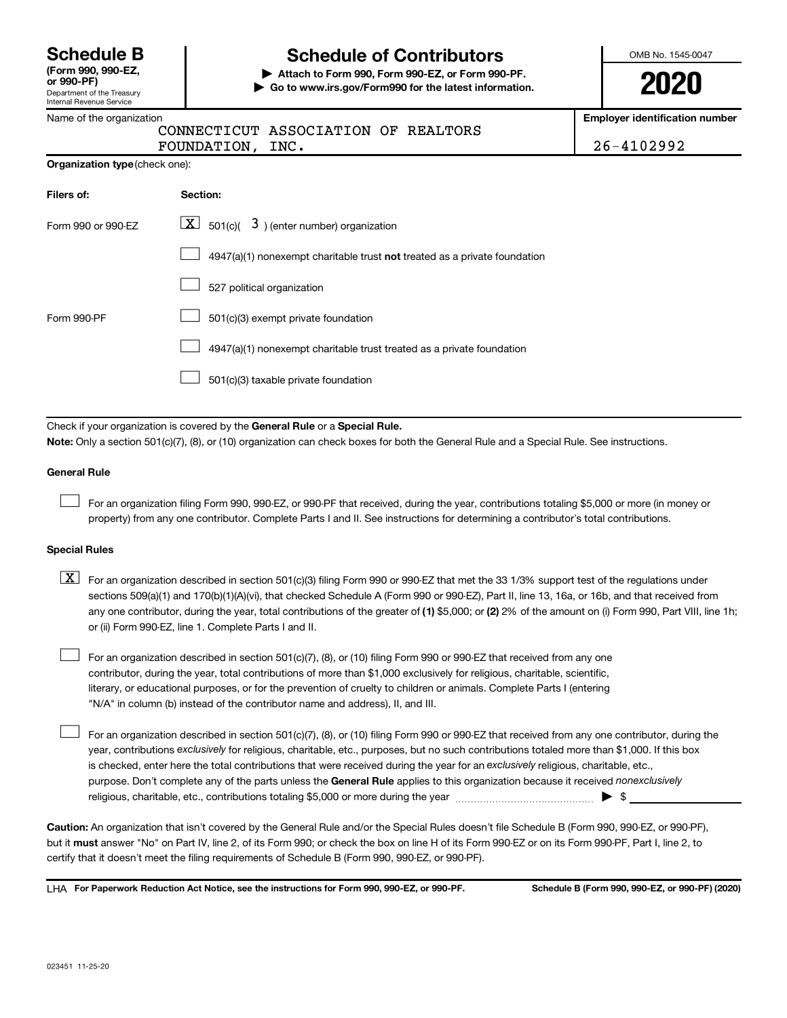Department of the Treasury Internal Revenue Service **(Form 990, 990-EZ,**

## **Schedule B Schedule of Contributors**

**or 990-PF) | Attach to Form 990, Form 990-EZ, or Form 990-PF. | Go to www.irs.gov/Form990 for the latest information.** OMB No. 1545-0047

**2020**

**Employer identification number**

|  |  | Name of the organization |
|--|--|--------------------------|
|--|--|--------------------------|

**Organization type** (check one):

CONNECTICUT ASSOCIATION OF REALTORS

FOUNDATION, INC. 26-4102992

| Filers of:         | Section:                                                                  |
|--------------------|---------------------------------------------------------------------------|
| Form 990 or 990-FZ | $X$ 501(c)(<br>$3$ ) (enter number) organization                          |
|                    | 4947(a)(1) nonexempt charitable trust not treated as a private foundation |
|                    | 527 political organization                                                |
| Form 990-PF        | 501(c)(3) exempt private foundation                                       |
|                    | 4947(a)(1) nonexempt charitable trust treated as a private foundation     |
|                    | 501(c)(3) taxable private foundation                                      |

Check if your organization is covered by the General Rule or a Special Rule.

**Note:**  Only a section 501(c)(7), (8), or (10) organization can check boxes for both the General Rule and a Special Rule. See instructions.

#### **General Rule**

 $\Box$ 

 $\Box$ 

For an organization filing Form 990, 990-EZ, or 990-PF that received, during the year, contributions totaling \$5,000 or more (in money or property) from any one contributor. Complete Parts I and II. See instructions for determining a contributor's total contributions.

#### **Special Rules**

any one contributor, during the year, total contributions of the greater of (1) \$5,000; or (2) 2% of the amount on (i) Form 990, Part VIII, line 1h;  $\boxed{\text{X}}$  For an organization described in section 501(c)(3) filing Form 990 or 990-EZ that met the 33 1/3% support test of the regulations under sections 509(a)(1) and 170(b)(1)(A)(vi), that checked Schedule A (Form 990 or 990-EZ), Part II, line 13, 16a, or 16b, and that received from or (ii) Form 990-EZ, line 1. Complete Parts I and II.

For an organization described in section 501(c)(7), (8), or (10) filing Form 990 or 990-EZ that received from any one contributor, during the year, total contributions of more than \$1,000 exclusively for religious, charitable, scientific, literary, or educational purposes, or for the prevention of cruelty to children or animals. Complete Parts I (entering "N/A" in column (b) instead of the contributor name and address), II, and III.  $\Box$ 

purpose. Don't complete any of the parts unless the General Rule applies to this organization because it received nonexclusively year, contributions exclusively for religious, charitable, etc., purposes, but no such contributions totaled more than \$1,000. If this box is checked, enter here the total contributions that were received during the year for an exclusively religious, charitable, etc., For an organization described in section 501(c)(7), (8), or (10) filing Form 990 or 990-EZ that received from any one contributor, during the religious, charitable, etc., contributions totaling \$5,000 or more during the year  $\ldots$  $\ldots$  $\ldots$  $\ldots$  $\ldots$  $\ldots$ 

**Caution:**  An organization that isn't covered by the General Rule and/or the Special Rules doesn't file Schedule B (Form 990, 990-EZ, or 990-PF),  **must** but it answer "No" on Part IV, line 2, of its Form 990; or check the box on line H of its Form 990-EZ or on its Form 990-PF, Part I, line 2, to certify that it doesn't meet the filing requirements of Schedule B (Form 990, 990-EZ, or 990-PF).

**For Paperwork Reduction Act Notice, see the instructions for Form 990, 990-EZ, or 990-PF. Schedule B (Form 990, 990-EZ, or 990-PF) (2020)** LHA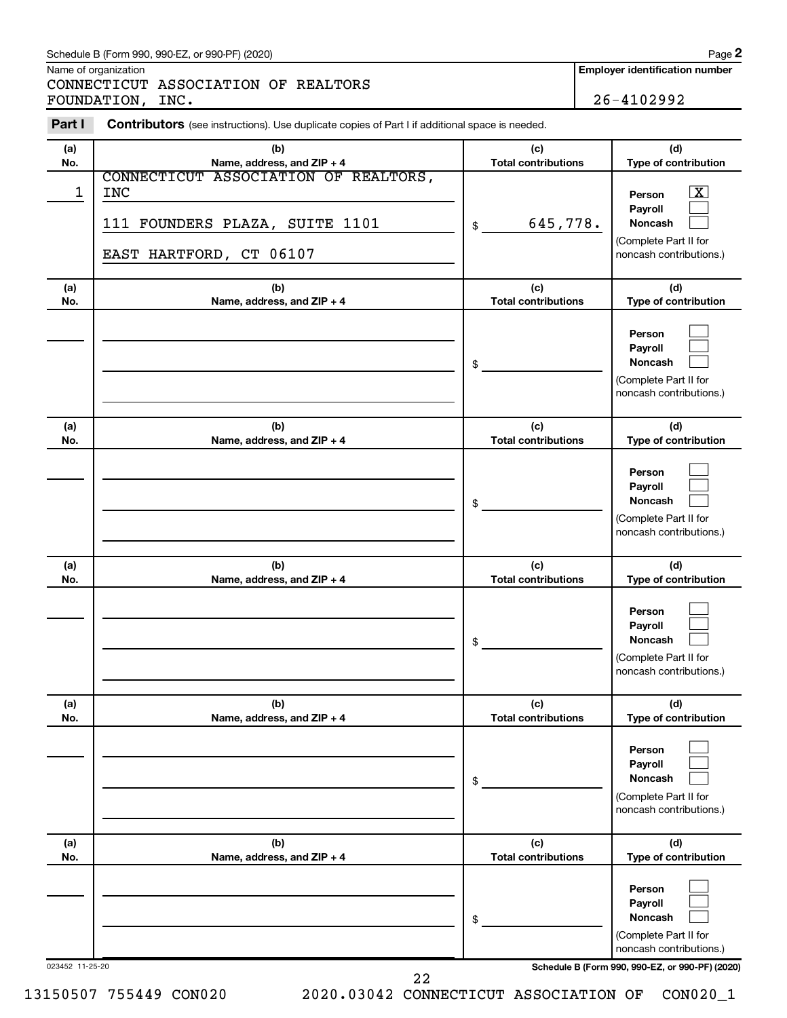#### Schedule B (Form 990, 990-EZ, or 990-PF) (2020)

Name of organization

CONNECTICUT ASSOCIATION OF REALTORS FOUNDATION, INC. 26-4102992 **2**

| (b)<br>Name, address, and ZIP + 4                                       | (c)<br><b>Total contributions</b>                       | (d)<br>Type of contribution                                                                              |
|-------------------------------------------------------------------------|---------------------------------------------------------|----------------------------------------------------------------------------------------------------------|
| <b>INC</b><br>111 FOUNDERS PLAZA, SUITE 1101<br>EAST HARTFORD, CT 06107 | 645,778.<br>\$                                          | $\boxed{\textbf{X}}$<br>Person<br>Pavroll<br>Noncash<br>(Complete Part II for<br>noncash contributions.) |
| (b)<br>Name, address, and ZIP + 4                                       | (c)<br><b>Total contributions</b>                       | (d)<br>Type of contribution                                                                              |
|                                                                         | \$                                                      | Person<br>Payroll<br>Noncash<br>(Complete Part II for<br>noncash contributions.)                         |
| (b)<br>Name, address, and ZIP + 4                                       | (c)<br><b>Total contributions</b>                       | (d)<br>Type of contribution                                                                              |
|                                                                         | \$                                                      | Person<br>Payroll<br>Noncash<br>(Complete Part II for<br>noncash contributions.)                         |
| (b)<br>Name, address, and ZIP + 4                                       | (c)<br><b>Total contributions</b>                       | (d)<br>Type of contribution                                                                              |
|                                                                         | \$                                                      | Person<br>Payroll<br><b>Noncash</b><br>(Complete Part II for<br>noncash contributions.)                  |
| (b)<br>Name, address, and ZIP + 4                                       | (c)<br><b>Total contributions</b>                       | (d)<br>Type of contribution                                                                              |
|                                                                         | \$                                                      | Person<br>Payroll<br><b>Noncash</b><br>(Complete Part II for<br>noncash contributions.)                  |
| (b)<br>Name, address, and ZIP + 4                                       | (c)<br><b>Total contributions</b>                       | (d)<br>Type of contribution                                                                              |
|                                                                         | \$                                                      | Person<br>Payroll<br>Noncash<br>(Complete Part II for<br>noncash contributions.)                         |
|                                                                         | CONNECTICUT ASSOCIATION OF REALTORS,<br>023452 11-25-20 | Schedule B (Form 990, 990-EZ, or 990-PF) (2020)                                                          |

22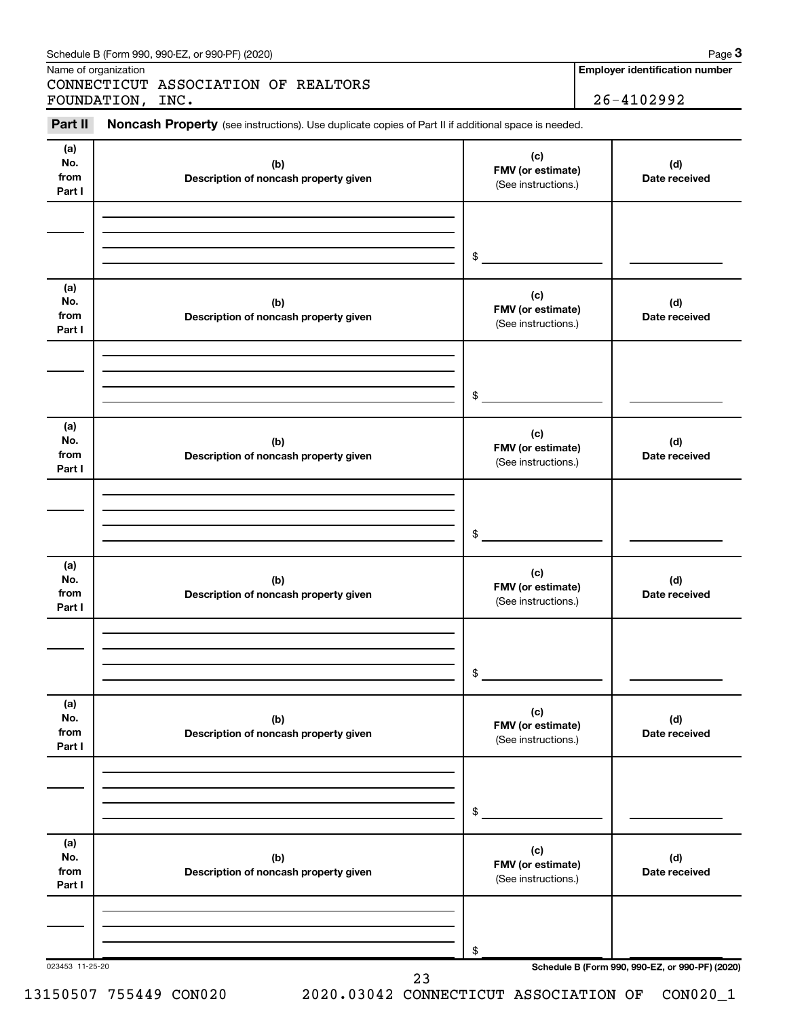| Part II                      | Noncash Property (see instructions). Use duplicate copies of Part II if additional space is needed. |                                                 |                      |
|------------------------------|-----------------------------------------------------------------------------------------------------|-------------------------------------------------|----------------------|
|                              |                                                                                                     |                                                 |                      |
| (a)<br>No.<br>from<br>Part I | (b)<br>Description of noncash property given                                                        | (c)<br>FMV (or estimate)<br>(See instructions.) | (d)<br>Date received |
|                              |                                                                                                     | \$                                              |                      |
| (a)<br>No.<br>from<br>Part I | (b)<br>Description of noncash property given                                                        | (c)<br>FMV (or estimate)<br>(See instructions.) | (d)<br>Date received |
|                              |                                                                                                     | \$                                              |                      |
| (a)<br>No.<br>from<br>Part I | (b)<br>Description of noncash property given                                                        | (c)<br>FMV (or estimate)<br>(See instructions.) | (d)<br>Date received |
|                              |                                                                                                     | \$                                              |                      |
| (a)<br>No.<br>from<br>Part I | (b)<br>Description of noncash property given                                                        | (c)<br>FMV (or estimate)<br>(See instructions.) | (d)<br>Date received |
|                              |                                                                                                     | \$                                              |                      |
| (a)<br>No.<br>from<br>Part I | (b)<br>Description of noncash property given                                                        | (c)<br>FMV (or estimate)<br>(See instructions.) | (d)<br>Date received |
|                              |                                                                                                     | \$                                              |                      |
| (a)<br>No.<br>from<br>Part I | (b)<br>Description of noncash property given                                                        | (c)<br>FMV (or estimate)<br>(See instructions.) | (d)<br>Date received |
|                              |                                                                                                     |                                                 |                      |

### Schedule B (Form 990, 990-EZ, or 990-PF) (2020)

Name of organization

**Employer identification number 3**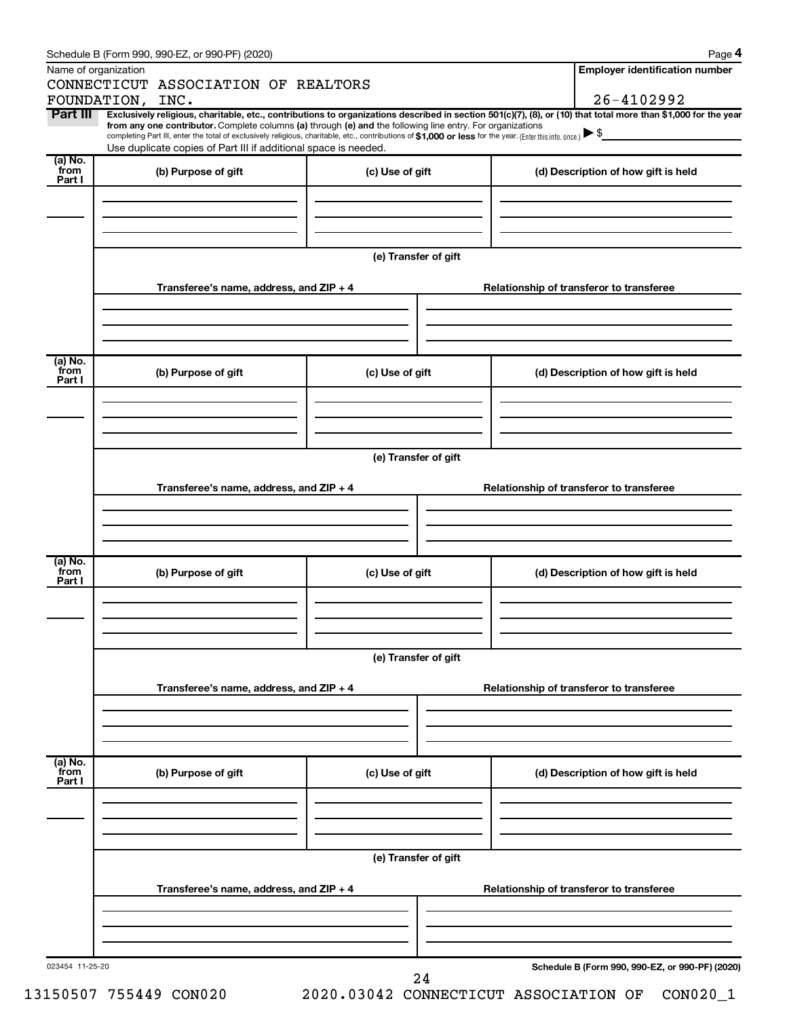|                 | Schedule B (Form 990, 990-EZ, or 990-PF) (2020)                                                                                                                                                                             |                      |                                                                                                                                                                              | Page 4 |  |  |  |  |
|-----------------|-----------------------------------------------------------------------------------------------------------------------------------------------------------------------------------------------------------------------------|----------------------|------------------------------------------------------------------------------------------------------------------------------------------------------------------------------|--------|--|--|--|--|
|                 | Name of organization                                                                                                                                                                                                        |                      | <b>Employer identification number</b>                                                                                                                                        |        |  |  |  |  |
|                 | CONNECTICUT ASSOCIATION OF REALTORS                                                                                                                                                                                         |                      |                                                                                                                                                                              |        |  |  |  |  |
| Part III        | FOUNDATION, INC.                                                                                                                                                                                                            |                      | 26-4102992<br>Exclusively religious, charitable, etc., contributions to organizations described in section 501(c)(7), (8), or (10) that total more than \$1,000 for the year |        |  |  |  |  |
|                 | from any one contributor. Complete columns (a) through (e) and the following line entry. For organizations                                                                                                                  |                      |                                                                                                                                                                              |        |  |  |  |  |
|                 | completing Part III, enter the total of exclusively religious, charitable, etc., contributions of \$1,000 or less for the year. (Enter this info. once.)<br>Use duplicate copies of Part III if additional space is needed. |                      |                                                                                                                                                                              |        |  |  |  |  |
| (a) No.         |                                                                                                                                                                                                                             |                      |                                                                                                                                                                              |        |  |  |  |  |
| from<br>Part I  | (b) Purpose of gift                                                                                                                                                                                                         | (c) Use of gift      | (d) Description of how gift is held                                                                                                                                          |        |  |  |  |  |
|                 |                                                                                                                                                                                                                             |                      |                                                                                                                                                                              |        |  |  |  |  |
|                 |                                                                                                                                                                                                                             |                      |                                                                                                                                                                              |        |  |  |  |  |
|                 |                                                                                                                                                                                                                             |                      |                                                                                                                                                                              |        |  |  |  |  |
|                 |                                                                                                                                                                                                                             |                      |                                                                                                                                                                              |        |  |  |  |  |
|                 |                                                                                                                                                                                                                             | (e) Transfer of gift |                                                                                                                                                                              |        |  |  |  |  |
|                 | Transferee's name, address, and ZIP + 4                                                                                                                                                                                     |                      | Relationship of transferor to transferee                                                                                                                                     |        |  |  |  |  |
|                 |                                                                                                                                                                                                                             |                      |                                                                                                                                                                              |        |  |  |  |  |
|                 |                                                                                                                                                                                                                             |                      |                                                                                                                                                                              |        |  |  |  |  |
|                 |                                                                                                                                                                                                                             |                      |                                                                                                                                                                              |        |  |  |  |  |
| (a) No.         |                                                                                                                                                                                                                             |                      |                                                                                                                                                                              |        |  |  |  |  |
| from            | (b) Purpose of gift                                                                                                                                                                                                         | (c) Use of gift      | (d) Description of how gift is held                                                                                                                                          |        |  |  |  |  |
| Part I          |                                                                                                                                                                                                                             |                      |                                                                                                                                                                              |        |  |  |  |  |
|                 |                                                                                                                                                                                                                             |                      |                                                                                                                                                                              |        |  |  |  |  |
|                 |                                                                                                                                                                                                                             |                      |                                                                                                                                                                              |        |  |  |  |  |
|                 |                                                                                                                                                                                                                             |                      |                                                                                                                                                                              |        |  |  |  |  |
|                 | (e) Transfer of gift                                                                                                                                                                                                        |                      |                                                                                                                                                                              |        |  |  |  |  |
|                 |                                                                                                                                                                                                                             |                      |                                                                                                                                                                              |        |  |  |  |  |
|                 | Transferee's name, address, and ZIP + 4                                                                                                                                                                                     |                      | Relationship of transferor to transferee                                                                                                                                     |        |  |  |  |  |
|                 |                                                                                                                                                                                                                             |                      |                                                                                                                                                                              |        |  |  |  |  |
|                 |                                                                                                                                                                                                                             |                      |                                                                                                                                                                              |        |  |  |  |  |
|                 |                                                                                                                                                                                                                             |                      |                                                                                                                                                                              |        |  |  |  |  |
| (a) No.<br>from | (b) Purpose of gift                                                                                                                                                                                                         | (c) Use of gift      | (d) Description of how gift is held                                                                                                                                          |        |  |  |  |  |
| Part I          |                                                                                                                                                                                                                             |                      |                                                                                                                                                                              |        |  |  |  |  |
|                 |                                                                                                                                                                                                                             |                      |                                                                                                                                                                              |        |  |  |  |  |
|                 |                                                                                                                                                                                                                             |                      |                                                                                                                                                                              |        |  |  |  |  |
|                 |                                                                                                                                                                                                                             |                      |                                                                                                                                                                              |        |  |  |  |  |
|                 |                                                                                                                                                                                                                             | (e) Transfer of gift |                                                                                                                                                                              |        |  |  |  |  |
|                 |                                                                                                                                                                                                                             |                      |                                                                                                                                                                              |        |  |  |  |  |
|                 | Transferee's name, address, and ZIP + 4                                                                                                                                                                                     |                      | Relationship of transferor to transferee                                                                                                                                     |        |  |  |  |  |
|                 |                                                                                                                                                                                                                             |                      |                                                                                                                                                                              |        |  |  |  |  |
|                 |                                                                                                                                                                                                                             |                      |                                                                                                                                                                              |        |  |  |  |  |
|                 |                                                                                                                                                                                                                             |                      |                                                                                                                                                                              |        |  |  |  |  |
| (a) No.<br>from | (b) Purpose of gift                                                                                                                                                                                                         | (c) Use of gift      | (d) Description of how gift is held                                                                                                                                          |        |  |  |  |  |
| Part I          |                                                                                                                                                                                                                             |                      |                                                                                                                                                                              |        |  |  |  |  |
|                 |                                                                                                                                                                                                                             |                      |                                                                                                                                                                              |        |  |  |  |  |
|                 |                                                                                                                                                                                                                             |                      |                                                                                                                                                                              |        |  |  |  |  |
|                 |                                                                                                                                                                                                                             |                      |                                                                                                                                                                              |        |  |  |  |  |
|                 |                                                                                                                                                                                                                             | (e) Transfer of gift |                                                                                                                                                                              |        |  |  |  |  |
|                 |                                                                                                                                                                                                                             |                      |                                                                                                                                                                              |        |  |  |  |  |
|                 | Transferee's name, address, and ZIP + 4                                                                                                                                                                                     |                      | Relationship of transferor to transferee                                                                                                                                     |        |  |  |  |  |
|                 |                                                                                                                                                                                                                             |                      |                                                                                                                                                                              |        |  |  |  |  |
|                 |                                                                                                                                                                                                                             |                      |                                                                                                                                                                              |        |  |  |  |  |
|                 |                                                                                                                                                                                                                             |                      |                                                                                                                                                                              |        |  |  |  |  |
| 023454 11-25-20 |                                                                                                                                                                                                                             | 24                   | Schedule B (Form 990, 990-EZ, or 990-PF) (2020)                                                                                                                              |        |  |  |  |  |
|                 |                                                                                                                                                                                                                             |                      |                                                                                                                                                                              |        |  |  |  |  |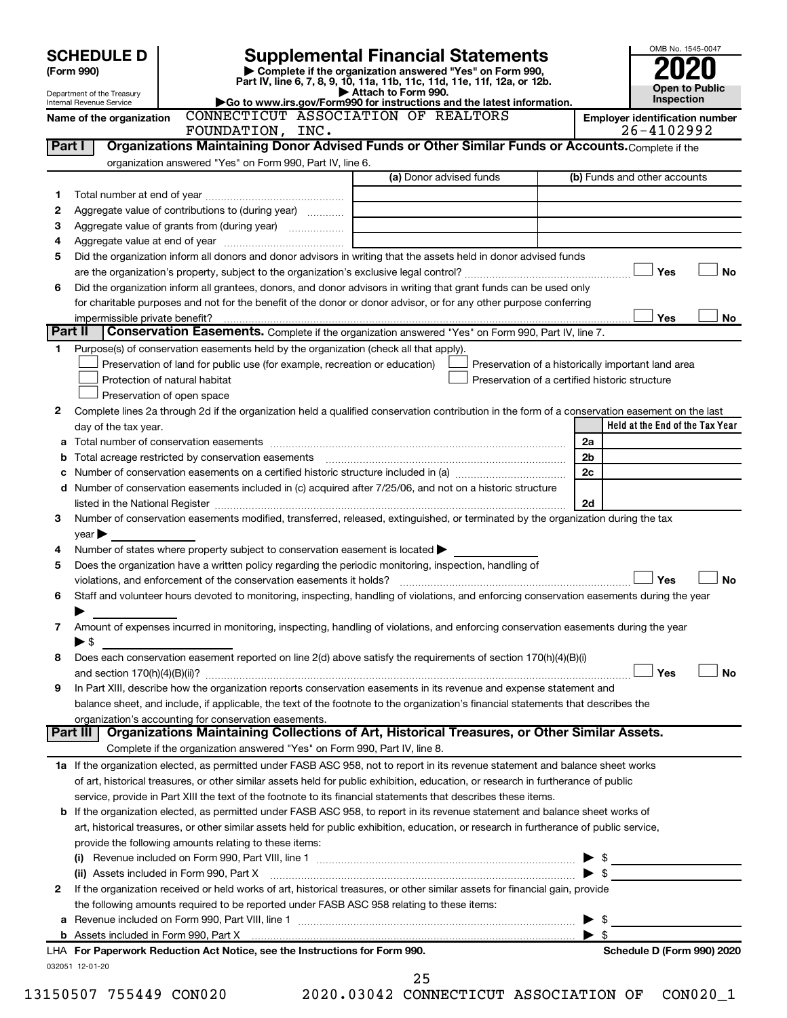|         | <b>SCHEDULE D</b>              |                                                                                                        | <b>Supplemental Financial Statements</b>                                                                                                       |                         | OMB No. 1545-0047                     |
|---------|--------------------------------|--------------------------------------------------------------------------------------------------------|------------------------------------------------------------------------------------------------------------------------------------------------|-------------------------|---------------------------------------|
|         | (Form 990)                     |                                                                                                        | Complete if the organization answered "Yes" on Form 990,                                                                                       |                         |                                       |
|         | Department of the Treasury     |                                                                                                        | Part IV, line 6, 7, 8, 9, 10, 11a, 11b, 11c, 11d, 11e, 11f, 12a, or 12b.<br>Attach to Form 990.                                                |                         | <b>Open to Public</b>                 |
|         | Internal Revenue Service       |                                                                                                        | Go to www.irs.gov/Form990 for instructions and the latest information.                                                                         |                         | Inspection                            |
|         | Name of the organization       | CONNECTICUT ASSOCIATION OF REALTORS                                                                    |                                                                                                                                                |                         | <b>Employer identification number</b> |
|         |                                | FOUNDATION, INC.                                                                                       |                                                                                                                                                |                         | 26-4102992                            |
| Part I  |                                |                                                                                                        | Organizations Maintaining Donor Advised Funds or Other Similar Funds or Accounts. Complete if the                                              |                         |                                       |
|         |                                | organization answered "Yes" on Form 990, Part IV, line 6.                                              | (a) Donor advised funds                                                                                                                        |                         | (b) Funds and other accounts          |
|         |                                |                                                                                                        |                                                                                                                                                |                         |                                       |
| 1       |                                |                                                                                                        |                                                                                                                                                |                         |                                       |
| 2       |                                | Aggregate value of contributions to (during year)                                                      |                                                                                                                                                |                         |                                       |
| з<br>4  |                                | Aggregate value of grants from (during year)                                                           |                                                                                                                                                |                         |                                       |
| 5       |                                |                                                                                                        | Did the organization inform all donors and donor advisors in writing that the assets held in donor advised funds                               |                         |                                       |
|         |                                |                                                                                                        |                                                                                                                                                |                         | Yes<br><b>No</b>                      |
| 6       |                                |                                                                                                        | Did the organization inform all grantees, donors, and donor advisors in writing that grant funds can be used only                              |                         |                                       |
|         |                                |                                                                                                        | for charitable purposes and not for the benefit of the donor or donor advisor, or for any other purpose conferring                             |                         |                                       |
|         | impermissible private benefit? |                                                                                                        |                                                                                                                                                |                         | Yes<br>No                             |
| Part II |                                |                                                                                                        | Conservation Easements. Complete if the organization answered "Yes" on Form 990, Part IV, line 7.                                              |                         |                                       |
| 1       |                                | Purpose(s) of conservation easements held by the organization (check all that apply).                  |                                                                                                                                                |                         |                                       |
|         |                                | Preservation of land for public use (for example, recreation or education)                             | Preservation of a historically important land area                                                                                             |                         |                                       |
|         |                                | Protection of natural habitat                                                                          | Preservation of a certified historic structure                                                                                                 |                         |                                       |
|         |                                | Preservation of open space                                                                             |                                                                                                                                                |                         |                                       |
| 2       |                                |                                                                                                        | Complete lines 2a through 2d if the organization held a qualified conservation contribution in the form of a conservation easement on the last |                         |                                       |
|         | day of the tax year.           |                                                                                                        |                                                                                                                                                |                         | Held at the End of the Tax Year       |
|         |                                |                                                                                                        |                                                                                                                                                | 2a                      |                                       |
|         |                                |                                                                                                        |                                                                                                                                                | 2b                      |                                       |
|         |                                |                                                                                                        |                                                                                                                                                | 2c                      |                                       |
|         |                                |                                                                                                        | d Number of conservation easements included in (c) acquired after 7/25/06, and not on a historic structure                                     |                         |                                       |
|         |                                |                                                                                                        |                                                                                                                                                | 2d                      |                                       |
| з       |                                |                                                                                                        | Number of conservation easements modified, transferred, released, extinguished, or terminated by the organization during the tax               |                         |                                       |
|         | $year \triangleright$          |                                                                                                        |                                                                                                                                                |                         |                                       |
| 4       |                                | Number of states where property subject to conservation easement is located $\blacktriangleright$      |                                                                                                                                                |                         |                                       |
| 5       |                                | Does the organization have a written policy regarding the periodic monitoring, inspection, handling of |                                                                                                                                                |                         |                                       |
|         |                                |                                                                                                        |                                                                                                                                                |                         | Yes<br><b>No</b>                      |
| 6       |                                |                                                                                                        | Staff and volunteer hours devoted to monitoring, inspecting, handling of violations, and enforcing conservation easements during the year      |                         |                                       |
|         |                                |                                                                                                        |                                                                                                                                                |                         |                                       |
| 7       |                                |                                                                                                        | Amount of expenses incurred in monitoring, inspecting, handling of violations, and enforcing conservation easements during the year            |                         |                                       |
|         | ▶ \$                           |                                                                                                        |                                                                                                                                                |                         |                                       |
| 8       |                                |                                                                                                        | Does each conservation easement reported on line 2(d) above satisfy the requirements of section 170(h)(4)(B)(i)                                |                         |                                       |
|         |                                |                                                                                                        | In Part XIII, describe how the organization reports conservation easements in its revenue and expense statement and                            |                         | Yes<br><b>No</b>                      |
| 9       |                                |                                                                                                        |                                                                                                                                                |                         |                                       |
|         |                                | organization's accounting for conservation easements.                                                  | balance sheet, and include, if applicable, the text of the footnote to the organization's financial statements that describes the              |                         |                                       |
|         | Part III                       |                                                                                                        | Organizations Maintaining Collections of Art, Historical Treasures, or Other Similar Assets.                                                   |                         |                                       |
|         |                                | Complete if the organization answered "Yes" on Form 990, Part IV, line 8.                              |                                                                                                                                                |                         |                                       |
|         |                                |                                                                                                        | 1a If the organization elected, as permitted under FASB ASC 958, not to report in its revenue statement and balance sheet works                |                         |                                       |
|         |                                |                                                                                                        | of art, historical treasures, or other similar assets held for public exhibition, education, or research in furtherance of public              |                         |                                       |
|         |                                |                                                                                                        | service, provide in Part XIII the text of the footnote to its financial statements that describes these items.                                 |                         |                                       |
|         |                                |                                                                                                        | <b>b</b> If the organization elected, as permitted under FASB ASC 958, to report in its revenue statement and balance sheet works of           |                         |                                       |
|         |                                |                                                                                                        | art, historical treasures, or other similar assets held for public exhibition, education, or research in furtherance of public service,        |                         |                                       |
|         |                                | provide the following amounts relating to these items:                                                 |                                                                                                                                                |                         |                                       |
|         |                                |                                                                                                        |                                                                                                                                                | \$                      |                                       |
|         |                                | (ii) Assets included in Form 990, Part X                                                               |                                                                                                                                                | ► \$                    |                                       |
| 2       |                                |                                                                                                        | If the organization received or held works of art, historical treasures, or other similar assets for financial gain, provide                   |                         |                                       |
|         |                                | the following amounts required to be reported under FASB ASC 958 relating to these items:              |                                                                                                                                                |                         |                                       |
|         |                                |                                                                                                        |                                                                                                                                                | \$                      |                                       |
|         |                                |                                                                                                        |                                                                                                                                                | $\blacktriangleright$ s |                                       |
|         |                                | LHA For Paperwork Reduction Act Notice, see the Instructions for Form 990.                             |                                                                                                                                                |                         | Schedule D (Form 990) 2020            |
|         | 032051 12-01-20                |                                                                                                        |                                                                                                                                                |                         |                                       |
|         |                                |                                                                                                        | 25                                                                                                                                             |                         |                                       |

<sup>13150507 755449</sup> CON020 2020.03042 CONNECTICUT ASSOCIATION OF CON020\_1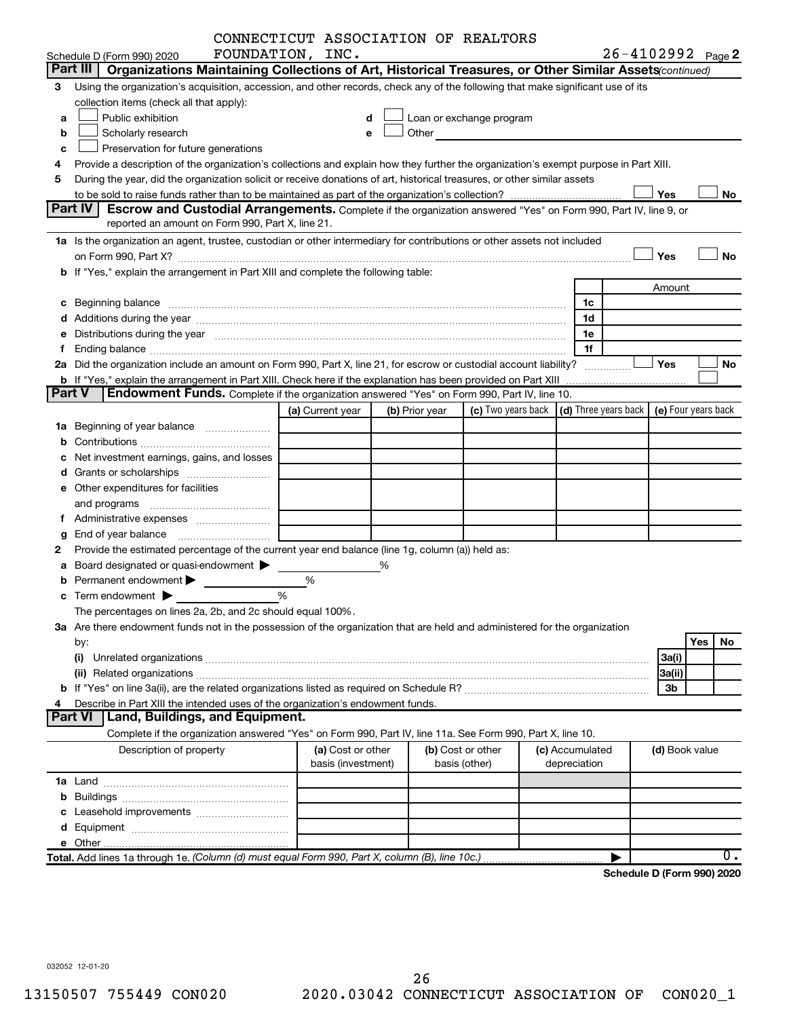|        |                                                                                                                                                                                                                                |                  |                                         |                | CONNECTICUT ASSOCIATION OF REALTORS                                                                                                                                                                                           |                                 |                   |                    |
|--------|--------------------------------------------------------------------------------------------------------------------------------------------------------------------------------------------------------------------------------|------------------|-----------------------------------------|----------------|-------------------------------------------------------------------------------------------------------------------------------------------------------------------------------------------------------------------------------|---------------------------------|-------------------|--------------------|
|        | FOUNDATION, INC.<br>Schedule D (Form 990) 2020                                                                                                                                                                                 |                  |                                         |                |                                                                                                                                                                                                                               |                                 | 26-4102992 Page 2 |                    |
|        | Part III   Organizations Maintaining Collections of Art, Historical Treasures, or Other Similar Assets (continued)                                                                                                             |                  |                                         |                |                                                                                                                                                                                                                               |                                 |                   |                    |
| 3      | Using the organization's acquisition, accession, and other records, check any of the following that make significant use of its                                                                                                |                  |                                         |                |                                                                                                                                                                                                                               |                                 |                   |                    |
|        | collection items (check all that apply):                                                                                                                                                                                       |                  |                                         |                |                                                                                                                                                                                                                               |                                 |                   |                    |
| a      | Public exhibition                                                                                                                                                                                                              |                  |                                         |                | Loan or exchange program                                                                                                                                                                                                      |                                 |                   |                    |
| b      | Scholarly research                                                                                                                                                                                                             |                  | е                                       |                | Other and the contract of the contract of the contract of the contract of the contract of the contract of the contract of the contract of the contract of the contract of the contract of the contract of the contract of the |                                 |                   |                    |
| с      | Preservation for future generations                                                                                                                                                                                            |                  |                                         |                |                                                                                                                                                                                                                               |                                 |                   |                    |
|        | Provide a description of the organization's collections and explain how they further the organization's exempt purpose in Part XIII.                                                                                           |                  |                                         |                |                                                                                                                                                                                                                               |                                 |                   |                    |
| 5      | During the year, did the organization solicit or receive donations of art, historical treasures, or other similar assets                                                                                                       |                  |                                         |                |                                                                                                                                                                                                                               |                                 |                   |                    |
|        |                                                                                                                                                                                                                                |                  |                                         |                |                                                                                                                                                                                                                               |                                 | Yes               | No                 |
|        | <b>Part IV</b><br><b>Escrow and Custodial Arrangements.</b> Complete if the organization answered "Yes" on Form 990, Part IV, line 9, or                                                                                       |                  |                                         |                |                                                                                                                                                                                                                               |                                 |                   |                    |
|        | reported an amount on Form 990, Part X, line 21.                                                                                                                                                                               |                  |                                         |                |                                                                                                                                                                                                                               |                                 |                   |                    |
|        | 1a Is the organization an agent, trustee, custodian or other intermediary for contributions or other assets not included                                                                                                       |                  |                                         |                |                                                                                                                                                                                                                               |                                 |                   |                    |
|        |                                                                                                                                                                                                                                |                  |                                         |                |                                                                                                                                                                                                                               |                                 | Yes               | No                 |
|        | b If "Yes," explain the arrangement in Part XIII and complete the following table:                                                                                                                                             |                  |                                         |                |                                                                                                                                                                                                                               |                                 |                   |                    |
|        |                                                                                                                                                                                                                                |                  |                                         |                |                                                                                                                                                                                                                               |                                 | Amount            |                    |
|        |                                                                                                                                                                                                                                |                  |                                         |                |                                                                                                                                                                                                                               | 1c                              |                   |                    |
|        |                                                                                                                                                                                                                                |                  |                                         |                |                                                                                                                                                                                                                               | 1d                              |                   |                    |
|        | e Distributions during the year manufactured and contained and contained and contained and contained and contained and contained and contained and contained and contained and contained and contained and contained and conta |                  |                                         |                |                                                                                                                                                                                                                               | 1e                              |                   |                    |
|        |                                                                                                                                                                                                                                |                  |                                         |                |                                                                                                                                                                                                                               | 1f                              |                   |                    |
|        | 2a Did the organization include an amount on Form 990, Part X, line 21, for escrow or custodial account liability?                                                                                                             |                  |                                         |                |                                                                                                                                                                                                                               |                                 | Yes               | No                 |
|        |                                                                                                                                                                                                                                |                  |                                         |                |                                                                                                                                                                                                                               |                                 |                   |                    |
| Part V | <b>Endowment Funds.</b> Complete if the organization answered "Yes" on Form 990, Part IV, line 10.                                                                                                                             |                  |                                         |                |                                                                                                                                                                                                                               |                                 |                   |                    |
|        |                                                                                                                                                                                                                                | (a) Current year |                                         | (b) Prior year | (c) Two years back $\vert$ (d) Three years back $\vert$ (e) Four years back                                                                                                                                                   |                                 |                   |                    |
|        |                                                                                                                                                                                                                                |                  |                                         |                |                                                                                                                                                                                                                               |                                 |                   |                    |
|        |                                                                                                                                                                                                                                |                  |                                         |                |                                                                                                                                                                                                                               |                                 |                   |                    |
|        | Net investment earnings, gains, and losses                                                                                                                                                                                     |                  |                                         |                |                                                                                                                                                                                                                               |                                 |                   |                    |
|        |                                                                                                                                                                                                                                |                  |                                         |                |                                                                                                                                                                                                                               |                                 |                   |                    |
|        | e Other expenditures for facilities                                                                                                                                                                                            |                  |                                         |                |                                                                                                                                                                                                                               |                                 |                   |                    |
|        |                                                                                                                                                                                                                                |                  |                                         |                |                                                                                                                                                                                                                               |                                 |                   |                    |
|        |                                                                                                                                                                                                                                |                  |                                         |                |                                                                                                                                                                                                                               |                                 |                   |                    |
| g      |                                                                                                                                                                                                                                |                  |                                         |                |                                                                                                                                                                                                                               |                                 |                   |                    |
|        | Provide the estimated percentage of the current year end balance (line 1g, column (a)) held as:                                                                                                                                |                  |                                         |                |                                                                                                                                                                                                                               |                                 |                   |                    |
|        | a Board designated or quasi-endowment >                                                                                                                                                                                        |                  | %                                       |                |                                                                                                                                                                                                                               |                                 |                   |                    |
|        | Permanent endowment >                                                                                                                                                                                                          | %                |                                         |                |                                                                                                                                                                                                                               |                                 |                   |                    |
|        | <b>c</b> Term endowment $\blacktriangleright$                                                                                                                                                                                  | %                |                                         |                |                                                                                                                                                                                                                               |                                 |                   |                    |
|        | The percentages on lines 2a, 2b, and 2c should equal 100%.                                                                                                                                                                     |                  |                                         |                |                                                                                                                                                                                                                               |                                 |                   |                    |
|        | 3a Are there endowment funds not in the possession of the organization that are held and administered for the organization                                                                                                     |                  |                                         |                |                                                                                                                                                                                                                               |                                 |                   |                    |
|        | by:                                                                                                                                                                                                                            |                  |                                         |                |                                                                                                                                                                                                                               |                                 |                   | Yes<br>No.         |
|        | (i)                                                                                                                                                                                                                            |                  |                                         |                |                                                                                                                                                                                                                               |                                 | 3a(i)             |                    |
|        |                                                                                                                                                                                                                                |                  |                                         |                |                                                                                                                                                                                                                               |                                 | 3a(ii)            |                    |
|        |                                                                                                                                                                                                                                |                  |                                         |                |                                                                                                                                                                                                                               |                                 | 3b                |                    |
|        | Describe in Part XIII the intended uses of the organization's endowment funds.                                                                                                                                                 |                  |                                         |                |                                                                                                                                                                                                                               |                                 |                   |                    |
|        | Land, Buildings, and Equipment.<br>Part VI                                                                                                                                                                                     |                  |                                         |                |                                                                                                                                                                                                                               |                                 |                   |                    |
|        | Complete if the organization answered "Yes" on Form 990, Part IV, line 11a. See Form 990, Part X, line 10.                                                                                                                     |                  |                                         |                |                                                                                                                                                                                                                               |                                 |                   |                    |
|        | Description of property                                                                                                                                                                                                        |                  | (a) Cost or other<br>basis (investment) |                | (b) Cost or other<br>basis (other)                                                                                                                                                                                            | (c) Accumulated<br>depreciation | (d) Book value    |                    |
|        |                                                                                                                                                                                                                                |                  |                                         |                |                                                                                                                                                                                                                               |                                 |                   |                    |
|        |                                                                                                                                                                                                                                |                  |                                         |                |                                                                                                                                                                                                                               |                                 |                   |                    |
|        |                                                                                                                                                                                                                                |                  |                                         |                |                                                                                                                                                                                                                               |                                 |                   |                    |
|        |                                                                                                                                                                                                                                |                  |                                         |                |                                                                                                                                                                                                                               |                                 |                   |                    |
|        |                                                                                                                                                                                                                                |                  |                                         |                |                                                                                                                                                                                                                               |                                 |                   |                    |
|        | Total. Add lines 1a through 1e. (Column (d) must equal Form 990, Part X, column (B), line 10c.)                                                                                                                                |                  |                                         |                |                                                                                                                                                                                                                               |                                 |                   | 0.                 |
|        |                                                                                                                                                                                                                                |                  |                                         |                |                                                                                                                                                                                                                               |                                 |                   | D. (Faum 000) 0000 |

**Schedule D (Form 990) 2020**

032052 12-01-20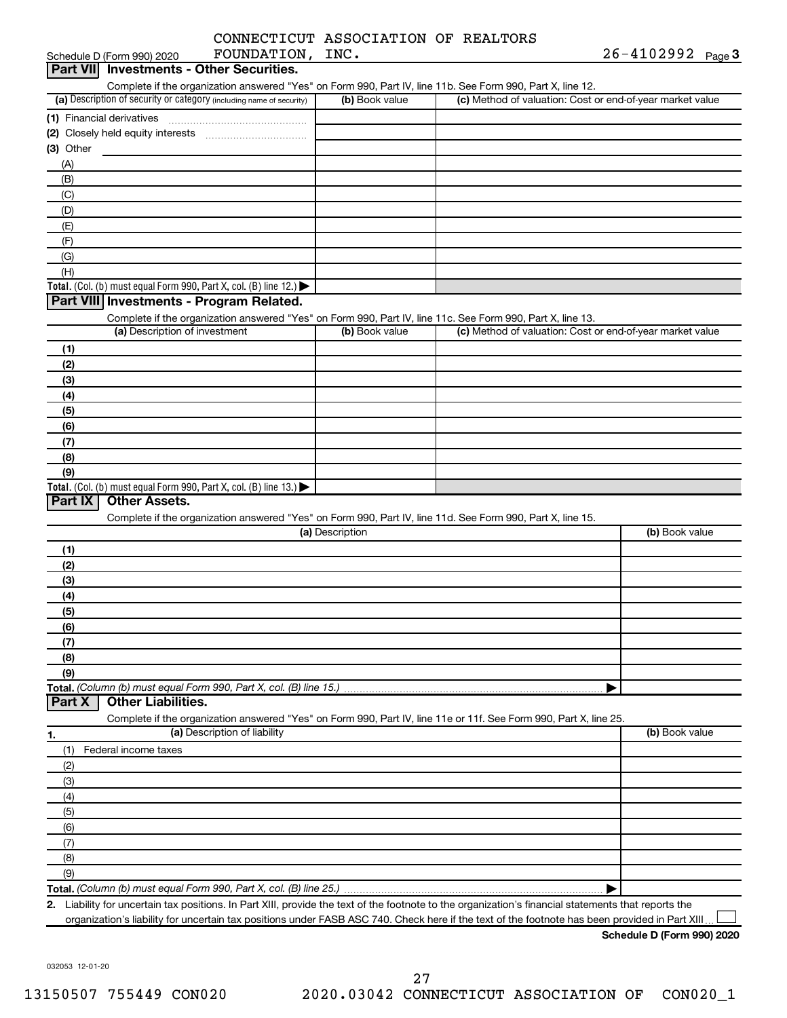|                  |                                                                                                                                                      | CONNECTICUT ASSOCIATION OF REALTORS |                                                           |                   |
|------------------|------------------------------------------------------------------------------------------------------------------------------------------------------|-------------------------------------|-----------------------------------------------------------|-------------------|
|                  | FOUNDATION, INC.<br>Schedule D (Form 990) 2020                                                                                                       |                                     |                                                           | 26-4102992 Page 3 |
| <b>Part VIII</b> | <b>Investments - Other Securities.</b>                                                                                                               |                                     |                                                           |                   |
|                  | Complete if the organization answered "Yes" on Form 990, Part IV, line 11b. See Form 990, Part X, line 12.                                           |                                     |                                                           |                   |
|                  | (a) Description of security or category (including name of security)                                                                                 | (b) Book value                      | (c) Method of valuation: Cost or end-of-year market value |                   |
|                  |                                                                                                                                                      |                                     |                                                           |                   |
|                  |                                                                                                                                                      |                                     |                                                           |                   |
| (3) Other        |                                                                                                                                                      |                                     |                                                           |                   |
| (A)              |                                                                                                                                                      |                                     |                                                           |                   |
| (B)              |                                                                                                                                                      |                                     |                                                           |                   |
| (C)              |                                                                                                                                                      |                                     |                                                           |                   |
| (D)              |                                                                                                                                                      |                                     |                                                           |                   |
| (E)              |                                                                                                                                                      |                                     |                                                           |                   |
| (F)              |                                                                                                                                                      |                                     |                                                           |                   |
| (G)              |                                                                                                                                                      |                                     |                                                           |                   |
| (H)              |                                                                                                                                                      |                                     |                                                           |                   |
|                  | <b>Total.</b> (Col. (b) must equal Form 990, Part X, col. (B) line 12.) $\blacktriangleright$                                                        |                                     |                                                           |                   |
|                  | Part VIII Investments - Program Related.                                                                                                             |                                     |                                                           |                   |
|                  | Complete if the organization answered "Yes" on Form 990, Part IV, line 11c. See Form 990, Part X, line 13.                                           |                                     |                                                           |                   |
|                  | (a) Description of investment                                                                                                                        | (b) Book value                      | (c) Method of valuation: Cost or end-of-year market value |                   |
| (1)              |                                                                                                                                                      |                                     |                                                           |                   |
| (2)              |                                                                                                                                                      |                                     |                                                           |                   |
| (3)              |                                                                                                                                                      |                                     |                                                           |                   |
| (4)              |                                                                                                                                                      |                                     |                                                           |                   |
| (5)              |                                                                                                                                                      |                                     |                                                           |                   |
| (6)              |                                                                                                                                                      |                                     |                                                           |                   |
| (7)              |                                                                                                                                                      |                                     |                                                           |                   |
| (8)              |                                                                                                                                                      |                                     |                                                           |                   |
| (9)              |                                                                                                                                                      |                                     |                                                           |                   |
| Part IX          | <b>Total.</b> (Col. (b) must equal Form 990, Part X, col. (B) line 13.)<br><b>Other Assets.</b>                                                      |                                     |                                                           |                   |
|                  |                                                                                                                                                      |                                     |                                                           |                   |
|                  | Complete if the organization answered "Yes" on Form 990, Part IV, line 11d. See Form 990, Part X, line 15.                                           | (a) Description                     |                                                           | (b) Book value    |
| (1)              |                                                                                                                                                      |                                     |                                                           |                   |
| (2)              |                                                                                                                                                      |                                     |                                                           |                   |
| (3)              |                                                                                                                                                      |                                     |                                                           |                   |
| (4)              |                                                                                                                                                      |                                     |                                                           |                   |
| (5)              |                                                                                                                                                      |                                     |                                                           |                   |
| (6)              |                                                                                                                                                      |                                     |                                                           |                   |
| (7)              |                                                                                                                                                      |                                     |                                                           |                   |
| (8)              |                                                                                                                                                      |                                     |                                                           |                   |
| (9)              |                                                                                                                                                      |                                     |                                                           |                   |
|                  | Total. (Column (b) must equal Form 990, Part X, col. (B) line 15.).                                                                                  |                                     |                                                           |                   |
| Part X           | <b>Other Liabilities.</b>                                                                                                                            |                                     |                                                           |                   |
|                  | Complete if the organization answered "Yes" on Form 990, Part IV, line 11e or 11f. See Form 990, Part X, line 25.                                    |                                     |                                                           |                   |
| 1.               | (a) Description of liability                                                                                                                         |                                     |                                                           | (b) Book value    |
| (1)              | Federal income taxes                                                                                                                                 |                                     |                                                           |                   |
| (2)              |                                                                                                                                                      |                                     |                                                           |                   |
| (3)              |                                                                                                                                                      |                                     |                                                           |                   |
| (4)              |                                                                                                                                                      |                                     |                                                           |                   |
| (5)              |                                                                                                                                                      |                                     |                                                           |                   |
| (6)              |                                                                                                                                                      |                                     |                                                           |                   |
| (7)              |                                                                                                                                                      |                                     |                                                           |                   |
| (8)              |                                                                                                                                                      |                                     |                                                           |                   |
| (9)              |                                                                                                                                                      |                                     |                                                           |                   |
|                  |                                                                                                                                                      |                                     |                                                           |                   |
|                  | 2. Liability for uncertain tax positions. In Part XIII, provide the text of the footnote to the organization's financial statements that reports the |                                     |                                                           |                   |

organization's liability for uncertain tax positions under FASB ASC 740. Check here if the text of the footnote has been provided in Part XIII...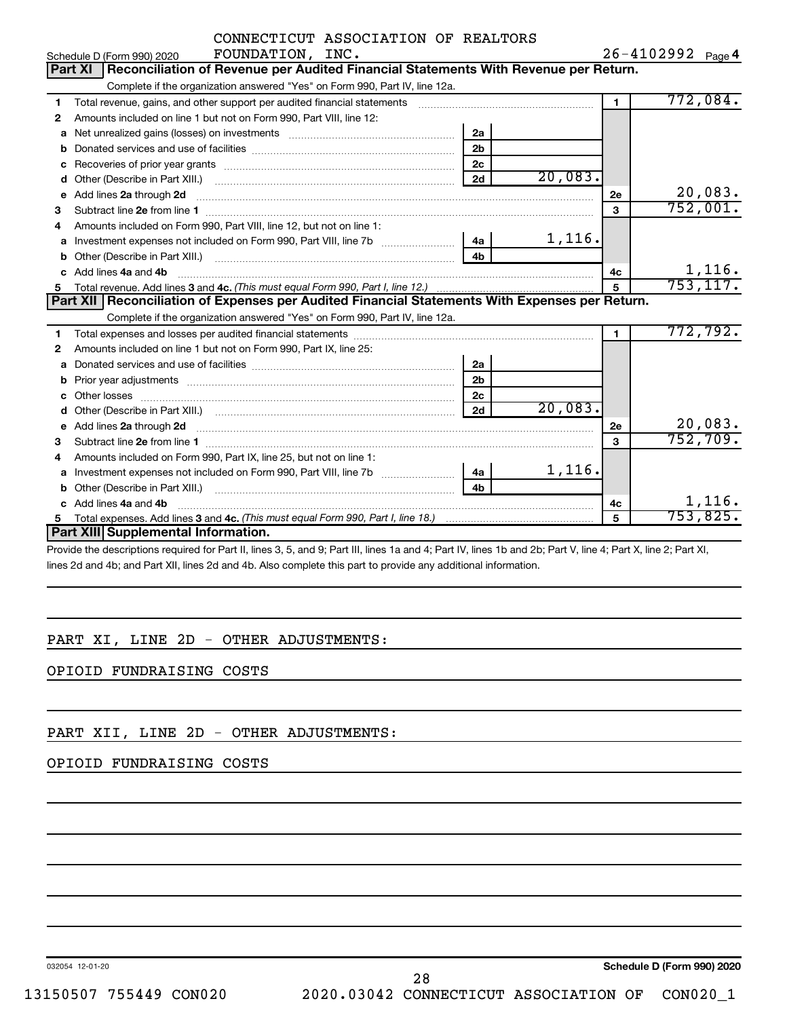|                | CONNECTICUT ASSOCIATION OF REALTORS                                                                                                                          |                |         |                |                   |                           |
|----------------|--------------------------------------------------------------------------------------------------------------------------------------------------------------|----------------|---------|----------------|-------------------|---------------------------|
|                | FOUNDATION, INC.<br>Schedule D (Form 990) 2020                                                                                                               |                |         |                | 26-4102992 Page 4 |                           |
| <b>Part XI</b> | Reconciliation of Revenue per Audited Financial Statements With Revenue per Return.                                                                          |                |         |                |                   |                           |
|                | Complete if the organization answered "Yes" on Form 990, Part IV, line 12a.                                                                                  |                |         |                |                   |                           |
| 1              | Total revenue, gains, and other support per audited financial statements [111] [11] Total revenue, gains, and other support per audited financial statements |                |         | $\mathbf{1}$   |                   | 772,084.                  |
| 2              | Amounts included on line 1 but not on Form 990, Part VIII, line 12:                                                                                          |                |         |                |                   |                           |
| a              |                                                                                                                                                              | 2a             |         |                |                   |                           |
| b              |                                                                                                                                                              | 2 <sub>b</sub> |         |                |                   |                           |
|                |                                                                                                                                                              | 2 <sub>c</sub> |         |                |                   |                           |
| d              |                                                                                                                                                              | 2d             | 20,083. |                |                   |                           |
| e              | Add lines 2a through 2d                                                                                                                                      |                |         | 2е             |                   | 20,083.                   |
| З              | Subtract line 2e from line 1 <b>manufacture in the contract of the 2e</b> from line 1                                                                        |                |         | 3              |                   | 752,001.                  |
| 4              | Amounts included on Form 990, Part VIII, line 12, but not on line 1:                                                                                         |                |         |                |                   |                           |
| a              |                                                                                                                                                              |                | 1,116.  |                |                   |                           |
| b              |                                                                                                                                                              | 4 <sub>b</sub> |         |                |                   |                           |
|                | Add lines 4a and 4b                                                                                                                                          |                |         | 4c             |                   | $\frac{1,116}{753,117}$ . |
| 5              |                                                                                                                                                              |                |         | 5              |                   |                           |
|                | Part XII   Reconciliation of Expenses per Audited Financial Statements With Expenses per Return.                                                             |                |         |                |                   |                           |
|                | Complete if the organization answered "Yes" on Form 990, Part IV, line 12a.                                                                                  |                |         |                |                   |                           |
| 1              |                                                                                                                                                              |                |         | $\blacksquare$ |                   | 772,792.                  |
| 2              | Amounts included on line 1 but not on Form 990, Part IX, line 25:                                                                                            |                |         |                |                   |                           |
| a              |                                                                                                                                                              | 2a             |         |                |                   |                           |
| b              |                                                                                                                                                              | 2 <sub>b</sub> |         |                |                   |                           |
|                |                                                                                                                                                              | 2 <sub>c</sub> |         |                |                   |                           |
|                |                                                                                                                                                              | 2d             | 20,083. |                |                   |                           |
|                | e Add lines 2a through 2d                                                                                                                                    |                |         | 2e             |                   | 20,083.                   |
| 3              |                                                                                                                                                              |                |         | 3              |                   | 752,709.                  |
| 4              | Amounts included on Form 990, Part IX, line 25, but not on line 1:                                                                                           |                |         |                |                   |                           |
| a              |                                                                                                                                                              |                | 1,116.  |                |                   |                           |
| b              |                                                                                                                                                              | 4h             |         |                |                   |                           |
|                | c Add lines 4a and 4b                                                                                                                                        |                |         | 4c             |                   | 1,116.                    |
| 5              |                                                                                                                                                              |                |         | 5              |                   | 753,825.                  |
|                | Part XIII Supplemental Information.                                                                                                                          |                |         |                |                   |                           |

Provide the descriptions required for Part II, lines 3, 5, and 9; Part III, lines 1a and 4; Part IV, lines 1b and 2b; Part V, line 4; Part X, line 2; Part XI, lines 2d and 4b; and Part XII, lines 2d and 4b. Also complete this part to provide any additional information.

### PART XI, LINE 2D - OTHER ADJUSTMENTS:

### OPIOID FUNDRAISING COSTS

### PART XII, LINE 2D - OTHER ADJUSTMENTS:

### OPIOID FUNDRAISING COSTS

032054 12-01-20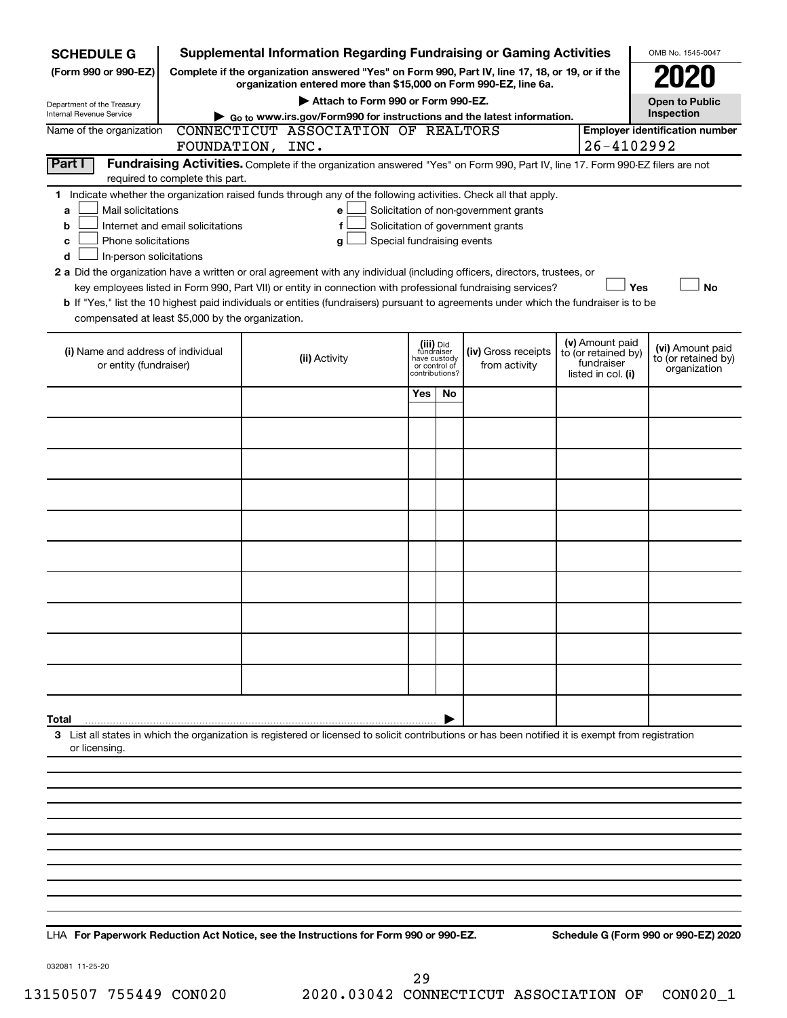| <b>SCHEDULE G</b>                                            |                                  | <b>Supplemental Information Regarding Fundraising or Gaming Activities</b>                                                                                          |     |                                 |                                       |                                   | OMB No. 1545-0047                     |
|--------------------------------------------------------------|----------------------------------|---------------------------------------------------------------------------------------------------------------------------------------------------------------------|-----|---------------------------------|---------------------------------------|-----------------------------------|---------------------------------------|
| (Form 990 or 990-EZ)                                         |                                  | Complete if the organization answered "Yes" on Form 990, Part IV, line 17, 18, or 19, or if the<br>organization entered more than \$15,000 on Form 990-EZ, line 6a. |     |                                 |                                       |                                   |                                       |
| Department of the Treasury                                   |                                  | Attach to Form 990 or Form 990-EZ.                                                                                                                                  |     |                                 |                                       |                                   | <b>Open to Public</b>                 |
| Internal Revenue Service                                     |                                  | $\triangleright$ Go to www.irs.gov/Form990 for instructions and the latest information.                                                                             |     |                                 |                                       |                                   | Inspection                            |
| Name of the organization                                     |                                  | CONNECTICUT ASSOCIATION OF REALTORS<br>FOUNDATION, INC.                                                                                                             |     |                                 |                                       | 26-4102992                        | <b>Employer identification number</b> |
| Part I                                                       |                                  | Fundraising Activities. Complete if the organization answered "Yes" on Form 990, Part IV, line 17. Form 990-EZ filers are not                                       |     |                                 |                                       |                                   |                                       |
| 1.                                                           | required to complete this part.  | Indicate whether the organization raised funds through any of the following activities. Check all that apply.                                                       |     |                                 |                                       |                                   |                                       |
| Mail solicitations<br>а                                      |                                  | е                                                                                                                                                                   |     |                                 | Solicitation of non-government grants |                                   |                                       |
| b                                                            | Internet and email solicitations | f                                                                                                                                                                   |     |                                 | Solicitation of government grants     |                                   |                                       |
| Phone solicitations<br>с                                     |                                  | Special fundraising events<br>g                                                                                                                                     |     |                                 |                                       |                                   |                                       |
| In-person solicitations<br>d                                 |                                  |                                                                                                                                                                     |     |                                 |                                       |                                   |                                       |
|                                                              |                                  | 2 a Did the organization have a written or oral agreement with any individual (including officers, directors, trustees, or                                          |     |                                 |                                       |                                   |                                       |
|                                                              |                                  | key employees listed in Form 990, Part VII) or entity in connection with professional fundraising services?                                                         |     |                                 |                                       |                                   | Yes<br>No                             |
| compensated at least \$5,000 by the organization.            |                                  | b If "Yes," list the 10 highest paid individuals or entities (fundraisers) pursuant to agreements under which the fundraiser is to be                               |     |                                 |                                       |                                   |                                       |
|                                                              |                                  |                                                                                                                                                                     |     | (iii) Did                       |                                       | (v) Amount paid                   | (vi) Amount paid                      |
| (i) Name and address of individual<br>or entity (fundraiser) |                                  | (ii) Activity                                                                                                                                                       |     | fundraiser<br>have custody      | (iv) Gross receipts<br>from activity  | to (or retained by)<br>fundraiser | to (or retained by)                   |
|                                                              |                                  |                                                                                                                                                                     |     | or control of<br>contributions? |                                       | listed in col. (i)                | organization                          |
|                                                              |                                  |                                                                                                                                                                     | Yes | No.                             |                                       |                                   |                                       |
|                                                              |                                  |                                                                                                                                                                     |     |                                 |                                       |                                   |                                       |
|                                                              |                                  |                                                                                                                                                                     |     |                                 |                                       |                                   |                                       |
|                                                              |                                  |                                                                                                                                                                     |     |                                 |                                       |                                   |                                       |
|                                                              |                                  |                                                                                                                                                                     |     |                                 |                                       |                                   |                                       |
|                                                              |                                  |                                                                                                                                                                     |     |                                 |                                       |                                   |                                       |
|                                                              |                                  |                                                                                                                                                                     |     |                                 |                                       |                                   |                                       |
|                                                              |                                  |                                                                                                                                                                     |     |                                 |                                       |                                   |                                       |
|                                                              |                                  |                                                                                                                                                                     |     |                                 |                                       |                                   |                                       |
|                                                              |                                  |                                                                                                                                                                     |     |                                 |                                       |                                   |                                       |
|                                                              |                                  |                                                                                                                                                                     |     |                                 |                                       |                                   |                                       |
|                                                              |                                  |                                                                                                                                                                     |     |                                 |                                       |                                   |                                       |
| Total                                                        |                                  |                                                                                                                                                                     |     |                                 |                                       |                                   |                                       |
| or licensing.                                                |                                  | 3 List all states in which the organization is registered or licensed to solicit contributions or has been notified it is exempt from registration                  |     |                                 |                                       |                                   |                                       |
|                                                              |                                  |                                                                                                                                                                     |     |                                 |                                       |                                   |                                       |
|                                                              |                                  |                                                                                                                                                                     |     |                                 |                                       |                                   |                                       |
|                                                              |                                  |                                                                                                                                                                     |     |                                 |                                       |                                   |                                       |
|                                                              |                                  |                                                                                                                                                                     |     |                                 |                                       |                                   |                                       |
|                                                              |                                  |                                                                                                                                                                     |     |                                 |                                       |                                   |                                       |
|                                                              |                                  |                                                                                                                                                                     |     |                                 |                                       |                                   |                                       |
|                                                              |                                  |                                                                                                                                                                     |     |                                 |                                       |                                   |                                       |
|                                                              |                                  |                                                                                                                                                                     |     |                                 |                                       |                                   |                                       |

**For Paperwork Reduction Act Notice, see the Instructions for Form 990 or 990-EZ. Schedule G (Form 990 or 990-EZ) 2020** LHA

032081 11-25-20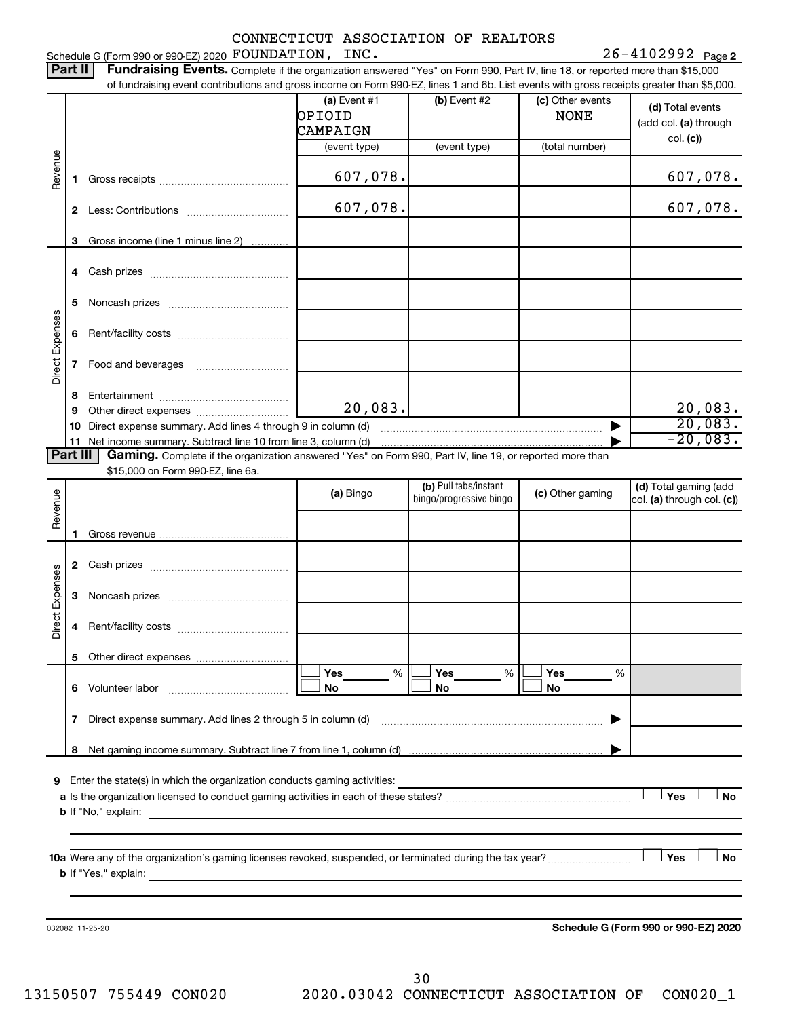#### 26-4102992 Page 2 Schedule G (Form 990 or 990-EZ) 2020  ${\hbox{FOUNDATION}}$  ,  ${\hbox{INC}}$  .  $26-4102992$   ${\hbox{Page}}$

|                 | Part II         | Fundraising Events. Complete if the organization answered "Yes" on Form 990, Part IV, line 18, or reported more than \$15,000<br>of fundraising event contributions and gross income on Form 990-EZ, lines 1 and 6b. List events with gross receipts greater than \$5,000. |                                      |                                                  |                                 |                                                       |
|-----------------|-----------------|----------------------------------------------------------------------------------------------------------------------------------------------------------------------------------------------------------------------------------------------------------------------------|--------------------------------------|--------------------------------------------------|---------------------------------|-------------------------------------------------------|
|                 |                 |                                                                                                                                                                                                                                                                            | (a) Event $#1$<br>OPIOID<br>CAMPAIGN | (b) Event #2                                     | (c) Other events<br><b>NONE</b> | (d) Total events<br>(add col. (a) through<br>col. (c) |
|                 |                 |                                                                                                                                                                                                                                                                            | (event type)                         | (event type)                                     | (total number)                  |                                                       |
| Revenue         | 1.              |                                                                                                                                                                                                                                                                            | 607,078.                             |                                                  |                                 | 607,078.                                              |
|                 |                 |                                                                                                                                                                                                                                                                            | 607,078.                             |                                                  |                                 | 607,078.                                              |
|                 | 3               | Gross income (line 1 minus line 2)                                                                                                                                                                                                                                         |                                      |                                                  |                                 |                                                       |
|                 |                 |                                                                                                                                                                                                                                                                            |                                      |                                                  |                                 |                                                       |
|                 | 5               |                                                                                                                                                                                                                                                                            |                                      |                                                  |                                 |                                                       |
| Direct Expenses | 6               |                                                                                                                                                                                                                                                                            |                                      |                                                  |                                 |                                                       |
|                 | 7               |                                                                                                                                                                                                                                                                            |                                      |                                                  |                                 |                                                       |
|                 | 8               |                                                                                                                                                                                                                                                                            |                                      |                                                  |                                 |                                                       |
|                 | 9               |                                                                                                                                                                                                                                                                            | 20,083.                              |                                                  |                                 | 20,083.                                               |
|                 | 10              |                                                                                                                                                                                                                                                                            |                                      |                                                  |                                 | 20,083.<br>$-20,083.$                                 |
|                 | <b>Part III</b> | Gaming. Complete if the organization answered "Yes" on Form 990, Part IV, line 19, or reported more than                                                                                                                                                                   |                                      |                                                  |                                 |                                                       |
|                 |                 | \$15,000 on Form 990-EZ, line 6a.                                                                                                                                                                                                                                          |                                      |                                                  |                                 |                                                       |
| Revenue         |                 |                                                                                                                                                                                                                                                                            | (a) Bingo                            | (b) Pull tabs/instant<br>bingo/progressive bingo | (c) Other gaming                | (d) Total gaming (add<br>col. (a) through col. (c))   |
|                 |                 |                                                                                                                                                                                                                                                                            |                                      |                                                  |                                 |                                                       |
|                 | 2               |                                                                                                                                                                                                                                                                            |                                      |                                                  |                                 |                                                       |
|                 | 3               |                                                                                                                                                                                                                                                                            |                                      |                                                  |                                 |                                                       |
| Direct Expenses |                 |                                                                                                                                                                                                                                                                            |                                      |                                                  |                                 |                                                       |
|                 |                 |                                                                                                                                                                                                                                                                            |                                      |                                                  |                                 |                                                       |
|                 |                 |                                                                                                                                                                                                                                                                            | Yes<br>%                             | Yes<br>%                                         | Yes<br>%                        |                                                       |
|                 |                 |                                                                                                                                                                                                                                                                            | No                                   | No                                               | No                              |                                                       |
|                 |                 | 7 Direct expense summary. Add lines 2 through 5 in column (d) manufactured expenses summary. Add lines 2 through 5 in column (d)                                                                                                                                           |                                      |                                                  |                                 |                                                       |
|                 |                 |                                                                                                                                                                                                                                                                            |                                      |                                                  |                                 |                                                       |
|                 |                 |                                                                                                                                                                                                                                                                            |                                      |                                                  |                                 |                                                       |
| 9               |                 |                                                                                                                                                                                                                                                                            |                                      |                                                  |                                 | Yes<br><b>No</b>                                      |
|                 |                 |                                                                                                                                                                                                                                                                            |                                      |                                                  |                                 |                                                       |
|                 |                 | 10a Were any of the organization's gaming licenses revoked, suspended, or terminated during the tax year?                                                                                                                                                                  |                                      |                                                  |                                 | Yes<br><b>No</b>                                      |
|                 |                 |                                                                                                                                                                                                                                                                            |                                      |                                                  |                                 |                                                       |
|                 |                 |                                                                                                                                                                                                                                                                            |                                      |                                                  |                                 |                                                       |
|                 |                 | 032082 11-25-20                                                                                                                                                                                                                                                            |                                      |                                                  |                                 | Schedule G (Form 990 or 990-EZ) 2020                  |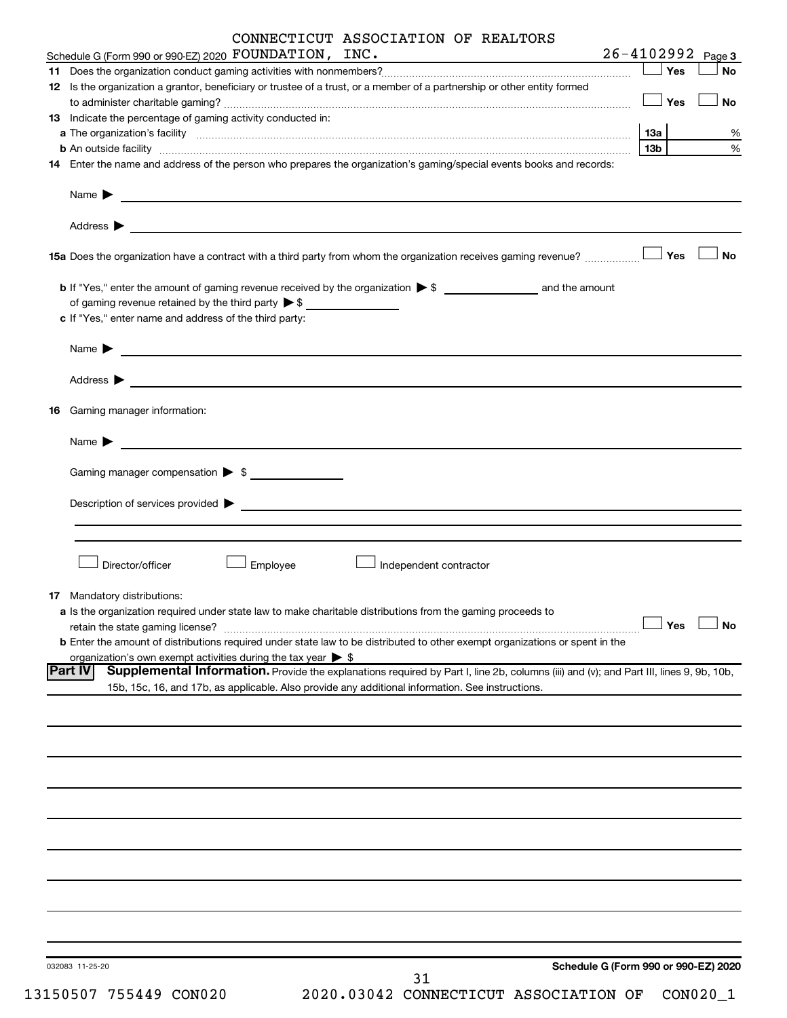|    | CONNECTICUT ASSOCIATION OF REALTORS                                                                                                                                                                                                                                                                                                                                                              |                       |           |
|----|--------------------------------------------------------------------------------------------------------------------------------------------------------------------------------------------------------------------------------------------------------------------------------------------------------------------------------------------------------------------------------------------------|-----------------------|-----------|
|    | Schedule G (Form 990 or 990-EZ) 2020 FOUNDATION, INC.                                                                                                                                                                                                                                                                                                                                            | $26 - 4102992$ Page 3 |           |
|    |                                                                                                                                                                                                                                                                                                                                                                                                  | $\Box$ Yes            | <b>No</b> |
|    | 12 Is the organization a grantor, beneficiary or trustee of a trust, or a member of a partnership or other entity formed                                                                                                                                                                                                                                                                         |                       |           |
|    | 13 Indicate the percentage of gaming activity conducted in:                                                                                                                                                                                                                                                                                                                                      | $\Box$ Yes            | No        |
|    | a The organization's facility <b>contract to the contract of the contract of the contract of the contract of the contract of the contract of the contract of the contract of the contract of the contract of the contract of the</b>                                                                                                                                                             |                       | %         |
|    | b An outside facility www.communications.com/news/communications.com/news/communications.com/news/communicatio                                                                                                                                                                                                                                                                                   | 13b l                 | $\%$      |
|    | 14 Enter the name and address of the person who prepares the organization's gaming/special events books and records:                                                                                                                                                                                                                                                                             |                       |           |
|    | Name $\blacktriangleright$<br><u> 1989 - Johann Barn, mars et al. (b. 1989)</u><br>Address $\triangleright$                                                                                                                                                                                                                                                                                      |                       |           |
|    |                                                                                                                                                                                                                                                                                                                                                                                                  |                       | <b>No</b> |
|    | of gaming revenue retained by the third party $\triangleright$ \$<br>c If "Yes," enter name and address of the third party:                                                                                                                                                                                                                                                                      |                       |           |
|    | Name $\blacktriangleright$<br><u> Alexandria de la contrada de la contrada de la contrada de la contrada de la contrada de la contrada de la c</u><br>Address > <u>Address &gt; Address &gt; Address + Address + Address + Address + Address + Address + Address + Address + Address + Address + Address + Address + Address + Address + Address + Address + Address + Address + Address + A</u> |                       |           |
| 16 | Gaming manager information:                                                                                                                                                                                                                                                                                                                                                                      |                       |           |
|    | Name $\blacktriangleright$<br><u> 1989 - Jan Barbara Barat, martin da basar da basar da basar da basar da basar da basar da basar da basar da b</u>                                                                                                                                                                                                                                              |                       |           |
|    | Gaming manager compensation > \$                                                                                                                                                                                                                                                                                                                                                                 |                       |           |
|    | Description of services provided states and the control of the control of the control of services provided states and the control of the control of the control of the control of the control of the control of the control of                                                                                                                                                                   |                       |           |
|    |                                                                                                                                                                                                                                                                                                                                                                                                  |                       |           |
|    | Director/officer<br>Employee<br>Independent contractor                                                                                                                                                                                                                                                                                                                                           |                       |           |
|    | 17 Mandatory distributions:                                                                                                                                                                                                                                                                                                                                                                      |                       |           |
|    | a Is the organization required under state law to make charitable distributions from the gaming proceeds to                                                                                                                                                                                                                                                                                      |                       |           |
|    | retain the state gaming license?                                                                                                                                                                                                                                                                                                                                                                 | Yes                   | <b>No</b> |
|    | <b>b</b> Enter the amount of distributions required under state law to be distributed to other exempt organizations or spent in the                                                                                                                                                                                                                                                              |                       |           |
|    | organization's own exempt activities during the tax year $\triangleright$ \$<br><b>Part IV</b><br>Supplemental Information. Provide the explanations required by Part I, line 2b, columns (iii) and (v); and Part III, lines 9, 9b, 10b,                                                                                                                                                         |                       |           |
|    | 15b, 15c, 16, and 17b, as applicable. Also provide any additional information. See instructions.                                                                                                                                                                                                                                                                                                 |                       |           |
|    |                                                                                                                                                                                                                                                                                                                                                                                                  |                       |           |
|    |                                                                                                                                                                                                                                                                                                                                                                                                  |                       |           |
|    |                                                                                                                                                                                                                                                                                                                                                                                                  |                       |           |
|    |                                                                                                                                                                                                                                                                                                                                                                                                  |                       |           |
|    |                                                                                                                                                                                                                                                                                                                                                                                                  |                       |           |
|    |                                                                                                                                                                                                                                                                                                                                                                                                  |                       |           |
|    |                                                                                                                                                                                                                                                                                                                                                                                                  |                       |           |
|    |                                                                                                                                                                                                                                                                                                                                                                                                  |                       |           |
|    |                                                                                                                                                                                                                                                                                                                                                                                                  |                       |           |
|    |                                                                                                                                                                                                                                                                                                                                                                                                  |                       |           |
|    |                                                                                                                                                                                                                                                                                                                                                                                                  |                       |           |
|    |                                                                                                                                                                                                                                                                                                                                                                                                  |                       |           |
|    |                                                                                                                                                                                                                                                                                                                                                                                                  |                       |           |
|    |                                                                                                                                                                                                                                                                                                                                                                                                  |                       |           |
|    |                                                                                                                                                                                                                                                                                                                                                                                                  |                       |           |
|    | Schedule G (Form 990 or 990-EZ) 2020<br>032083 11-25-20<br>າ 1                                                                                                                                                                                                                                                                                                                                   |                       |           |

| 13150507 755449 CON02 |  |  |
|-----------------------|--|--|
|-----------------------|--|--|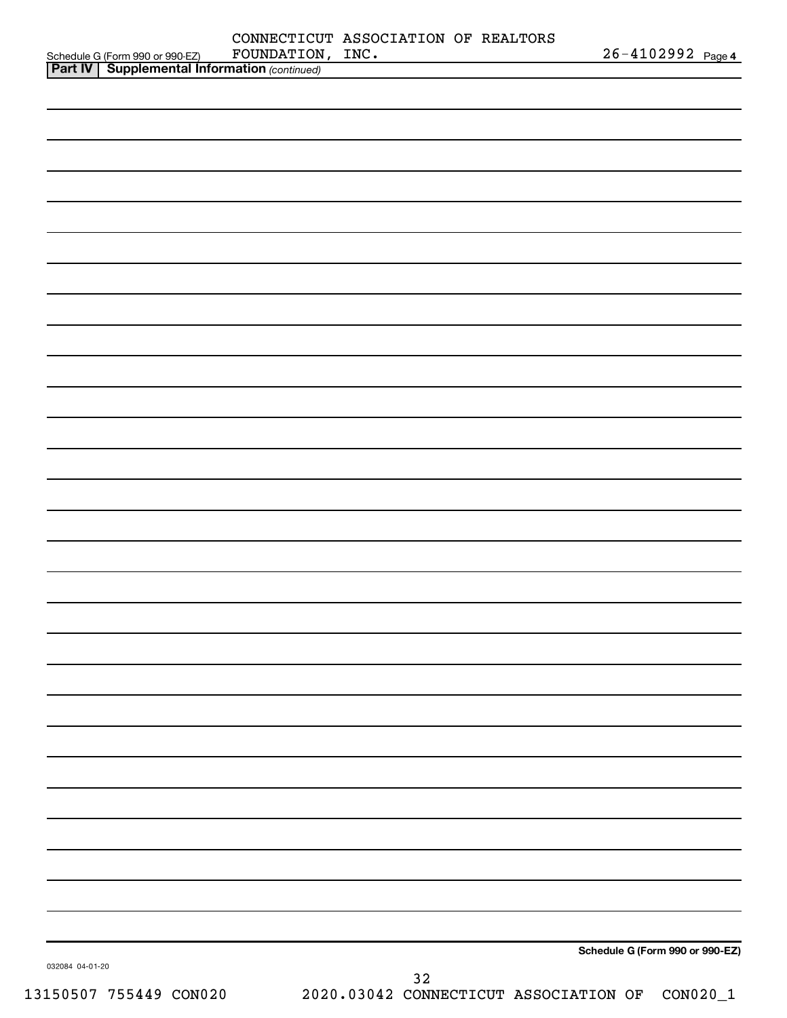|                                                                                                     |                  | CONNECTICUT ASSOCIATION OF REALTORS |                                 |  |
|-----------------------------------------------------------------------------------------------------|------------------|-------------------------------------|---------------------------------|--|
| Schedule G (Form 990 or 990-EZ) FOUNDATION<br><b>Part IV   Supplemental Information</b> (continued) | FOUNDATION, INC. |                                     | 26-4102992 Page 4               |  |
|                                                                                                     |                  |                                     |                                 |  |
|                                                                                                     |                  |                                     |                                 |  |
|                                                                                                     |                  |                                     |                                 |  |
|                                                                                                     |                  |                                     |                                 |  |
|                                                                                                     |                  |                                     |                                 |  |
|                                                                                                     |                  |                                     |                                 |  |
|                                                                                                     |                  |                                     |                                 |  |
|                                                                                                     |                  |                                     |                                 |  |
|                                                                                                     |                  |                                     |                                 |  |
|                                                                                                     |                  |                                     |                                 |  |
|                                                                                                     |                  |                                     |                                 |  |
|                                                                                                     |                  |                                     |                                 |  |
|                                                                                                     |                  |                                     |                                 |  |
|                                                                                                     |                  |                                     |                                 |  |
|                                                                                                     |                  |                                     |                                 |  |
|                                                                                                     |                  |                                     |                                 |  |
|                                                                                                     |                  |                                     |                                 |  |
|                                                                                                     |                  |                                     |                                 |  |
|                                                                                                     |                  |                                     |                                 |  |
|                                                                                                     |                  |                                     |                                 |  |
|                                                                                                     |                  |                                     |                                 |  |
|                                                                                                     |                  |                                     |                                 |  |
|                                                                                                     |                  |                                     |                                 |  |
|                                                                                                     |                  |                                     |                                 |  |
|                                                                                                     |                  |                                     |                                 |  |
|                                                                                                     |                  |                                     |                                 |  |
|                                                                                                     |                  |                                     |                                 |  |
|                                                                                                     |                  |                                     |                                 |  |
|                                                                                                     |                  |                                     |                                 |  |
|                                                                                                     |                  |                                     |                                 |  |
|                                                                                                     |                  |                                     |                                 |  |
|                                                                                                     |                  |                                     |                                 |  |
|                                                                                                     |                  |                                     |                                 |  |
|                                                                                                     |                  |                                     |                                 |  |
|                                                                                                     |                  |                                     |                                 |  |
|                                                                                                     |                  |                                     |                                 |  |
|                                                                                                     |                  |                                     |                                 |  |
|                                                                                                     |                  |                                     |                                 |  |
|                                                                                                     |                  |                                     |                                 |  |
|                                                                                                     |                  |                                     |                                 |  |
|                                                                                                     |                  |                                     |                                 |  |
|                                                                                                     |                  |                                     |                                 |  |
|                                                                                                     |                  |                                     |                                 |  |
|                                                                                                     |                  |                                     |                                 |  |
|                                                                                                     |                  |                                     |                                 |  |
|                                                                                                     |                  |                                     |                                 |  |
|                                                                                                     |                  |                                     | Schedule G (Form 990 or 990-EZ) |  |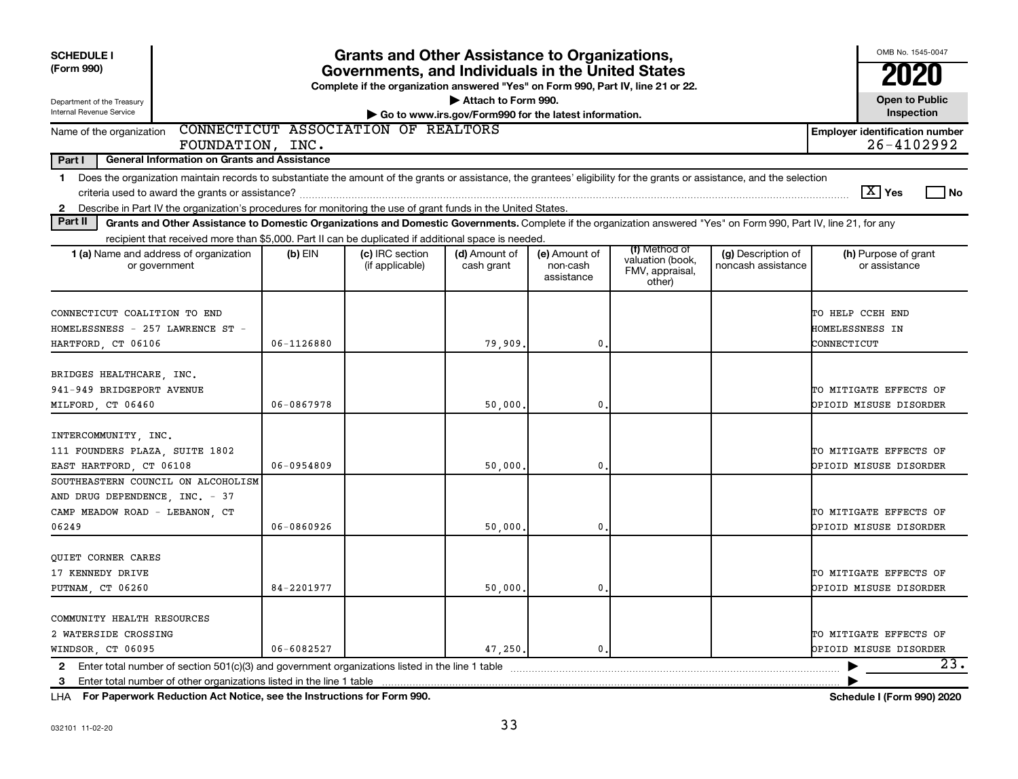| <b>Grants and Other Assistance to Organizations,</b><br><b>SCHEDULE I</b><br>(Form 990)<br>Governments, and Individuals in the United States<br>Complete if the organization answered "Yes" on Form 990, Part IV, line 21 or 22.                                                                              |            |                                     |                                                                              |                                         |                                               |                                          |                                                     |  |
|---------------------------------------------------------------------------------------------------------------------------------------------------------------------------------------------------------------------------------------------------------------------------------------------------------------|------------|-------------------------------------|------------------------------------------------------------------------------|-----------------------------------------|-----------------------------------------------|------------------------------------------|-----------------------------------------------------|--|
| Department of the Treasury<br>Internal Revenue Service                                                                                                                                                                                                                                                        |            |                                     | Attach to Form 990.<br>Go to www.irs.gov/Form990 for the latest information. |                                         |                                               |                                          | <b>Open to Public</b><br>Inspection                 |  |
| Name of the organization<br>FOUNDATION, INC.                                                                                                                                                                                                                                                                  |            | CONNECTICUT ASSOCIATION OF REALTORS |                                                                              |                                         |                                               |                                          | <b>Employer identification number</b><br>26-4102992 |  |
| Part I<br><b>General Information on Grants and Assistance</b>                                                                                                                                                                                                                                                 |            |                                     |                                                                              |                                         |                                               |                                          |                                                     |  |
| Does the organization maintain records to substantiate the amount of the grants or assistance, the grantees' eligibility for the grants or assistance, and the selection<br>$\mathbf 1$<br>Describe in Part IV the organization's procedures for monitoring the use of grant funds in the United States.<br>2 |            |                                     |                                                                              |                                         |                                               |                                          | $ \mathbf{X} $ Yes<br>l No                          |  |
| Part II<br>Grants and Other Assistance to Domestic Organizations and Domestic Governments. Complete if the organization answered "Yes" on Form 990, Part IV, line 21, for any                                                                                                                                 |            |                                     |                                                                              |                                         |                                               |                                          |                                                     |  |
| recipient that received more than \$5,000. Part II can be duplicated if additional space is needed.                                                                                                                                                                                                           |            |                                     |                                                                              |                                         | (f) Method of                                 |                                          |                                                     |  |
| 1 (a) Name and address of organization<br>or government                                                                                                                                                                                                                                                       | (b) EIN    | (c) IRC section<br>(if applicable)  | (d) Amount of<br>cash grant                                                  | (e) Amount of<br>non-cash<br>assistance | valuation (book,<br>FMV, appraisal,<br>other) | (g) Description of<br>noncash assistance | (h) Purpose of grant<br>or assistance               |  |
| CONNECTICUT COALITION TO END<br>HOMELESSNESS - 257 LAWRENCE ST -<br>HARTFORD, CT 06106                                                                                                                                                                                                                        | 06-1126880 |                                     | 79,909                                                                       | 0                                       |                                               |                                          | TO HELP CCEH END<br>HOMELESSNESS IN<br>CONNECTICUT  |  |
| BRIDGES HEALTHCARE . INC.<br>941-949 BRIDGEPORT AVENUE<br>MILFORD, CT 06460                                                                                                                                                                                                                                   | 06-0867978 |                                     | 50,000                                                                       | 0                                       |                                               |                                          | TO MITIGATE EFFECTS OF<br>OPIOID MISUSE DISORDER    |  |
| INTERCOMMUNITY, INC.<br>111 FOUNDERS PLAZA, SUITE 1802<br>EAST HARTFORD, CT 06108                                                                                                                                                                                                                             | 06-0954809 |                                     | 50,000                                                                       | 0                                       |                                               |                                          | TO MITIGATE EFFECTS OF<br>OPIOID MISUSE DISORDER    |  |
| SOUTHEASTERN COUNCIL ON ALCOHOLISM<br>AND DRUG DEPENDENCE, INC. - 37<br>CAMP MEADOW ROAD - LEBANON, CT<br>06249                                                                                                                                                                                               | 06-0860926 |                                     | 50,000                                                                       | 0                                       |                                               |                                          | TO MITIGATE EFFECTS OF<br>OPIOID MISUSE DISORDER    |  |
| QUIET CORNER CARES<br>17 KENNEDY DRIVE<br>PUTNAM, CT 06260                                                                                                                                                                                                                                                    | 84-2201977 |                                     | 50,000                                                                       | $\mathbf 0$                             |                                               |                                          | TO MITIGATE EFFECTS OF<br>OPIOID MISUSE DISORDER    |  |
| COMMUNITY HEALTH RESOURCES<br>2 WATERSIDE CROSSING<br>WINDSOR, CT 06095                                                                                                                                                                                                                                       | 06-6082527 |                                     | 47,250.                                                                      | $\mathbf 0$                             |                                               |                                          | TO MITIGATE EFFECTS OF<br>OPIOID MISUSE DISORDER    |  |
| 3                                                                                                                                                                                                                                                                                                             |            |                                     |                                                                              |                                         |                                               |                                          | 23.                                                 |  |

**For Paperwork Reduction Act Notice, see the Instructions for Form 990. Schedule I (Form 990) 2020** LHA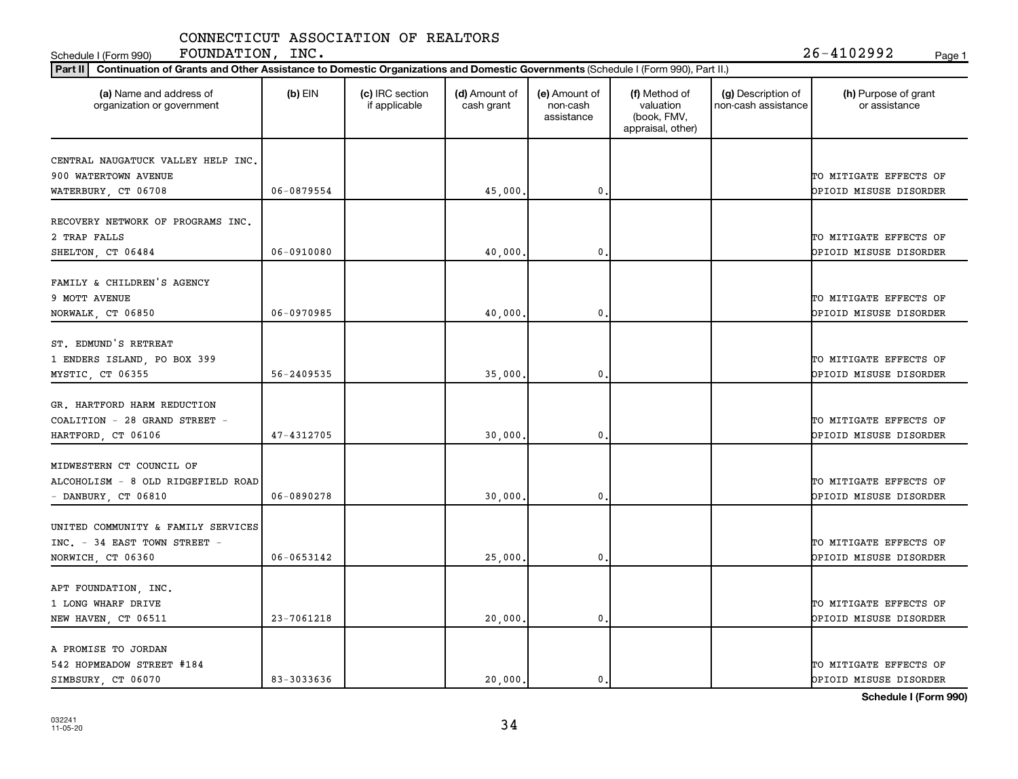Schedule I (Form 990) Page 1 FOUNDATION, INC. 26-4102992

| Part II   Continuation of Grants and Other Assistance to Domestic Organizations and Domestic Governments (Schedule I (Form 990), Part II.) |                |                                  |                             |                                         |                                                                |                                           |                                       |
|--------------------------------------------------------------------------------------------------------------------------------------------|----------------|----------------------------------|-----------------------------|-----------------------------------------|----------------------------------------------------------------|-------------------------------------------|---------------------------------------|
| (a) Name and address of<br>organization or government                                                                                      | $(b)$ EIN      | (c) IRC section<br>if applicable | (d) Amount of<br>cash grant | (e) Amount of<br>non-cash<br>assistance | (f) Method of<br>valuation<br>(book, FMV,<br>appraisal, other) | (g) Description of<br>non-cash assistance | (h) Purpose of grant<br>or assistance |
| CENTRAL NAUGATUCK VALLEY HELP INC                                                                                                          |                |                                  |                             |                                         |                                                                |                                           |                                       |
| 900 WATERTOWN AVENUE                                                                                                                       |                |                                  |                             |                                         |                                                                |                                           | TO MITIGATE EFFECTS OF                |
| WATERBURY, CT 06708                                                                                                                        | 06-0879554     |                                  | 45,000                      | $\mathbf{0}$                            |                                                                |                                           | OPIOID MISUSE DISORDER                |
|                                                                                                                                            |                |                                  |                             |                                         |                                                                |                                           |                                       |
| RECOVERY NETWORK OF PROGRAMS INC.                                                                                                          |                |                                  |                             |                                         |                                                                |                                           |                                       |
| 2 TRAP FALLS                                                                                                                               |                |                                  |                             |                                         |                                                                |                                           | TO MITIGATE EFFECTS OF                |
| SHELTON, CT 06484                                                                                                                          | $06 - 0910080$ |                                  | 40,000                      | $\mathbf{0}$                            |                                                                |                                           | OPIOID MISUSE DISORDER                |
| FAMILY & CHILDREN'S AGENCY                                                                                                                 |                |                                  |                             |                                         |                                                                |                                           |                                       |
| 9 MOTT AVENUE                                                                                                                              |                |                                  |                             |                                         |                                                                |                                           | TO MITIGATE EFFECTS OF                |
| NORWALK, CT 06850                                                                                                                          | 06-0970985     |                                  | 40,000                      | 0.                                      |                                                                |                                           | OPIOID MISUSE DISORDER                |
|                                                                                                                                            |                |                                  |                             |                                         |                                                                |                                           |                                       |
| ST. EDMUND'S RETREAT                                                                                                                       |                |                                  |                             |                                         |                                                                |                                           |                                       |
| 1 ENDERS ISLAND, PO BOX 399                                                                                                                |                |                                  |                             |                                         |                                                                |                                           | TO MITIGATE EFFECTS OF                |
| MYSTIC, CT 06355                                                                                                                           | 56-2409535     |                                  | 35,000                      | 0                                       |                                                                |                                           | OPIOID MISUSE DISORDER                |
|                                                                                                                                            |                |                                  |                             |                                         |                                                                |                                           |                                       |
| GR. HARTFORD HARM REDUCTION                                                                                                                |                |                                  |                             |                                         |                                                                |                                           |                                       |
| COALITION - 28 GRAND STREET -                                                                                                              |                |                                  |                             |                                         |                                                                |                                           | TO MITIGATE EFFECTS OF                |
| HARTFORD, CT 06106                                                                                                                         | 47-4312705     |                                  | 30,000                      | $\mathbf{0}$                            |                                                                |                                           | OPIOID MISUSE DISORDER                |
|                                                                                                                                            |                |                                  |                             |                                         |                                                                |                                           |                                       |
| MIDWESTERN CT COUNCIL OF                                                                                                                   |                |                                  |                             |                                         |                                                                |                                           |                                       |
| ALCOHOLISM - 8 OLD RIDGEFIELD ROAD                                                                                                         |                |                                  |                             |                                         |                                                                |                                           | TO MITIGATE EFFECTS OF                |
| $-$ DANBURY, CT 06810                                                                                                                      | 06-0890278     |                                  | 30,000                      | 0.                                      |                                                                |                                           | OPIOID MISUSE DISORDER                |
| UNITED COMMUNITY & FAMILY SERVICES                                                                                                         |                |                                  |                             |                                         |                                                                |                                           |                                       |
| INC. - 34 EAST TOWN STREET -                                                                                                               |                |                                  |                             |                                         |                                                                |                                           | TO MITIGATE EFFECTS OF                |
| NORWICH, CT 06360                                                                                                                          | $06 - 0653142$ |                                  | 25,000                      | $\mathbf{0}$                            |                                                                |                                           | OPIOID MISUSE DISORDER                |
|                                                                                                                                            |                |                                  |                             |                                         |                                                                |                                           |                                       |
| APT FOUNDATION, INC.                                                                                                                       |                |                                  |                             |                                         |                                                                |                                           |                                       |
| 1 LONG WHARF DRIVE                                                                                                                         |                |                                  |                             |                                         |                                                                |                                           | TO MITIGATE EFFECTS OF                |
| NEW HAVEN, CT 06511                                                                                                                        | 23-7061218     |                                  | 20,000                      | 0.                                      |                                                                |                                           | OPIOID MISUSE DISORDER                |
|                                                                                                                                            |                |                                  |                             |                                         |                                                                |                                           |                                       |
| A PROMISE TO JORDAN                                                                                                                        |                |                                  |                             |                                         |                                                                |                                           |                                       |
| 542 HOPMEADOW STREET #184                                                                                                                  |                |                                  |                             |                                         |                                                                |                                           | TO MITIGATE EFFECTS OF                |
| SIMBSURY, CT 06070                                                                                                                         | 83-3033636     |                                  | 20,000.                     | 0.                                      |                                                                |                                           | OPIOID MISUSE DISORDER                |

**Schedule I (Form 990)**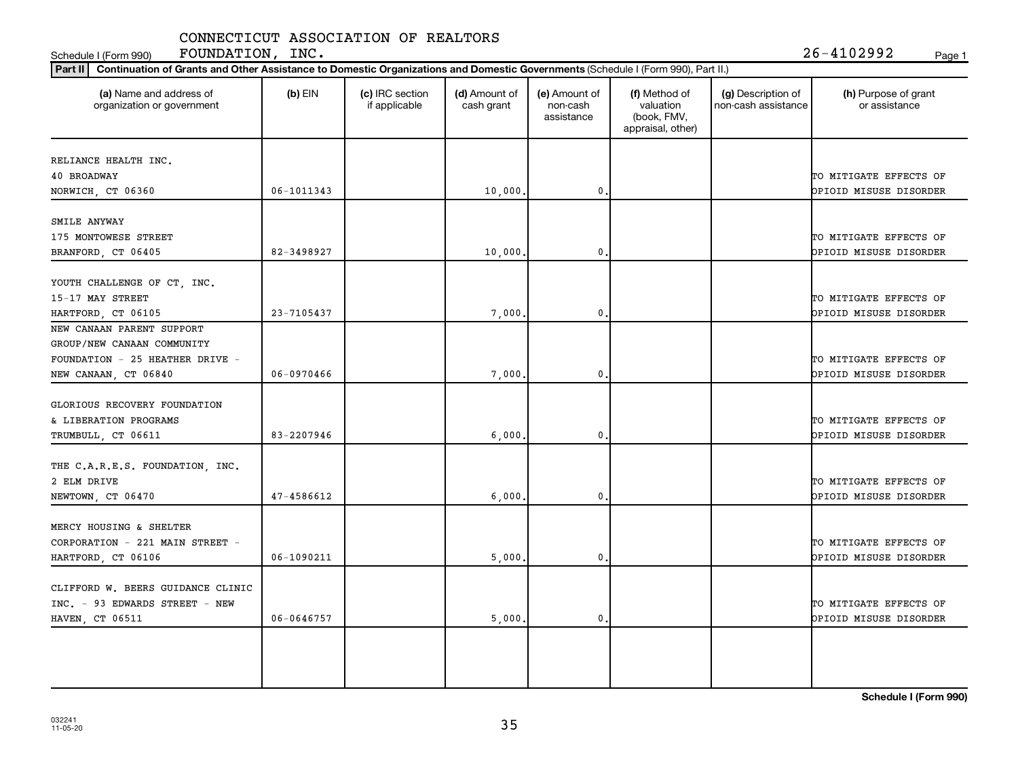Schedule I (Form 990) Page 1

FOUNDATION, INC. 26-4102992

| (a) Name and address of<br>organization or government | $(b)$ EIN      | (c) IRC section<br>if applicable | (d) Amount of<br>cash grant | (e) Amount of<br>non-cash<br>assistance | (f) Method of<br>valuation<br>(book, FMV,<br>appraisal, other) | (g) Description of<br>non-cash assistance | (h) Purpose of grant<br>or assistance |
|-------------------------------------------------------|----------------|----------------------------------|-----------------------------|-----------------------------------------|----------------------------------------------------------------|-------------------------------------------|---------------------------------------|
| RELIANCE HEALTH INC.                                  |                |                                  |                             |                                         |                                                                |                                           |                                       |
| 40 BROADWAY                                           |                |                                  |                             |                                         |                                                                |                                           | TO MITIGATE EFFECTS OF                |
| NORWICH, CT 06360                                     | $06 - 1011343$ |                                  | 10,000                      | $\mathbf 0$ .                           |                                                                |                                           | OPIOID MISUSE DISORDER                |
| SMILE ANYWAY                                          |                |                                  |                             |                                         |                                                                |                                           |                                       |
| 175 MONTOWESE STREET                                  |                |                                  |                             |                                         |                                                                |                                           | TO MITIGATE EFFECTS OF                |
| BRANFORD, CT 06405                                    | 82-3498927     |                                  | 10,000                      | $\mathbf{0}$ .                          |                                                                |                                           | OPIOID MISUSE DISORDER                |
| YOUTH CHALLENGE OF CT, INC.                           |                |                                  |                             |                                         |                                                                |                                           |                                       |
| 15-17 MAY STREET                                      |                |                                  |                             |                                         |                                                                |                                           | TO MITIGATE EFFECTS OF                |
| HARTFORD, CT 06105                                    | 23-7105437     |                                  | 7,000                       | $\mathbf{0}$ .                          |                                                                |                                           | OPIOID MISUSE DISORDER                |
| NEW CANAAN PARENT SUPPORT                             |                |                                  |                             |                                         |                                                                |                                           |                                       |
| GROUP/NEW CANAAN COMMUNITY                            |                |                                  |                             |                                         |                                                                |                                           |                                       |
| FOUNDATION - 25 HEATHER DRIVE -                       |                |                                  |                             |                                         |                                                                |                                           | TO MITIGATE EFFECTS OF                |
| NEW CANAAN, CT 06840                                  | 06-0970466     |                                  | 7,000                       | 0.                                      |                                                                |                                           | OPIOID MISUSE DISORDER                |
| GLORIOUS RECOVERY FOUNDATION                          |                |                                  |                             |                                         |                                                                |                                           |                                       |
| & LIBERATION PROGRAMS                                 |                |                                  |                             |                                         |                                                                |                                           | TO MITIGATE EFFECTS OF                |
| TRUMBULL, CT 06611                                    | 83-2207946     |                                  | 6,000                       | $\mathbf 0$ .                           |                                                                |                                           | OPIOID MISUSE DISORDER                |
|                                                       |                |                                  |                             |                                         |                                                                |                                           |                                       |
| THE C.A.R.E.S. FOUNDATION, INC.                       |                |                                  |                             |                                         |                                                                |                                           |                                       |
| 2 ELM DRIVE                                           |                |                                  |                             |                                         |                                                                |                                           | TO MITIGATE EFFECTS OF                |
| NEWTOWN, CT 06470                                     | 47-4586612     |                                  | 6,000                       | $\mathbf{0}$ .                          |                                                                |                                           | OPIOID MISUSE DISORDER                |
| MERCY HOUSING & SHELTER                               |                |                                  |                             |                                         |                                                                |                                           |                                       |
| CORPORATION - 221 MAIN STREET -                       |                |                                  |                             |                                         |                                                                |                                           | TO MITIGATE EFFECTS OF                |
| HARTFORD, CT 06106                                    | 06-1090211     |                                  | 5,000                       | $\mathbf{0}$ .                          |                                                                |                                           | OPIOID MISUSE DISORDER                |
| CLIFFORD W. BEERS GUIDANCE CLINIC                     |                |                                  |                             |                                         |                                                                |                                           |                                       |
| INC. - 93 EDWARDS STREET - NEW                        |                |                                  |                             |                                         |                                                                |                                           | TO MITIGATE EFFECTS OF                |
| HAVEN, CT 06511                                       | $06 - 0646757$ |                                  | 5,000                       | $\mathbf 0$ .                           |                                                                |                                           | OPIOID MISUSE DISORDER                |
|                                                       |                |                                  |                             |                                         |                                                                |                                           |                                       |
|                                                       |                |                                  |                             |                                         |                                                                |                                           |                                       |
|                                                       |                |                                  |                             |                                         |                                                                |                                           |                                       |

**Schedule I (Form 990)**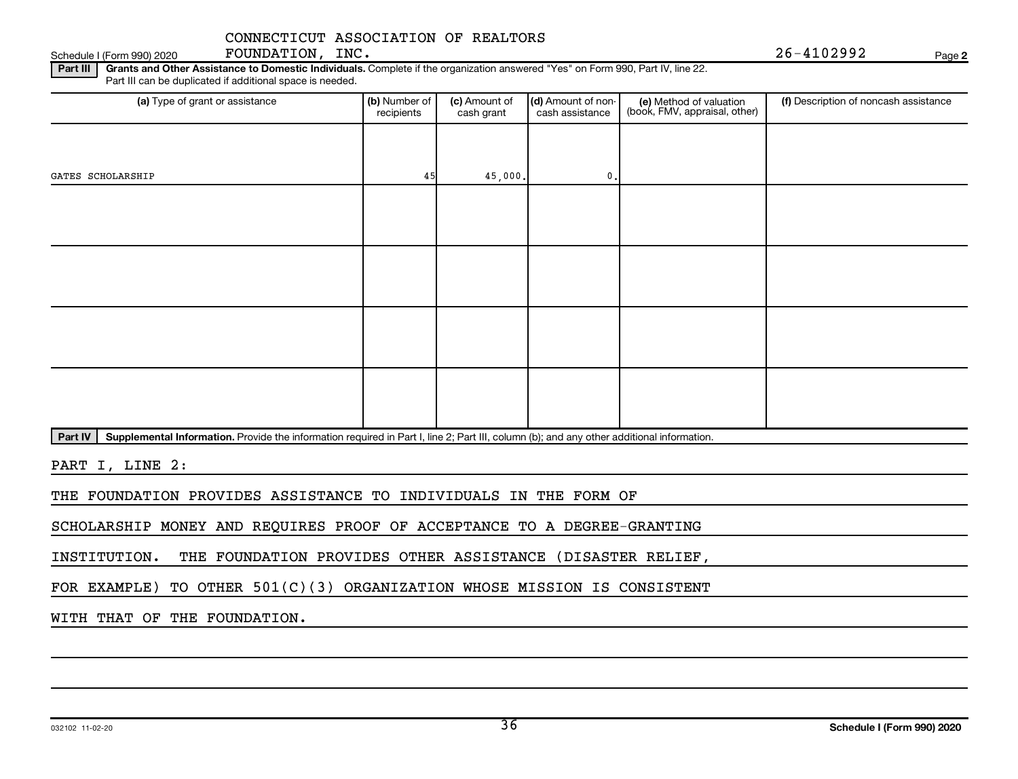#### CONNECTICUT ASSOCIATION OF REALTORS FOUNDATION, INC.

Schedule I (Form 990) 2020 **POUNDATION**, INC.

**2**

Part III | Grants and Other Assistance to Domestic Individuals. Complete if the organization answered "Yes" on Form 990, Part IV, line 22. Part III can be duplicated if additional space is needed.

| (b) Number of<br>recipients | (c) Amount of<br>cash grant | cash assistance | (e) Method of valuation<br>(book, FMV, appraisal, other) | (f) Description of noncash assistance |
|-----------------------------|-----------------------------|-----------------|----------------------------------------------------------|---------------------------------------|
|                             |                             |                 |                                                          |                                       |
|                             |                             | 0.              |                                                          |                                       |
|                             |                             |                 |                                                          |                                       |
|                             |                             |                 |                                                          |                                       |
|                             |                             |                 |                                                          |                                       |
|                             |                             |                 |                                                          |                                       |
|                             |                             |                 |                                                          |                                       |
|                             |                             |                 |                                                          |                                       |
|                             |                             |                 |                                                          |                                       |
|                             |                             |                 |                                                          |                                       |
|                             |                             | 45              | 45,000.                                                  | (d) Amount of non-                    |

Part IV | Supplemental Information. Provide the information required in Part I, line 2; Part III, column (b); and any other additional information.

PART I, LINE 2:

THE FOUNDATION PROVIDES ASSISTANCE TO INDIVIDUALS IN THE FORM OF

SCHOLARSHIP MONEY AND REQUIRES PROOF OF ACCEPTANCE TO A DEGREE-GRANTING

INSTITUTION. THE FOUNDATION PROVIDES OTHER ASSISTANCE (DISASTER RELIEF,

FOR EXAMPLE) TO OTHER  $501(C)(3)$  ORGANIZATION WHOSE MISSION IS CONSISTENT

WITH THAT OF THE FOUNDATION.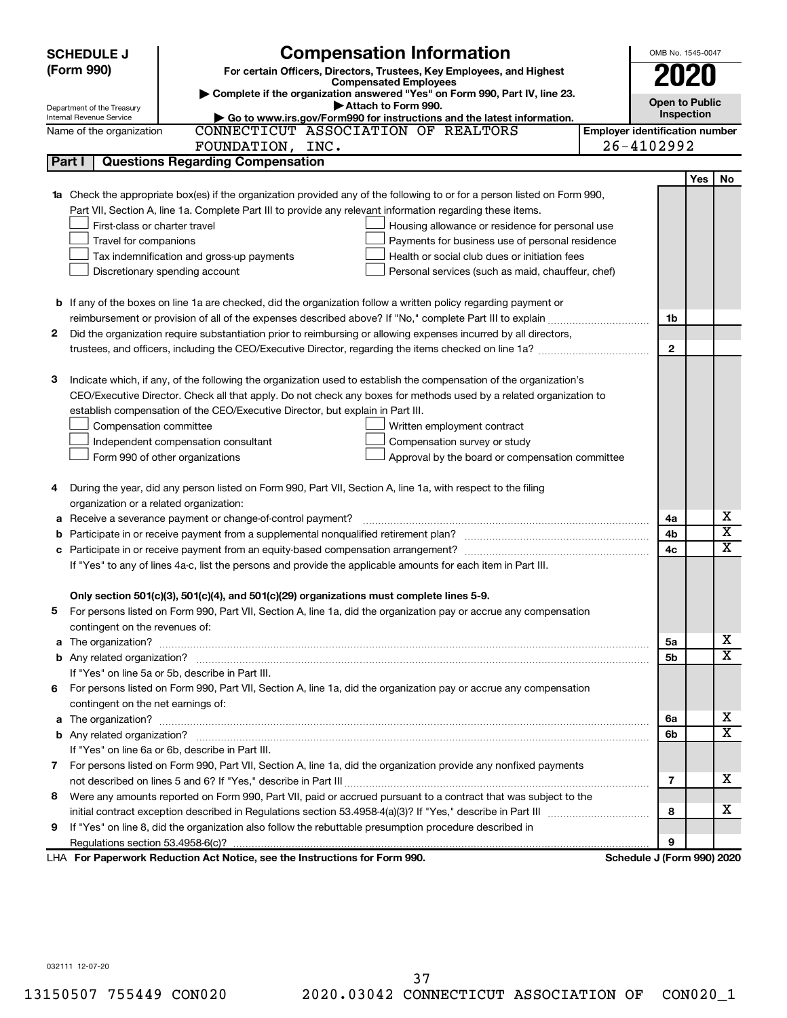|    | <b>Compensation Information</b><br><b>SCHEDULE J</b>                                       |                                                                                                                        |                                       |                            |     |                         |
|----|--------------------------------------------------------------------------------------------|------------------------------------------------------------------------------------------------------------------------|---------------------------------------|----------------------------|-----|-------------------------|
|    | (Form 990)                                                                                 | For certain Officers, Directors, Trustees, Key Employees, and Highest                                                  |                                       | 2020                       |     |                         |
|    |                                                                                            | <b>Compensated Employees</b>                                                                                           |                                       |                            |     |                         |
|    | Department of the Treasury                                                                 | Complete if the organization answered "Yes" on Form 990, Part IV, line 23.<br>Attach to Form 990.                      |                                       | <b>Open to Public</b>      |     |                         |
|    | Internal Revenue Service                                                                   | Go to www.irs.gov/Form990 for instructions and the latest information.                                                 |                                       | Inspection                 |     |                         |
|    | Name of the organization                                                                   | CONNECTICUT ASSOCIATION OF REALTORS                                                                                    | <b>Employer identification number</b> |                            |     |                         |
|    |                                                                                            | FOUNDATION, INC.                                                                                                       |                                       | 26-4102992                 |     |                         |
|    | Part I                                                                                     | <b>Questions Regarding Compensation</b>                                                                                |                                       |                            |     |                         |
|    |                                                                                            |                                                                                                                        |                                       |                            | Yes | No                      |
| 1a |                                                                                            | Check the appropriate box(es) if the organization provided any of the following to or for a person listed on Form 990, |                                       |                            |     |                         |
|    |                                                                                            | Part VII, Section A, line 1a. Complete Part III to provide any relevant information regarding these items.             |                                       |                            |     |                         |
|    | First-class or charter travel                                                              | Housing allowance or residence for personal use                                                                        |                                       |                            |     |                         |
|    | Travel for companions<br>Payments for business use of personal residence                   |                                                                                                                        |                                       |                            |     |                         |
|    | Health or social club dues or initiation fees<br>Tax indemnification and gross-up payments |                                                                                                                        |                                       |                            |     |                         |
|    | Discretionary spending account<br>Personal services (such as maid, chauffeur, chef)        |                                                                                                                        |                                       |                            |     |                         |
|    |                                                                                            |                                                                                                                        |                                       |                            |     |                         |
|    |                                                                                            | <b>b</b> If any of the boxes on line 1a are checked, did the organization follow a written policy regarding payment or |                                       |                            |     |                         |
|    |                                                                                            |                                                                                                                        |                                       | 1b                         |     |                         |
| 2  |                                                                                            | Did the organization require substantiation prior to reimbursing or allowing expenses incurred by all directors,       |                                       |                            |     |                         |
|    |                                                                                            |                                                                                                                        |                                       | $\mathbf{2}$               |     |                         |
|    |                                                                                            |                                                                                                                        |                                       |                            |     |                         |
| З  |                                                                                            | Indicate which, if any, of the following the organization used to establish the compensation of the organization's     |                                       |                            |     |                         |
|    |                                                                                            | CEO/Executive Director. Check all that apply. Do not check any boxes for methods used by a related organization to     |                                       |                            |     |                         |
|    |                                                                                            | establish compensation of the CEO/Executive Director, but explain in Part III.                                         |                                       |                            |     |                         |
|    | Compensation committee                                                                     | Written employment contract                                                                                            |                                       |                            |     |                         |
|    |                                                                                            | Independent compensation consultant<br>Compensation survey or study                                                    |                                       |                            |     |                         |
|    |                                                                                            | Form 990 of other organizations<br>Approval by the board or compensation committee                                     |                                       |                            |     |                         |
| 4  |                                                                                            | During the year, did any person listed on Form 990, Part VII, Section A, line 1a, with respect to the filing           |                                       |                            |     |                         |
|    | organization or a related organization:                                                    |                                                                                                                        |                                       |                            |     |                         |
| а  |                                                                                            | Receive a severance payment or change-of-control payment?                                                              |                                       | 4a                         |     | х                       |
| b  |                                                                                            |                                                                                                                        |                                       | 4b                         |     | $\overline{\textbf{x}}$ |
| c  |                                                                                            |                                                                                                                        |                                       | 4c                         |     | $\overline{\textbf{x}}$ |
|    |                                                                                            | If "Yes" to any of lines 4a-c, list the persons and provide the applicable amounts for each item in Part III.          |                                       |                            |     |                         |
|    |                                                                                            |                                                                                                                        |                                       |                            |     |                         |
|    |                                                                                            | Only section 501(c)(3), 501(c)(4), and 501(c)(29) organizations must complete lines 5-9.                               |                                       |                            |     |                         |
|    |                                                                                            | For persons listed on Form 990, Part VII, Section A, line 1a, did the organization pay or accrue any compensation      |                                       |                            |     |                         |
|    | contingent on the revenues of:                                                             |                                                                                                                        |                                       |                            |     |                         |
|    |                                                                                            |                                                                                                                        |                                       | 5а                         |     | х                       |
|    |                                                                                            |                                                                                                                        |                                       | 5b                         |     | х                       |
|    |                                                                                            | If "Yes" on line 5a or 5b, describe in Part III.                                                                       |                                       |                            |     |                         |
|    |                                                                                            | 6 For persons listed on Form 990, Part VII, Section A, line 1a, did the organization pay or accrue any compensation    |                                       |                            |     |                         |
|    | contingent on the net earnings of:                                                         |                                                                                                                        |                                       |                            |     |                         |
|    |                                                                                            |                                                                                                                        |                                       | 6a                         |     | х                       |
|    |                                                                                            |                                                                                                                        |                                       | 6b                         |     | х                       |
|    |                                                                                            | If "Yes" on line 6a or 6b, describe in Part III.                                                                       |                                       |                            |     |                         |
|    |                                                                                            | 7 For persons listed on Form 990, Part VII, Section A, line 1a, did the organization provide any nonfixed payments     |                                       |                            |     |                         |
|    |                                                                                            |                                                                                                                        |                                       | 7                          |     | х                       |
|    |                                                                                            | 8 Were any amounts reported on Form 990, Part VII, paid or accrued pursuant to a contract that was subject to the      |                                       |                            |     |                         |
|    |                                                                                            |                                                                                                                        |                                       | 8                          |     | х                       |
| 9. |                                                                                            | If "Yes" on line 8, did the organization also follow the rebuttable presumption procedure described in                 |                                       |                            |     |                         |
|    |                                                                                            |                                                                                                                        |                                       | 9                          |     |                         |
|    |                                                                                            | LHA For Paperwork Reduction Act Notice, see the Instructions for Form 990.                                             |                                       | Schedule J (Form 990) 2020 |     |                         |

032111 12-07-20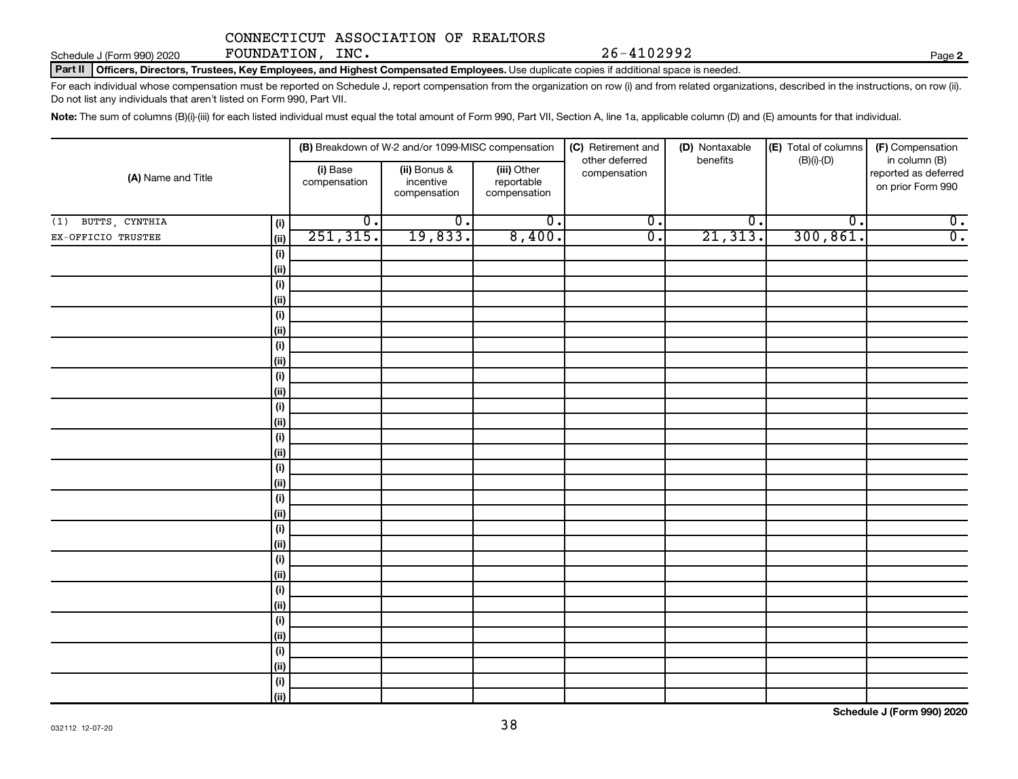Schedule J (Form 990) 2020 Page FOUNDATION, INC. 26-4102992

Part II | Officers, Directors, Trustees, Key Employees, and Highest Compensated Employees. Use duplicate copies if additional space is needed.

For each individual whose compensation must be reported on Schedule J, report compensation from the organization on row (i) and from related organizations, described in the instructions, on row (ii). Do not list any individuals that aren't listed on Form 990, Part VII.

Note: The sum of columns (B)(i)-(iii) for each listed individual must equal the total amount of Form 990, Part VII, Section A, line 1a, applicable column (D) and (E) amounts for that individual.

|                              |                          | (B) Breakdown of W-2 and/or 1099-MISC compensation |                                           | (C) Retirement and             | (D) Nontaxable   | (E) Total of columns      | (F) Compensation                                           |
|------------------------------|--------------------------|----------------------------------------------------|-------------------------------------------|--------------------------------|------------------|---------------------------|------------------------------------------------------------|
| (A) Name and Title           | (i) Base<br>compensation | (ii) Bonus &<br>incentive<br>compensation          | (iii) Other<br>reportable<br>compensation | other deferred<br>compensation | benefits         | $(B)(i)-(D)$              | in column (B)<br>reported as deferred<br>on prior Form 990 |
| BUTTS, CYNTHIA<br>(1)<br>(i) | $\overline{0}$ .         | $\overline{\mathbf{0}}$ .                          | $\overline{\mathbf{0}}$ .                 | $\overline{0}$ .               | $\overline{0}$ . | $\overline{\mathbf{0}}$ . | $\overline{\mathbf{0}}$ .                                  |
| EX-OFFICIO TRUSTEE<br>(ii)   | 251, 315.                | 19,833.                                            | 8,400.                                    | $\overline{0}$ .               | 21,313.          | 300, 861.                 | $\overline{0}$ .                                           |
| $(\sf{i})$                   |                          |                                                    |                                           |                                |                  |                           |                                                            |
| (ii)                         |                          |                                                    |                                           |                                |                  |                           |                                                            |
| $(\sf{i})$                   |                          |                                                    |                                           |                                |                  |                           |                                                            |
| (ii)                         |                          |                                                    |                                           |                                |                  |                           |                                                            |
| $(\sf{i})$                   |                          |                                                    |                                           |                                |                  |                           |                                                            |
| (ii)                         |                          |                                                    |                                           |                                |                  |                           |                                                            |
| $(\sf{i})$                   |                          |                                                    |                                           |                                |                  |                           |                                                            |
| (ii)                         |                          |                                                    |                                           |                                |                  |                           |                                                            |
| $(\sf{i})$<br>(ii)           |                          |                                                    |                                           |                                |                  |                           |                                                            |
| $(\sf{i})$                   |                          |                                                    |                                           |                                |                  |                           |                                                            |
| (ii)                         |                          |                                                    |                                           |                                |                  |                           |                                                            |
| $(\sf{i})$                   |                          |                                                    |                                           |                                |                  |                           |                                                            |
| (ii)                         |                          |                                                    |                                           |                                |                  |                           |                                                            |
| $(\sf{i})$                   |                          |                                                    |                                           |                                |                  |                           |                                                            |
| (ii)                         |                          |                                                    |                                           |                                |                  |                           |                                                            |
| $(\sf{i})$                   |                          |                                                    |                                           |                                |                  |                           |                                                            |
| (ii)                         |                          |                                                    |                                           |                                |                  |                           |                                                            |
| $(\sf{i})$                   |                          |                                                    |                                           |                                |                  |                           |                                                            |
| (ii)                         |                          |                                                    |                                           |                                |                  |                           |                                                            |
| $(\sf{i})$                   |                          |                                                    |                                           |                                |                  |                           |                                                            |
| (ii)                         |                          |                                                    |                                           |                                |                  |                           |                                                            |
| $(\sf{i})$                   |                          |                                                    |                                           |                                |                  |                           |                                                            |
| (ii)<br>$(\sf{i})$           |                          |                                                    |                                           |                                |                  |                           |                                                            |
| (ii)                         |                          |                                                    |                                           |                                |                  |                           |                                                            |
| $(\sf{i})$                   |                          |                                                    |                                           |                                |                  |                           |                                                            |
| (ii)                         |                          |                                                    |                                           |                                |                  |                           |                                                            |
| $(\sf{i})$                   |                          |                                                    |                                           |                                |                  |                           |                                                            |
| <u>(ii)</u>                  |                          |                                                    |                                           |                                |                  |                           |                                                            |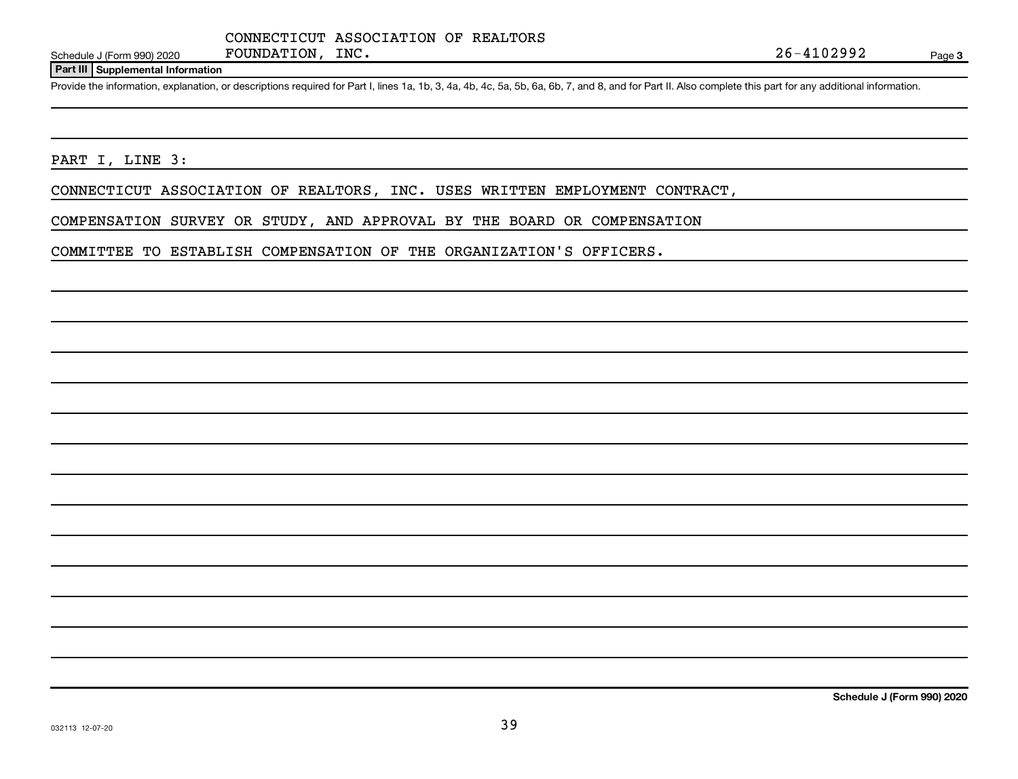#### **Part III Supplemental Information**

Provide the information, explanation, or descriptions required for Part I, lines 1a, 1b, 3, 4a, 4b, 4c, 5a, 5b, 6a, 6b, 7, and 8, and for Part II. Also complete this part for any additional information.

PART I, LINE 3:

CONNECTICUT ASSOCIATION OF REALTORS, INC. USES WRITTEN EMPLOYMENT CONTRACT,

COMPENSATION SURVEY OR STUDY, AND APPROVAL BY THE BOARD OR COMPENSATION

COMMITTEE TO ESTABLISH COMPENSATION OF THE ORGANIZATION'S OFFICERS.

**Schedule J (Form 990) 2020**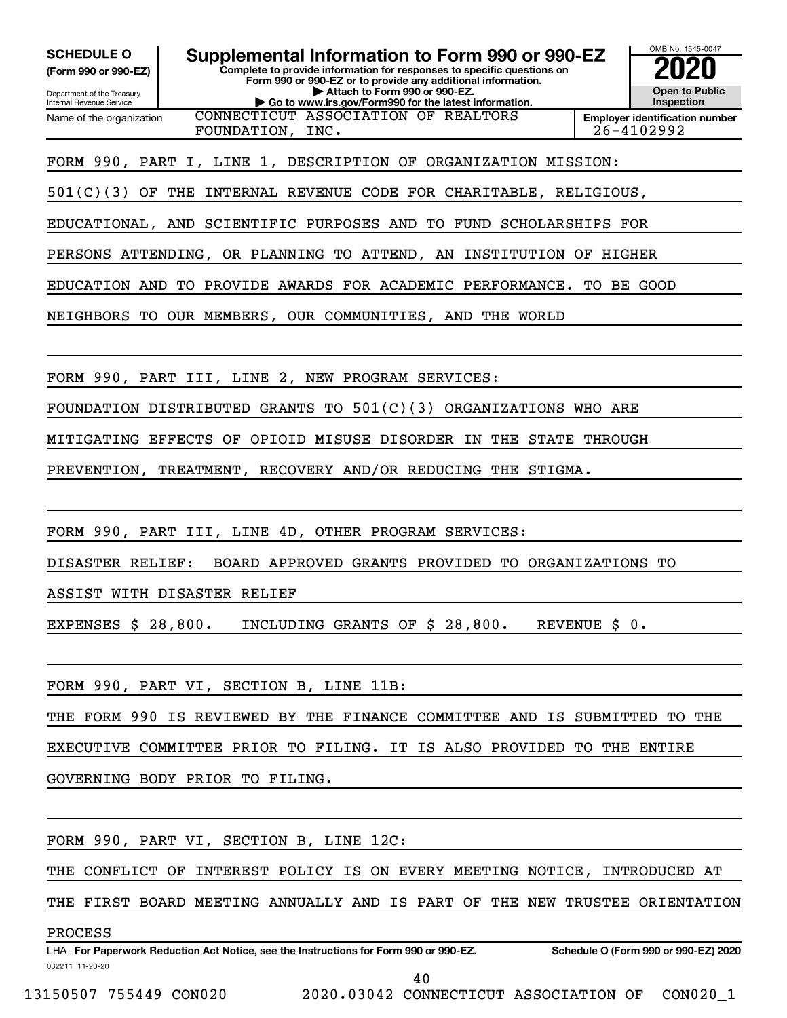**(Form 990 or 990-EZ)**

Department of the Treasury Internal Revenue Service Name of the organization

**Complete to provide information for responses to specific questions on Form 990 or 990-EZ or to provide any additional information. | Attach to Form 990 or 990-EZ. | Go to www.irs.gov/Form990 for the latest information. SCHEDULE O Supplemental Information to Form 990 or 990-EZ 2020**<br>(Form 990 or 990-EZ) Complete to provide information for responses to specific questions on



FOUNDATION, INC. 26-4102992

FORM 990, PART I, LINE 1, DESCRIPTION OF ORGANIZATION MISSION:

501(C)(3) OF THE INTERNAL REVENUE CODE FOR CHARITABLE, RELIGIOUS,

CONNECTICUT ASSOCIATION OF REALTORS

EDUCATIONAL, AND SCIENTIFIC PURPOSES AND TO FUND SCHOLARSHIPS FOR

PERSONS ATTENDING, OR PLANNING TO ATTEND, AN INSTITUTION OF HIGHER

EDUCATION AND TO PROVIDE AWARDS FOR ACADEMIC PERFORMANCE. TO BE GOOD

NEIGHBORS TO OUR MEMBERS, OUR COMMUNITIES, AND THE WORLD

FORM 990, PART III, LINE 2, NEW PROGRAM SERVICES:

FOUNDATION DISTRIBUTED GRANTS TO 501(C)(3) ORGANIZATIONS WHO ARE

MITIGATING EFFECTS OF OPIOID MISUSE DISORDER IN THE STATE THROUGH

PREVENTION, TREATMENT, RECOVERY AND/OR REDUCING THE STIGMA.

FORM 990, PART III, LINE 4D, OTHER PROGRAM SERVICES:

DISASTER RELIEF: BOARD APPROVED GRANTS PROVIDED TO ORGANIZATIONS TO

ASSIST WITH DISASTER RELIEF

EXPENSES \$ 28,800. INCLUDING GRANTS OF \$ 28,800. REVENUE \$ 0.

FORM 990, PART VI, SECTION B, LINE 11B:

THE FORM 990 IS REVIEWED BY THE FINANCE COMMITTEE AND IS SUBMITTED TO THE

EXECUTIVE COMMITTEE PRIOR TO FILING. IT IS ALSO PROVIDED TO THE ENTIRE

GOVERNING BODY PRIOR TO FILING.

FORM 990, PART VI, SECTION B, LINE 12C:

THE CONFLICT OF INTEREST POLICY IS ON EVERY MEETING NOTICE, INTRODUCED AT

THE FIRST BOARD MEETING ANNUALLY AND IS PART OF THE NEW TRUSTEE ORIENTATION

### PROCESS

032211 11-20-20 **For Paperwork Reduction Act Notice, see the Instructions for Form 990 or 990-EZ. Schedule O (Form 990 or 990-EZ) 2020** LHA

40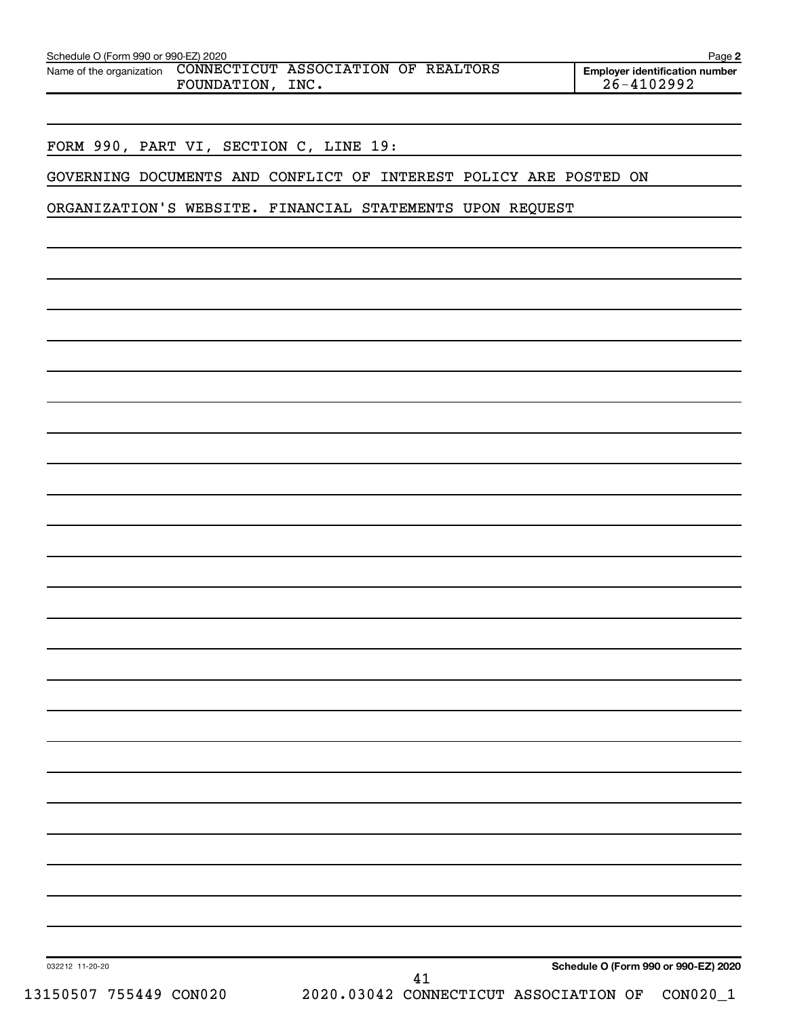| Schedule O (Form 990 or 990-EZ) 2020<br>Name of the organization CONNECTICUT ASSOCIATION OF REALTORS |                  |  | Page 2<br><b>Employer identification number</b> |
|------------------------------------------------------------------------------------------------------|------------------|--|-------------------------------------------------|
|                                                                                                      | FOUNDATION, INC. |  | $26 - 4102992$                                  |
| FORM 990, PART VI, SECTION C, LINE 19:                                                               |                  |  |                                                 |
| GOVERNING DOCUMENTS AND CONFLICT OF INTEREST POLICY ARE POSTED ON                                    |                  |  |                                                 |
| ORGANIZATION'S WEBSITE. FINANCIAL STATEMENTS UPON REQUEST                                            |                  |  |                                                 |
|                                                                                                      |                  |  |                                                 |
|                                                                                                      |                  |  |                                                 |
|                                                                                                      |                  |  |                                                 |
|                                                                                                      |                  |  |                                                 |
|                                                                                                      |                  |  |                                                 |
|                                                                                                      |                  |  |                                                 |
|                                                                                                      |                  |  |                                                 |
|                                                                                                      |                  |  |                                                 |
|                                                                                                      |                  |  |                                                 |
|                                                                                                      |                  |  |                                                 |
|                                                                                                      |                  |  |                                                 |
|                                                                                                      |                  |  |                                                 |
|                                                                                                      |                  |  |                                                 |
|                                                                                                      |                  |  |                                                 |
|                                                                                                      |                  |  |                                                 |

032212 11-20-20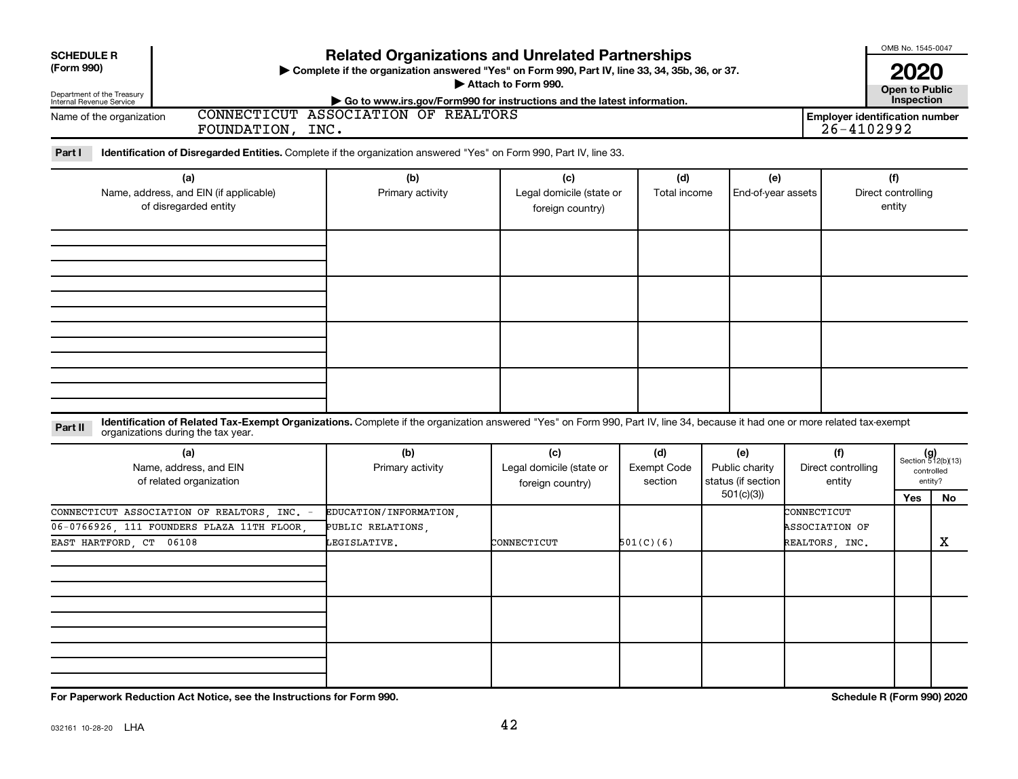| <b>SCHEDULE R</b>                                    |                                                                                                                                                                              | <b>Related Organizations and Unrelated Partnerships</b>                                                       |                                                     |                                      |                                                          |                                                                   | OMB No. 1545-0047                    |                                                      |
|------------------------------------------------------|------------------------------------------------------------------------------------------------------------------------------------------------------------------------------|---------------------------------------------------------------------------------------------------------------|-----------------------------------------------------|--------------------------------------|----------------------------------------------------------|-------------------------------------------------------------------|--------------------------------------|------------------------------------------------------|
| (Form 990)<br>Department of the Treasury             |                                                                                                                                                                              | > Complete if the organization answered "Yes" on Form 990, Part IV, line 33, 34, 35b, 36, or 37.              | Attach to Form 990.                                 |                                      |                                                          |                                                                   | <b>2020</b><br><b>Open to Public</b> |                                                      |
| Internal Revenue Service<br>Name of the organization | FOUNDATION, INC.                                                                                                                                                             | Go to www.irs.gov/Form990 for instructions and the latest information.<br>CONNECTICUT ASSOCIATION OF REALTORS |                                                     |                                      |                                                          | Inspection<br><b>Employer identification number</b><br>26-4102992 |                                      |                                                      |
| Part I                                               | Identification of Disregarded Entities. Complete if the organization answered "Yes" on Form 990, Part IV, line 33.                                                           |                                                                                                               |                                                     |                                      |                                                          |                                                                   |                                      |                                                      |
|                                                      | (a)<br>Name, address, and EIN (if applicable)<br>of disregarded entity                                                                                                       | (b)<br>Primary activity                                                                                       | (c)<br>Legal domicile (state or<br>foreign country) | (d)<br>Total income                  | (e)<br>End-of-year assets                                |                                                                   | (f)<br>Direct controlling<br>entity  |                                                      |
|                                                      |                                                                                                                                                                              |                                                                                                               |                                                     |                                      |                                                          |                                                                   |                                      |                                                      |
|                                                      |                                                                                                                                                                              |                                                                                                               |                                                     |                                      |                                                          |                                                                   |                                      |                                                      |
|                                                      | Identification of Related Tax-Exempt Organizations. Complete if the organization answered "Yes" on Form 990, Part IV, line 34, because it had one or more related tax-exempt |                                                                                                               |                                                     |                                      |                                                          |                                                                   |                                      |                                                      |
| Part II                                              | organizations during the tax year.<br>(a)<br>Name, address, and EIN<br>of related organization                                                                               | (b)<br>Primary activity                                                                                       | (c)<br>Legal domicile (state or<br>foreign country) | (d)<br><b>Exempt Code</b><br>section | (e)<br>Public charity<br>status (if section<br>501(c)(3) | (f)<br>Direct controlling<br>entity                               |                                      | $(g)$<br>Section 512(b)(13)<br>controlled<br>entity? |
| EAST HARTFORD, CT 06108                              | CONNECTICUT ASSOCIATION OF REALTORS, INC. -<br>06-0766926, 111 FOUNDERS PLAZA 11TH FLOOR,                                                                                    | EDUCATION/INFORMATION,<br>PUBLIC RELATIONS,<br>LEGISLATIVE.<br>CONNECTICUT                                    |                                                     | 501(C)(6)                            |                                                          | CONNECTICUT<br>ASSOCIATION OF<br>REALTORS, INC.                   | Yes                                  | No<br>x                                              |
|                                                      |                                                                                                                                                                              |                                                                                                               |                                                     |                                      |                                                          |                                                                   |                                      |                                                      |
|                                                      |                                                                                                                                                                              |                                                                                                               |                                                     |                                      |                                                          |                                                                   |                                      |                                                      |
|                                                      | For Paperwork Reduction Act Notice, see the Instructions for Form 990.                                                                                                       |                                                                                                               |                                                     |                                      |                                                          |                                                                   | Schedule R (Form 990) 2020           |                                                      |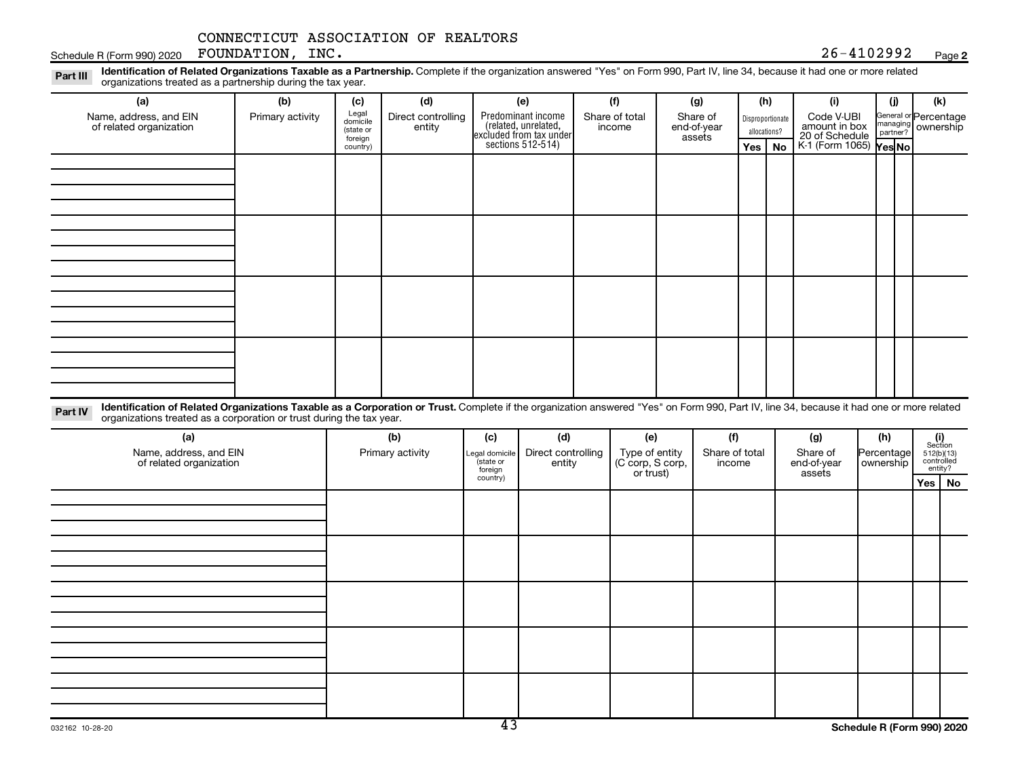**2**

Disproportionate allocations? Legal domicile (state or foreign country) General or Percentage managing partner? Part III Identification of Related Organizations Taxable as a Partnership. Complete if the organization answered "Yes" on Form 990, Part IV, line 34, because it had one or more related<br>Read to the organizations tracted as **(a) (b) (c) (d) (e) (f) (g) (h) (i) (j) (k) Yes No Yes No** K-1 (Form 1065) Predominant income (related, unrelated, excluded from tax under sections 512-514) Schedule R (Form 990) 2020 Page FOUNDATION, INC. 26-4102992 organizations treated as a partnership during the tax year. Name, address, and EIN of related organization Primary activity  $\left| \begin{array}{c} \text{Legal} \\ \text{diamial} \end{array} \right|$  Direct controlling entity Share of total income Share of end-of-year assets Code V-UBI<br>amount in box 20 of Schedule ownership

Part IV Identification of Related Organizations Taxable as a Corporation or Trust. Complete if the organization answered "Yes" on Form 990, Part IV, line 34, because it had one or more related organizations treated as a corporation or trust during the tax year.

| (a)<br>Name, address, and EIN<br>of related organization | (b)<br>Primary activity | (c)<br>Legal domicile<br>state or<br>foreign | (d)<br>Direct controlling<br>entity | (e)<br>Type of entity<br>(C corp, S corp,<br>or trust) | (f)<br>Share of total<br>income | (g)<br>Share of<br>end-of-year<br>assets | (h)<br>Percentage<br>ownership | $(i)$ Section<br>512(b)(13)<br>controlled<br>entity? |
|----------------------------------------------------------|-------------------------|----------------------------------------------|-------------------------------------|--------------------------------------------------------|---------------------------------|------------------------------------------|--------------------------------|------------------------------------------------------|
|                                                          |                         | country)                                     |                                     |                                                        |                                 |                                          |                                | Yes   No                                             |
|                                                          |                         |                                              |                                     |                                                        |                                 |                                          |                                |                                                      |
|                                                          |                         |                                              |                                     |                                                        |                                 |                                          |                                |                                                      |
|                                                          |                         |                                              |                                     |                                                        |                                 |                                          |                                |                                                      |
|                                                          |                         |                                              |                                     |                                                        |                                 |                                          |                                |                                                      |
|                                                          |                         |                                              |                                     |                                                        |                                 |                                          |                                |                                                      |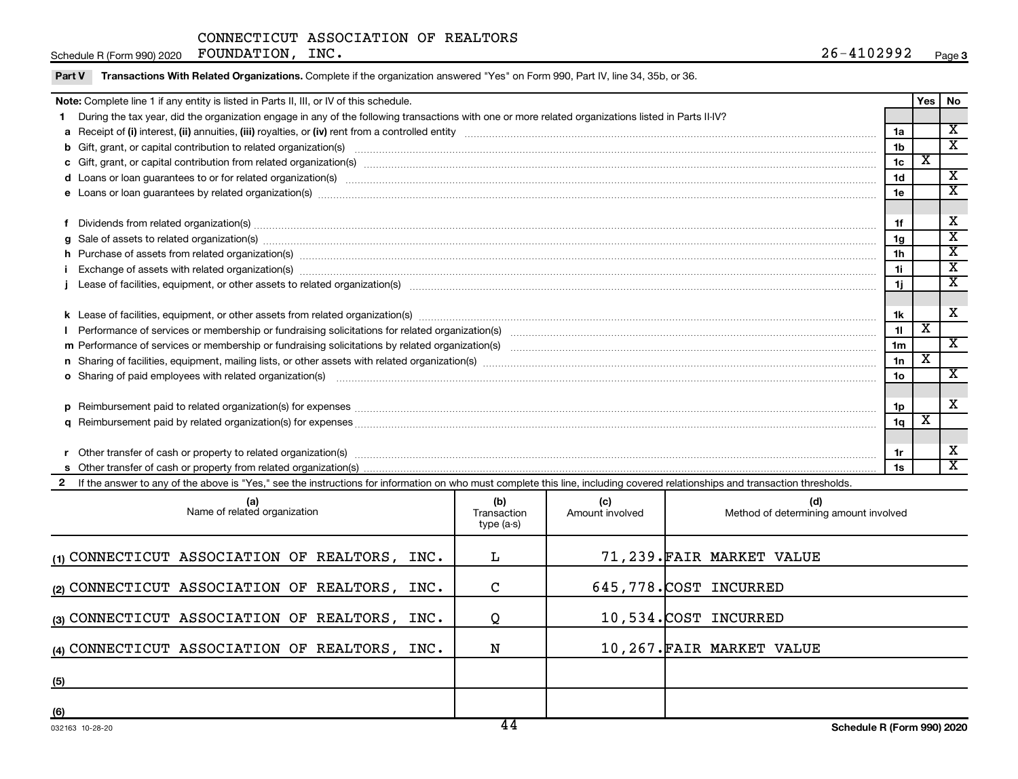Part V Transactions With Related Organizations. Complete if the organization answered "Yes" on Form 990, Part IV, line 34, 35b, or 36.

|  | Note: Complete line 1 if any entity is listed in Parts II, III, or IV of this schedule.                                                                                                                                        |                 | Yes                     | No                      |  |  |
|--|--------------------------------------------------------------------------------------------------------------------------------------------------------------------------------------------------------------------------------|-----------------|-------------------------|-------------------------|--|--|
|  | 1 During the tax year, did the organization engage in any of the following transactions with one or more related organizations listed in Parts II-IV?                                                                          |                 |                         |                         |  |  |
|  |                                                                                                                                                                                                                                | 1a              |                         | $\overline{\textbf{x}}$ |  |  |
|  | b Gift, grant, or capital contribution to related organization(s) www.communities content content content of the contribution to related organization(s)                                                                       | 1 <sub>b</sub>  |                         | $\overline{\textbf{x}}$ |  |  |
|  |                                                                                                                                                                                                                                | 1 <sub>c</sub>  | $\overline{\textbf{x}}$ |                         |  |  |
|  | d Loans or loan guarantees to or for related organization(s) mature content to the content of the content of the content of the content of the content of the content of the content of the content of the content of the cont | 1 <sub>d</sub>  |                         | $\mathbf x$             |  |  |
|  |                                                                                                                                                                                                                                | 1e              |                         | X                       |  |  |
|  |                                                                                                                                                                                                                                |                 |                         |                         |  |  |
|  |                                                                                                                                                                                                                                | 1f              |                         | х                       |  |  |
|  |                                                                                                                                                                                                                                | 1 <sub>q</sub>  |                         | X                       |  |  |
|  | h Purchase of assets from related organization(s) manufactured content to content the content of assets from related organization(s) manufactured content to content the content of the content of the content of the content  | 1 <sub>h</sub>  |                         | X                       |  |  |
|  | Exchange of assets with related organization(s) measurements are constructed as a set of the set of assets with related organization(s) measurements are constructed as a set of a set of the set of the set of the set of the | 1i              |                         | $\mathbf x$             |  |  |
|  |                                                                                                                                                                                                                                | 1j              |                         | X                       |  |  |
|  |                                                                                                                                                                                                                                |                 |                         |                         |  |  |
|  |                                                                                                                                                                                                                                | 1k              |                         | X                       |  |  |
|  |                                                                                                                                                                                                                                | 11              | X                       |                         |  |  |
|  |                                                                                                                                                                                                                                | 1 <sub>m</sub>  |                         | $\mathbf{x}$            |  |  |
|  |                                                                                                                                                                                                                                | 1n              | X                       |                         |  |  |
|  |                                                                                                                                                                                                                                | 10 <sub>o</sub> |                         | $\mathbf x$             |  |  |
|  |                                                                                                                                                                                                                                |                 |                         |                         |  |  |
|  |                                                                                                                                                                                                                                | 1p              |                         | X                       |  |  |
|  |                                                                                                                                                                                                                                | 1 <sub>q</sub>  | $\overline{\textbf{x}}$ |                         |  |  |
|  |                                                                                                                                                                                                                                |                 |                         |                         |  |  |
|  | r Other transfer of cash or property to related organization(s) encourance contains an account of the transfer of cash or property to related organization(s)                                                                  | 1r              |                         | х                       |  |  |
|  |                                                                                                                                                                                                                                | 1s              |                         | $\overline{\mathbf{X}}$ |  |  |
|  | 2 If the answer to any of the above is "Yes," see the instructions for information on who must complete this line, including covered relationships and transaction thresholds.                                                 |                 |                         |                         |  |  |

| (a)<br>Name of related organization           | (b)<br>Transaction<br>type (a-s) | (c)<br>Amount involved | (d)<br>Method of determining amount involved |
|-----------------------------------------------|----------------------------------|------------------------|----------------------------------------------|
| (1) CONNECTICUT ASSOCIATION OF REALTORS, INC. |                                  |                        | 71,239. FAIR MARKET VALUE                    |
| (2) CONNECTICUT ASSOCIATION OF REALTORS, INC. | C                                |                        | 645,778.COST INCURRED                        |
| (3) CONNECTICUT ASSOCIATION OF REALTORS, INC. |                                  |                        | 10,534.COST INCURRED                         |
| (4) CONNECTICUT ASSOCIATION OF REALTORS, INC. | N                                |                        | 10,267. FAIR MARKET VALUE                    |
| (5)                                           |                                  |                        |                                              |
| (6)                                           |                                  |                        |                                              |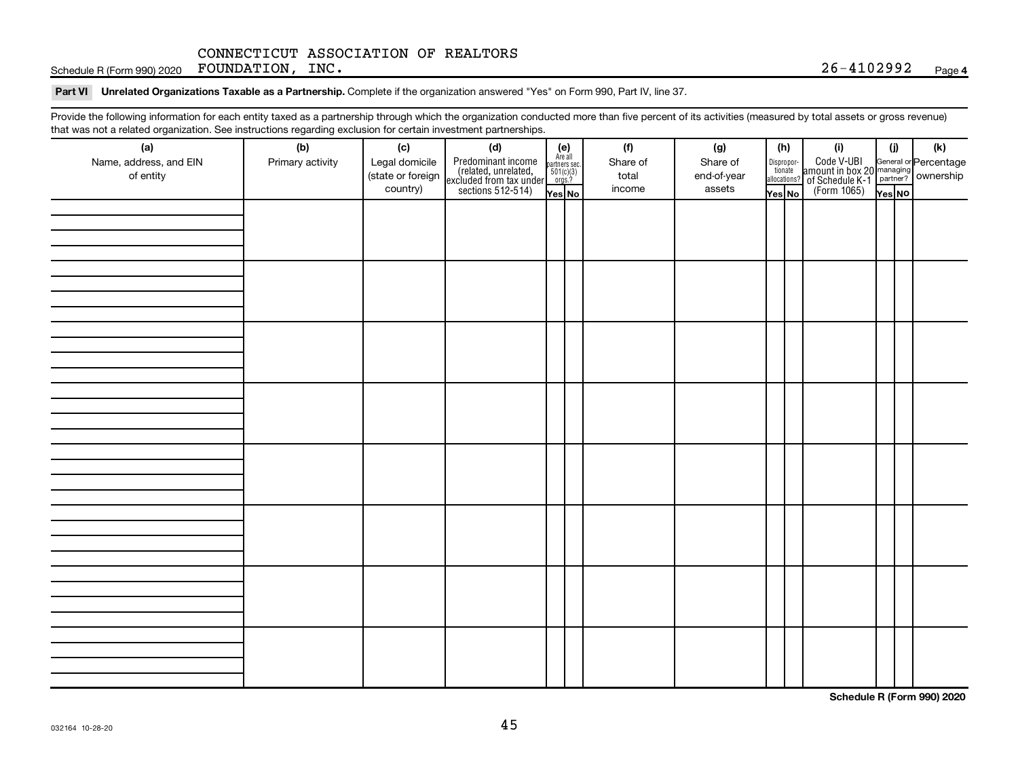Schedule R (Form 990) 2020 Page FOUNDATION, INC. 26-4102992

Part VI Unrelated Organizations Taxable as a Partnership. Complete if the organization answered "Yes" on Form 990, Part IV, line 37.

Provide the following information for each entity taxed as a partnership through which the organization conducted more than five percent of its activities (measured by total assets or gross revenue) that was not a related organization. See instructions regarding exclusion for certain investment partnerships.

| mat mac not a rolated organization. Oce included by regarding exercision for contain invectment partneremper<br>(a)<br>Name, address, and EIN | (b)<br>Primary activity | (c)<br>Legal domicile         | (d)                                                                                        | (e)<br>Are all<br>partners sec.<br>$501(c)(3)$<br>orgs.? | (f)<br>Share of | (g)<br>Share of       |        | (h)<br>$\fbox{\parbox{0.5cm}{\begin{tabular}{ l l } \hline Disproportion} \\ \hline \text{tion} \\ \hline allocations? \\ \hline \end{tabular}}$ | (i)                                                                                                                          | (i)    |  | (k) |
|-----------------------------------------------------------------------------------------------------------------------------------------------|-------------------------|-------------------------------|--------------------------------------------------------------------------------------------|----------------------------------------------------------|-----------------|-----------------------|--------|--------------------------------------------------------------------------------------------------------------------------------------------------|------------------------------------------------------------------------------------------------------------------------------|--------|--|-----|
| of entity                                                                                                                                     |                         | (state or foreign<br>country) | Predominant income<br>(related, unrelated,<br>excluded from tax under<br>sections 512-514) | Yes No                                                   | total<br>income | end-of-year<br>assets | Yes No |                                                                                                                                                  | Code V-UBI<br>amount in box 20 managing<br>of Schedule K-1<br>(Form 1065)<br>$\overline{Y_{\text{res}}}\overline{N\text{o}}$ | Yes NO |  |     |
|                                                                                                                                               |                         |                               |                                                                                            |                                                          |                 |                       |        |                                                                                                                                                  |                                                                                                                              |        |  |     |
|                                                                                                                                               |                         |                               |                                                                                            |                                                          |                 |                       |        |                                                                                                                                                  |                                                                                                                              |        |  |     |
|                                                                                                                                               |                         |                               |                                                                                            |                                                          |                 |                       |        |                                                                                                                                                  |                                                                                                                              |        |  |     |
|                                                                                                                                               |                         |                               |                                                                                            |                                                          |                 |                       |        |                                                                                                                                                  |                                                                                                                              |        |  |     |
|                                                                                                                                               |                         |                               |                                                                                            |                                                          |                 |                       |        |                                                                                                                                                  |                                                                                                                              |        |  |     |
|                                                                                                                                               |                         |                               |                                                                                            |                                                          |                 |                       |        |                                                                                                                                                  |                                                                                                                              |        |  |     |
|                                                                                                                                               |                         |                               |                                                                                            |                                                          |                 |                       |        |                                                                                                                                                  |                                                                                                                              |        |  |     |
|                                                                                                                                               |                         |                               |                                                                                            |                                                          |                 |                       |        |                                                                                                                                                  |                                                                                                                              |        |  |     |
|                                                                                                                                               |                         |                               |                                                                                            |                                                          |                 |                       |        |                                                                                                                                                  |                                                                                                                              |        |  |     |
|                                                                                                                                               |                         |                               |                                                                                            |                                                          |                 |                       |        |                                                                                                                                                  |                                                                                                                              |        |  |     |
|                                                                                                                                               |                         |                               |                                                                                            |                                                          |                 |                       |        |                                                                                                                                                  |                                                                                                                              |        |  |     |
|                                                                                                                                               |                         |                               |                                                                                            |                                                          |                 |                       |        |                                                                                                                                                  |                                                                                                                              |        |  |     |
|                                                                                                                                               |                         |                               |                                                                                            |                                                          |                 |                       |        |                                                                                                                                                  |                                                                                                                              |        |  |     |
|                                                                                                                                               |                         |                               |                                                                                            |                                                          |                 |                       |        |                                                                                                                                                  |                                                                                                                              |        |  |     |
|                                                                                                                                               |                         |                               |                                                                                            |                                                          |                 |                       |        |                                                                                                                                                  |                                                                                                                              |        |  |     |
|                                                                                                                                               |                         |                               |                                                                                            |                                                          |                 |                       |        |                                                                                                                                                  |                                                                                                                              |        |  |     |
|                                                                                                                                               |                         |                               |                                                                                            |                                                          |                 |                       |        |                                                                                                                                                  |                                                                                                                              |        |  |     |
|                                                                                                                                               |                         |                               |                                                                                            |                                                          |                 |                       |        |                                                                                                                                                  |                                                                                                                              |        |  |     |

**Schedule R (Form 990) 2020**